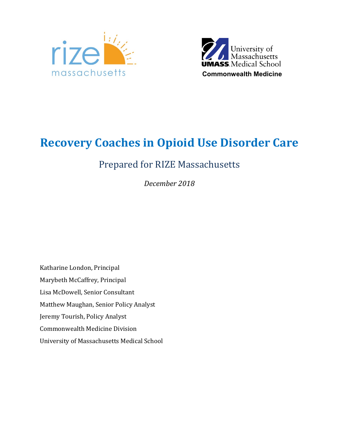



# **Recovery Coaches in Opioid Use Disorder Care**

# Prepared for RIZE Massachusetts

*December 2018*

Katharine London, Principal Marybeth McCaffrey, Principal Lisa McDowell, Senior Consultant Matthew Maughan, Senior Policy Analyst Jeremy Tourish, Policy Analyst Commonwealth Medicine Division University of Massachusetts Medical School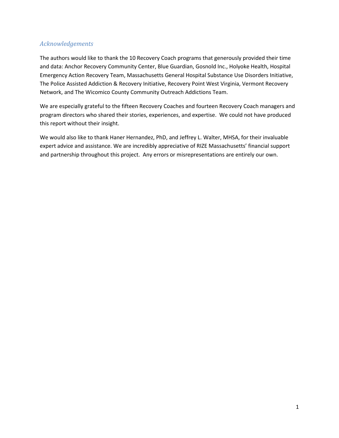### *Acknowledgements*

The authors would like to thank the 10 Recovery Coach programs that generously provided their time and data: Anchor Recovery Community Center, Blue Guardian, Gosnold Inc., Holyoke Health, Hospital Emergency Action Recovery Team, Massachusetts General Hospital Substance Use Disorders Initiative, The Police Assisted Addiction & Recovery Initiative, Recovery Point West Virginia, Vermont Recovery Network, and The Wicomico County Community Outreach Addictions Team.

We are especially grateful to the fifteen Recovery Coaches and fourteen Recovery Coach managers and program directors who shared their stories, experiences, and expertise. We could not have produced this report without their insight.

We would also like to thank Haner Hernandez, PhD, and Jeffrey L. Walter, MHSA, for their invaluable expert advice and assistance. We are incredibly appreciative of RIZE Massachusetts' financial support and partnership throughout this project. Any errors or misrepresentations are entirely our own.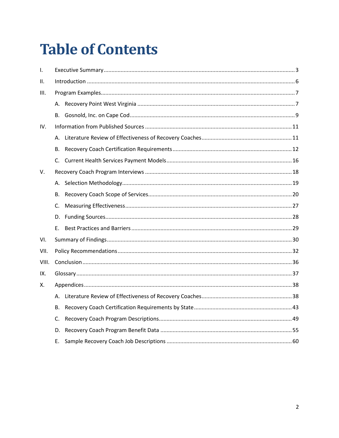# **Table of Contents**

| I.    |             |  |  |  |  |  |  |  |  |  |  |
|-------|-------------|--|--|--|--|--|--|--|--|--|--|
| Ш.    |             |  |  |  |  |  |  |  |  |  |  |
| III.  |             |  |  |  |  |  |  |  |  |  |  |
|       | А.          |  |  |  |  |  |  |  |  |  |  |
|       | В.          |  |  |  |  |  |  |  |  |  |  |
| IV.   |             |  |  |  |  |  |  |  |  |  |  |
|       | А.          |  |  |  |  |  |  |  |  |  |  |
|       | В.          |  |  |  |  |  |  |  |  |  |  |
|       | C.          |  |  |  |  |  |  |  |  |  |  |
| V.    |             |  |  |  |  |  |  |  |  |  |  |
|       | А.          |  |  |  |  |  |  |  |  |  |  |
|       | В.          |  |  |  |  |  |  |  |  |  |  |
|       | C.          |  |  |  |  |  |  |  |  |  |  |
|       | D.          |  |  |  |  |  |  |  |  |  |  |
|       | Ε.          |  |  |  |  |  |  |  |  |  |  |
| VI.   |             |  |  |  |  |  |  |  |  |  |  |
| VII.  |             |  |  |  |  |  |  |  |  |  |  |
| VIII. |             |  |  |  |  |  |  |  |  |  |  |
| IX.   |             |  |  |  |  |  |  |  |  |  |  |
| Х.    |             |  |  |  |  |  |  |  |  |  |  |
|       |             |  |  |  |  |  |  |  |  |  |  |
|       | В.          |  |  |  |  |  |  |  |  |  |  |
|       | $C_{\cdot}$ |  |  |  |  |  |  |  |  |  |  |
|       | D.          |  |  |  |  |  |  |  |  |  |  |
|       | Е.          |  |  |  |  |  |  |  |  |  |  |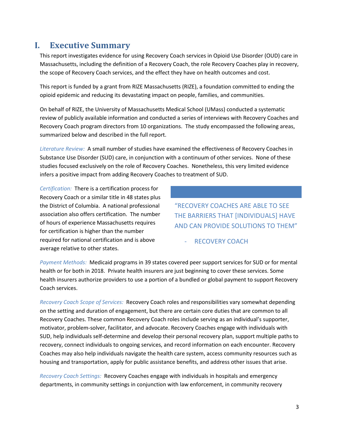# <span id="page-3-0"></span>**I. Executive Summary**

This report investigates evidence for using Recovery Coach services in Opioid Use Disorder (OUD) care in Massachusetts, including the definition of a Recovery Coach, the role Recovery Coaches play in recovery, the scope of Recovery Coach services, and the effect they have on health outcomes and cost.

This report is funded by a grant from RIZE Massachusetts (RIZE), a foundation committed to ending the opioid epidemic and reducing its devastating impact on people, families, and communities.

On behalf of RIZE, the University of Massachusetts Medical School (UMass) conducted a systematic review of publicly available information and conducted a series of interviews with Recovery Coaches and Recovery Coach program directors from 10 organizations. The study encompassed the following areas, summarized below and described in the full report.

*Literature Review:* A small number of studies have examined the effectiveness of Recovery Coaches in Substance Use Disorder (SUD) care, in conjunction with a continuum of other services. None of these studies focused exclusively on the role of Recovery Coaches. Nonetheless, this very limited evidence infers a positive impact from adding Recovery Coaches to treatment of SUD.

*Certification:* There is a certification process for Recovery Coach or a similar title in 48 states plus the District of Columbia. A national professional association also offers certification. The number of hours of experience Massachusetts requires for certification is higher than the number required for national certification and is above average relative to other states.

"RECOVERY COACHES ARE ABLE TO SEE THE BARRIERS THAT [INDIVIDUALS] HAVE AND CAN PROVIDE SOLUTIONS TO THEM"

RECOVERY COACH

*Payment Methods:* Medicaid programs in 39 states covered peer support services for SUD or for mental health or for both in 2018. Private health insurers are just beginning to cover these services. Some health insurers authorize providers to use a portion of a bundled or global payment to support Recovery Coach services.

*Recovery Coach Scope of Services:* Recovery Coach roles and responsibilities vary somewhat depending on the setting and duration of engagement, but there are certain core duties that are common to all Recovery Coaches. These common Recovery Coach roles include serving as an individual's supporter, motivator, problem-solver, facilitator, and advocate. Recovery Coaches engage with individuals with SUD, help individuals self-determine and develop their personal recovery plan, support multiple paths to recovery, connect individuals to ongoing services, and record information on each encounter. Recovery Coaches may also help individuals navigate the health care system, access community resources such as housing and transportation, apply for public assistance benefits, and address other issues that arise.

*Recovery Coach Settings:* Recovery Coaches engage with individuals in hospitals and emergency departments, in community settings in conjunction with law enforcement, in community recovery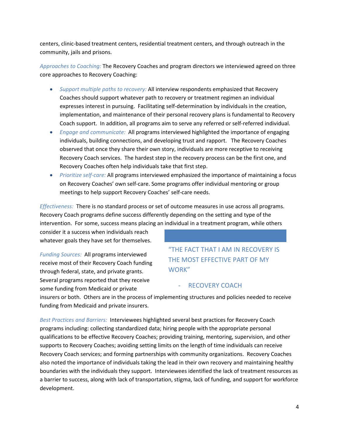centers, clinic-based treatment centers, residential treatment centers, and through outreach in the community, jails and prisons.

*Approaches to Coaching:* The Recovery Coaches and program directors we interviewed agreed on three core approaches to Recovery Coaching:

- *Support multiple paths to recovery:* All interview respondents emphasized that Recovery Coaches should support whatever path to recovery or treatment regimen an individual expresses interest in pursuing. Facilitating self-determination by individuals in the creation, implementation, and maintenance of their personal recovery plans is fundamental to Recovery Coach support. In addition, all programs aim to serve any referred or self-referred individual.
- *Engage and communicate:* All programs interviewed highlighted the importance of engaging individuals, building connections, and developing trust and rapport.The Recovery Coaches observed that once they share their own story, individuals are more receptive to receiving Recovery Coach services. The hardest step in the recovery process can be the first one, and Recovery Coaches often help individuals take that first step.
- *Prioritize self-care:* All programs interviewed emphasized the importance of maintaining a focus on Recovery Coaches' own self-care. Some programs offer individual mentoring or group meetings to help support Recovery Coaches' self-care needs.

*Effectiveness:* There is no standard process or set of outcome measures in use across all programs. Recovery Coach programs define success differently depending on the setting and type of the intervention. For some, success means placing an individual in a treatment program, while others

consider it a success when individuals reach whatever goals they have set for themselves.

*Funding Sources:* All programs interviewed receive most of their Recovery Coach funding through federal, state, and private grants. Several programs reported that they receive some funding from Medicaid or private

### "THE FACT THAT I AM IN RECOVERY IS THE MOST EFFECTIVE PART OF MY WORK"

#### - RECOVERY COACH

insurers or both. Others are in the process of implementing structures and policies needed to receive funding from Medicaid and private insurers.

*Best Practices and Barriers:* Interviewees highlighted several best practices for Recovery Coach programs including: collecting standardized data; hiring people with the appropriate personal qualifications to be effective Recovery Coaches; providing training, mentoring, supervision, and other supports to Recovery Coaches; avoiding setting limits on the length of time individuals can receive Recovery Coach services; and forming partnerships with community organizations. Recovery Coaches also noted the importance of individuals taking the lead in their own recovery and maintaining healthy boundaries with the individuals they support. Interviewees identified the lack of treatment resources as a barrier to success, along with lack of transportation, stigma, lack of funding, and support for workforce development.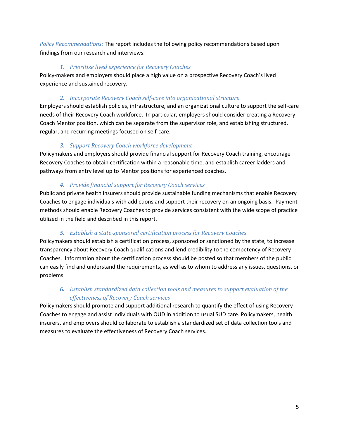*Policy Recommendations:* The report includes the following policy recommendations based upon findings from our research and interviews:

#### *1. Prioritize lived experience for Recovery Coaches*

Policy-makers and employers should place a high value on a prospective Recovery Coach's lived experience and sustained recovery.

### *2. Incorporate Recovery Coach self-care into organizational structure*

Employers should establish policies, infrastructure, and an organizational culture to support the self-care needs of their Recovery Coach workforce. In particular, employers should consider creating a Recovery Coach Mentor position, which can be separate from the supervisor role, and establishing structured, regular, and recurring meetings focused on self-care.

### *3. Support Recovery Coach workforce development*

Policymakers and employers should provide financial support for Recovery Coach training, encourage Recovery Coaches to obtain certification within a reasonable time, and establish career ladders and pathways from entry level up to Mentor positions for experienced coaches.

### *4. Provide financial support for Recovery Coach services*

Public and private health insurers should provide sustainable funding mechanisms that enable Recovery Coaches to engage individuals with addictions and support their recovery on an ongoing basis. Payment methods should enable Recovery Coaches to provide services consistent with the wide scope of practice utilized in the field and described in this report.

### *5. Establish a state-sponsored certification process for Recovery Coaches*

Policymakers should establish a certification process, sponsored or sanctioned by the state, to increase transparency about Recovery Coach qualifications and lend credibility to the competency of Recovery Coaches. Information about the certification process should be posted so that members of the public can easily find and understand the requirements, as well as to whom to address any issues, questions, or problems.

### *6. Establish standardized data collection tools and measures to support evaluation of the effectiveness of Recovery Coach services*

Policymakers should promote and support additional research to quantify the effect of using Recovery Coaches to engage and assist individuals with OUD in addition to usual SUD care. Policymakers, health insurers, and employers should collaborate to establish a standardized set of data collection tools and measures to evaluate the effectiveness of Recovery Coach services.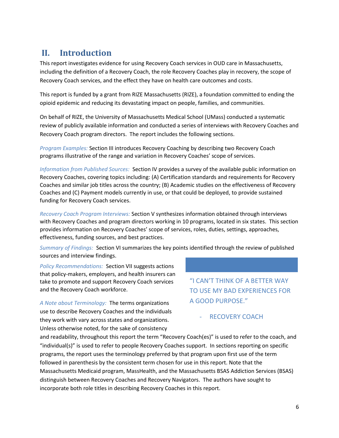# <span id="page-6-0"></span>**II. Introduction**

This report investigates evidence for using Recovery Coach services in OUD care in Massachusetts, including the definition of a Recovery Coach, the role Recovery Coaches play in recovery, the scope of Recovery Coach services, and the effect they have on health care outcomes and costs.

This report is funded by a grant from RIZE Massachusetts (RIZE), a foundation committed to ending the opioid epidemic and reducing its devastating impact on people, families, and communities.

On behalf of RIZE, the University of Massachusetts Medical School (UMass) conducted a systematic review of publicly available information and conducted a series of interviews with Recovery Coaches and Recovery Coach program directors. The report includes the following sections.

*Program Examples:* Section III introduces Recovery Coaching by describing two Recovery Coach programs illustrative of the range and variation in Recovery Coaches' scope of services.

*Information from Published Sources:* Section IV provides a survey of the available public information on Recovery Coaches, covering topics including: (A) Certification standards and requirements for Recovery Coaches and similar job titles across the country; (B) Academic studies on the effectiveness of Recovery Coaches and (C) Payment models currently in use, or that could be deployed, to provide sustained funding for Recovery Coach services.

*Recovery Coach Program Interviews:* Section V synthesizes information obtained through interviews with Recovery Coaches and program directors working in 10 programs, located in six states. This section provides information on Recovery Coaches' scope of services, roles, duties, settings, approaches, effectiveness, funding sources, and best practices.

*Summary of Findings:* Section VI summarizes the key points identified through the review of published sources and interview findings.

*Policy Recommendations:* Section VII suggests actions that policy-makers, employers, and health insurers can take to promote and support Recovery Coach services and the Recovery Coach workforce.

"I CAN'T THINK OF A BETTER WAY TO USE MY BAD EXPERIENCES FOR A GOOD PURPOSE."

*A Note about Terminology:* The terms organizations use to describe Recovery Coaches and the individuals they work with vary across states and organizations. Unless otherwise noted, for the sake of consistency

RECOVERY COACH

and readability, throughout this report the term "Recovery Coach(es)" is used to refer to the coach, and "individual(s)" is used to refer to people Recovery Coaches support. In sections reporting on specific programs, the report uses the terminology preferred by that program upon first use of the term followed in parenthesis by the consistent term chosen for use in this report. Note that the Massachusetts Medicaid program, MassHealth, and the Massachusetts BSAS Addiction Services (BSAS) distinguish between Recovery Coaches and Recovery Navigators. The authors have sought to incorporate both role titles in describing Recovery Coaches in this report.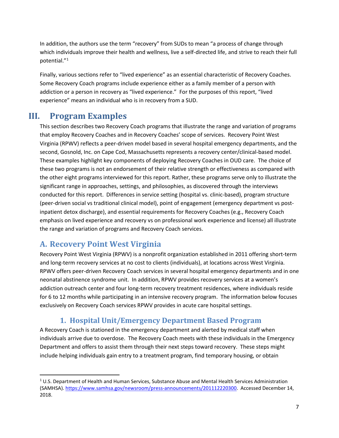In addition, the authors use the term "recovery" from SUDs to mean "a process of change through which individuals improve their health and wellness, live a self-directed life, and strive to reach their full potential."[1](#page-7-2)

Finally, various sections refer to "lived experience" as an essential characteristic of Recovery Coaches. Some Recovery Coach programs include experience either as a family member of a person with addiction or a person in recovery as "lived experience." For the purposes of this report, "lived experience" means an individual who is in recovery from a SUD.

# <span id="page-7-0"></span>**III. Program Examples**

This section describes two Recovery Coach programs that illustrate the range and variation of programs that employ Recovery Coaches and in Recovery Coaches' scope of services. Recovery Point West Virginia (RPWV) reflects a peer-driven model based in several hospital emergency departments, and the second, Gosnold, Inc. on Cape Cod, Massachusetts represents a recovery center/clinical-based model. These examples highlight key components of deploying Recovery Coaches in OUD care. The choice of these two programs is not an endorsement of their relative strength or effectiveness as compared with the other eight programs interviewed for this report. Rather, these programs serve only to illustrate the significant range in approaches, settings, and philosophies, as discovered through the interviews conducted for this report. Differences in service setting (hospital vs. clinic-based), program structure (peer-driven social vs traditional clinical model), point of engagement (emergency department vs postinpatient detox discharge), and essential requirements for Recovery Coaches (e.g., Recovery Coach emphasis on lived experience and recovery vs on professional work experience and license) all illustrate the range and variation of programs and Recovery Coach services.

# <span id="page-7-1"></span>**A. Recovery Point West Virginia**

Recovery Point West Virginia (RPWV) is a nonprofit organization established in 2011 offering short-term and long-term recovery services at no cost to clients (individuals), at locations across West Virginia. RPWV offers peer-driven Recovery Coach services in several hospital emergency departments and in one neonatal abstinence syndrome unit. In addition, RPWV provides recovery services at a women's addiction outreach center and four long-term recovery treatment residences, where individuals reside for 6 to 12 months while participating in an intensive recovery program. The information below focuses exclusively on Recovery Coach services RPWV provides in acute care hospital settings.

### **1. Hospital Unit/Emergency Department Based Program**

A Recovery Coach is stationed in the emergency department and alerted by medical staff when individuals arrive due to overdose. The Recovery Coach meets with these individuals in the Emergency Department and offers to assist them through their next steps toward recovery. These steps might include helping individuals gain entry to a treatment program, find temporary housing, or obtain

<span id="page-7-2"></span> $1$  U.S. Department of Health and Human Services, Substance Abuse and Mental Health Services Administration (SAMHSA)[. https://www.samhsa.gov/newsroom/press-announcements/201112220300.](https://www.samhsa.gov/newsroom/press-announcements/201112220300) Accessed December 14, 2018.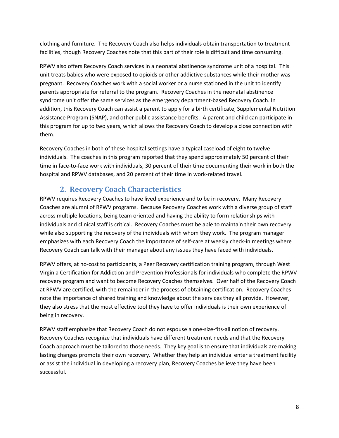clothing and furniture. The Recovery Coach also helps individuals obtain transportation to treatment facilities, though Recovery Coaches note that this part of their role is difficult and time consuming.

RPWV also offers Recovery Coach services in a neonatal abstinence syndrome unit of a hospital. This unit treats babies who were exposed to opioids or other addictive substances while their mother was pregnant. Recovery Coaches work with a social worker or a nurse stationed in the unit to identify parents appropriate for referral to the program. Recovery Coaches in the neonatal abstinence syndrome unit offer the same services as the emergency department-based Recovery Coach. In addition, this Recovery Coach can assist a parent to apply for a birth certificate, Supplemental Nutrition Assistance Program (SNAP), and other public assistance benefits. A parent and child can participate in this program for up to two years, which allows the Recovery Coach to develop a close connection with them.

Recovery Coaches in both of these hospital settings have a typical caseload of eight to twelve individuals. The coaches in this program reported that they spend approximately 50 percent of their time in face-to-face work with individuals, 30 percent of their time documenting their work in both the hospital and RPWV databases, and 20 percent of their time in work-related travel.

### **2. Recovery Coach Characteristics**

RPWV requires Recovery Coaches to have lived experience and to be in recovery. Many Recovery Coaches are alumni of RPWV programs. Because Recovery Coaches work with a diverse group of staff across multiple locations, being team oriented and having the ability to form relationships with individuals and clinical staff is critical. Recovery Coaches must be able to maintain their own recovery while also supporting the recovery of the individuals with whom they work. The program manager emphasizes with each Recovery Coach the importance of self-care at weekly check-in meetings where Recovery Coach can talk with their manager about any issues they have faced with individuals.

RPWV offers, at no-cost to participants, a Peer Recovery certification training program, through West Virginia Certification for Addiction and Prevention Professionals for individuals who complete the RPWV recovery program and want to become Recovery Coaches themselves. Over half of the Recovery Coach at RPWV are certified, with the remainder in the process of obtaining certification. Recovery Coaches note the importance of shared training and knowledge about the services they all provide. However, they also stress that the most effective tool they have to offer individuals is their own experience of being in recovery.

RPWV staff emphasize that Recovery Coach do not espouse a one-size-fits-all notion of recovery. Recovery Coaches recognize that individuals have different treatment needs and that the Recovery Coach approach must be tailored to those needs. They key goal is to ensure that individuals are making lasting changes promote their own recovery. Whether they help an individual enter a treatment facility or assist the individual in developing a recovery plan, Recovery Coaches believe they have been successful.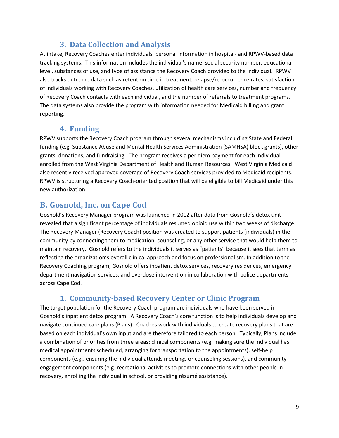### **3. Data Collection and Analysis**

At intake, Recovery Coaches enter individuals' personal information in hospital- and RPWV-based data tracking systems. This information includes the individual's name, social security number, educational level, substances of use, and type of assistance the Recovery Coach provided to the individual. RPWV also tracks outcome data such as retention time in treatment, relapse/re-occurrence rates, satisfaction of individuals working with Recovery Coaches, utilization of health care services, number and frequency of Recovery Coach contacts with each individual, and the number of referrals to treatment programs. The data systems also provide the program with information needed for Medicaid billing and grant reporting.

### **4. Funding**

RPWV supports the Recovery Coach program through several mechanisms including State and Federal funding (e.g. Substance Abuse and Mental Health Services Administration (SAMHSA) block grants), other grants, donations, and fundraising. The program receives a per diem payment for each individual enrolled from the West Virginia Department of Health and Human Resources. West Virginia Medicaid also recently received approved coverage of Recovery Coach services provided to Medicaid recipients. RPWV is structuring a Recovery Coach-oriented position that will be eligible to bill Medicaid under this new authorization.

# <span id="page-9-0"></span>**B. Gosnold, Inc. on Cape Cod**

Gosnold's Recovery Manager program was launched in 2012 after data from Gosnold's detox unit revealed that a significant percentage of individuals resumed opioid use within two weeks of discharge. The Recovery Manager (Recovery Coach) position was created to support patients (individuals) in the community by connecting them to medication, counseling, or any other service that would help them to maintain recovery. Gosnold refers to the individuals it serves as "patients" because it sees that term as reflecting the organization's overall clinical approach and focus on professionalism. In addition to the Recovery Coaching program, Gosnold offers inpatient detox services, recovery residences, emergency department navigation services, and overdose intervention in collaboration with police departments across Cape Cod.

# **1. Community-based Recovery Center or Clinic Program**

The target population for the Recovery Coach program are individuals who have been served in Gosnold's inpatient detox program. A Recovery Coach's core function is to help individuals develop and navigate continued care plans (Plans). Coaches work with individuals to create recovery plans that are based on each individual's own input and are therefore tailored to each person. Typically, Plans include a combination of priorities from three areas: clinical components (e.g. making sure the individual has medical appointments scheduled, arranging for transportation to the appointments), self-help components (e.g., ensuring the individual attends meetings or counseling sessions), and community engagement components (e.g. recreational activities to promote connections with other people in recovery, enrolling the individual in school, or providing résumé assistance).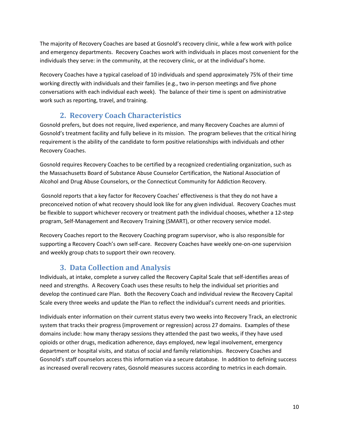The majority of Recovery Coaches are based at Gosnold's recovery clinic, while a few work with police and emergency departments. Recovery Coaches work with individuals in places most convenient for the individuals they serve: in the community, at the recovery clinic, or at the individual's home.

Recovery Coaches have a typical caseload of 10 individuals and spend approximately 75% of their time working directly with individuals and their families (e.g., two in-person meetings and five phone conversations with each individual each week). The balance of their time is spent on administrative work such as reporting, travel, and training.

# **2. Recovery Coach Characteristics**

Gosnold prefers, but does not require, lived experience, and many Recovery Coaches are alumni of Gosnold's treatment facility and fully believe in its mission. The program believes that the critical hiring requirement is the ability of the candidate to form positive relationships with individuals and other Recovery Coaches.

Gosnold requires Recovery Coaches to be certified by a recognized credentialing organization, such as the Massachusetts Board of Substance Abuse Counselor Certification, the National Association of Alcohol and Drug Abuse Counselors, or the Connecticut Community for Addiction Recovery.

Gosnold reports that a key factor for Recovery Coaches' effectiveness is that they do not have a preconceived notion of what recovery should look like for any given individual. Recovery Coaches must be flexible to support whichever recovery or treatment path the individual chooses, whether a 12-step program, Self-Management and Recovery Training (SMART), or other recovery service model.

Recovery Coaches report to the Recovery Coaching program supervisor, who is also responsible for supporting a Recovery Coach's own self-care. Recovery Coaches have weekly one-on-one supervision and weekly group chats to support their own recovery.

# **3. Data Collection and Analysis**

Individuals, at intake, complete a survey called the Recovery Capital Scale that self-identifies areas of need and strengths. A Recovery Coach uses these results to help the individual set priorities and develop the continued care Plan. Both the Recovery Coach and individual review the Recovery Capital Scale every three weeks and update the Plan to reflect the individual's current needs and priorities.

Individuals enter information on their current status every two weeks into Recovery Track, an electronic system that tracks their progress (improvement or regression) across 27 domains. Examples of these domains include: how many therapy sessions they attended the past two weeks, if they have used opioids or other drugs, medication adherence, days employed, new legal involvement, emergency department or hospital visits, and status of social and family relationships. Recovery Coaches and Gosnold's staff counselors access this information via a secure database. In addition to defining success as increased overall recovery rates, Gosnold measures success according to metrics in each domain.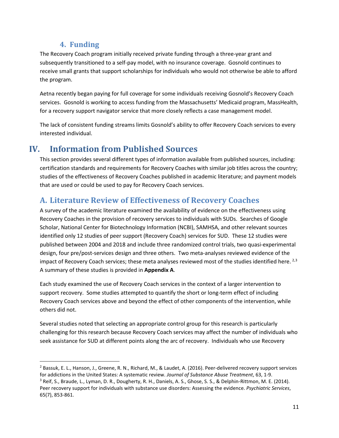### **4. Funding**

The Recovery Coach program initially received private funding through a three-year grant and subsequently transitioned to a self-pay model, with no insurance coverage. Gosnold continues to receive small grants that support scholarships for individuals who would not otherwise be able to afford the program.

Aetna recently began paying for full coverage for some individuals receiving Gosnold's Recovery Coach services. Gosnold is working to access funding from the Massachusetts' Medicaid program, MassHealth, for a recovery support navigator service that more closely reflects a case management model.

The lack of consistent funding streams limits Gosnold's ability to offer Recovery Coach services to every interested individual.

# <span id="page-11-0"></span>**IV. Information from Published Sources**

This section provides several different types of information available from published sources, including: certification standards and requirements for Recovery Coaches with similar job titles across the country; studies of the effectiveness of Recovery Coaches published in academic literature; and payment models that are used or could be used to pay for Recovery Coach services.

# <span id="page-11-1"></span>**A. Literature Review of Effectiveness of Recovery Coaches**

A survey of the academic literature examined the availability of evidence on the effectiveness using Recovery Coaches in the provision of recovery services to individuals with SUDs. Searches of Google Scholar, National Center for Biotechnology Information (NCBI), SAMHSA, and other relevant sources identified only 12 studies of peer support (Recovery Coach) services for SUD. These 12 studies were published between 2004 and 2018 and include three randomized control trials, two quasi-experimental design, four pre/post-services design and three others. Two meta-analyses reviewed evidence of the impact of Recovery Coach services; these meta analyses reviewed most of the studies identified here.  $^{2,3}$  $^{2,3}$  $^{2,3}$  $^{2,3}$  $^{2,3}$ A summary of these studies is provided in **Appendix A**.

Each study examined the use of Recovery Coach services in the context of a larger intervention to support recovery. Some studies attempted to quantify the short or long-term effect of including Recovery Coach services above and beyond the effect of other components of the intervention, while others did not.

Several studies noted that selecting an appropriate control group for this research is particularly challenging for this research because Recovery Coach services may affect the number of individuals who seek assistance for SUD at different points along the arc of recovery. Individuals who use Recovery

<span id="page-11-2"></span> <sup>2</sup> Bassuk, E. L., Hanson, J., Greene, R. N., Richard, M., & Laudet, A. (2016). Peer-delivered recovery support services for addictions in the United States: A systematic review. *Journal of Substance Abuse Treatment*, 63, 1-9.

<span id="page-11-3"></span><sup>&</sup>lt;sup>3</sup> Reif, S., Braude, L., Lyman, D. R., Dougherty, R. H., Daniels, A. S., Ghose, S. S., & Delphin-Rittmon, M. E. (2014). Peer recovery support for individuals with substance use disorders: Assessing the evidence. *Psychiatric Services*, 65(7), 853-861.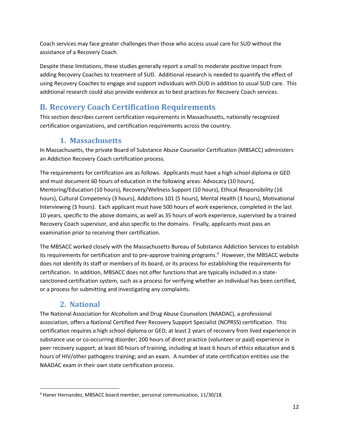Coach services may face greater challenges than those who access usual care for SUD without the assistance of a Recovery Coach.

Despite these limitations, these studies generally report a small to moderate positive impact from adding Recovery Coaches to treatment of SUD. Additional research is needed to quantify the effect of using Recovery Coaches to engage and support individuals with OUD in addition to usual SUD care. This additional research could also provide evidence as to best practices for Recovery Coach services.

# <span id="page-12-0"></span>**B. Recovery Coach Certification Requirements**

This section describes current certification requirements in Massachusetts, nationally recognized certification organizations, and certification requirements across the country.

### **1. Massachusetts**

In Massachusetts, the private Board of Substance Abuse Counselor Certification (MBSACC) administers an Addiction Recovery Coach certification process.

The requirements for certification are as follows. Applicants must have a high school diploma or GED and must document 60 hours of education in the following areas: Advocacy (10 hours), Mentoring/Education (10 hours), Recovery/Wellness Support (10 hours), Ethical Responsibility (16 hours), Cultural Competency (3 hours), Addictions 101 (5 hours), Mental Health (3 hours), Motivational Interviewing (3 hours). Each applicant must have 500 hours of work experience, completed in the last 10 years, specific to the above domains, as well as 35 hours of work experience, supervised by a trained Recovery Coach supervisor, and also specific to the domains. Finally, applicants must pass an examination prior to receiving their certification.

The MBSACC worked closely with the Massachusetts Bureau of Substance Addiction Services to establish its requirements for certification and to pre-approve training programs. [4](#page-12-1) However, the MBSACC website does not identify its staff or members of its board, or its process for establishing the requirements for certification. In addition, MBSACC does not offer functions that are typically included in a statesanctioned certification system, such as a process for verifying whether an individual has been certified, or a process for submitting and investigating any complaints.

# **2. National**

The National Association for Alcoholism and Drug Abuse Counselors (NAADAC), a professional association, offers a National Certified Peer Recovery Support Specialist (NCPRSS) certification. This certification requires a high school diploma or GED; at least 2 years of recovery from lived experience in substance use or co-occurring disorder; 200 hours of direct practice (volunteer or paid) experience in peer recovery support; at least 60 hours of training, including at least 6 hours of ethics education and 6 hours of HIV/other pathogens training; and an exam. A number of state certification entities use the NAADAC exam in their own state certification process.

<span id="page-12-1"></span> <sup>4</sup> Haner Hernandez, MBSACC board member, personal communication, 11/30/18.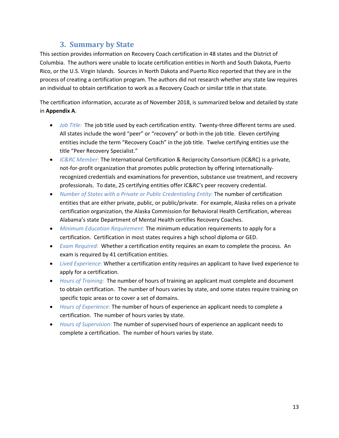### **3. Summary by State**

This section provides information on Recovery Coach certification in 48 states and the District of Columbia. The authors were unable to locate certification entities in North and South Dakota, Puerto Rico, or the U.S. Virgin Islands. Sources in North Dakota and Puerto Rico reported that they are in the process of creating a certification program. The authors did not research whether any state law requires an individual to obtain certification to work as a Recovery Coach or similar title in that state.

The certification information, accurate as of November 2018, is summarized below and detailed by state in **Appendix A**.

- *Job Title*: The job title used by each certification entity. Twenty-three different terms are used. All states include the word "peer" or "recovery" or both in the job title. Eleven certifying entities include the term "Recovery Coach" in the job title. Twelve certifying entities use the title "Peer Recovery Specialist."
- *IC&RC Member*: The International Certification & Reciprocity Consortium (IC&RC) is a private, not-for-profit organization that promotes public protection by offering internationallyrecognized credentials and examinations for prevention, substance use treatment, and recovery professionals. To date, 25 certifying entities offer IC&RC's peer recovery credential.
- *Number of States with a Private or Public Credentialing Entity*: The number of certification entities that are either private, public, or public/private. For example, Alaska relies on a private certification organization, the Alaska Commission for Behavioral Health Certification, whereas Alabama's state Department of Mental Health certifies Recovery Coaches.
- *Minimum Education Requirement*: The minimum education requirements to apply for a certification. Certification in most states requires a high school diploma or GED.
- *Exam Required*: Whether a certification entity requires an exam to complete the process. An exam is required by 41 certification entities.
- *Lived Experience*: Whether a certification entity requires an applicant to have lived experience to apply for a certification.
- *Hours of Training:* The number of hours of training an applicant must complete and document to obtain certification. The number of hours varies by state, and some states require training on specific topic areas or to cover a set of domains.
- *Hours of Experience*: The number of hours of experience an applicant needs to complete a certification. The number of hours varies by state.
- *Hours of Supervision*: The number of supervised hours of experience an applicant needs to complete a certification. The number of hours varies by state.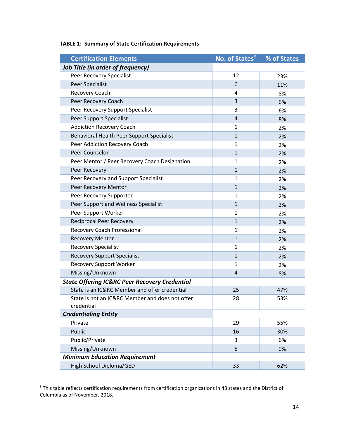| <b>Certification Elements</b>                                 | No. of States <sup>5</sup> | % of States |
|---------------------------------------------------------------|----------------------------|-------------|
| <b>Job Title (in order of frequency)</b>                      |                            |             |
| Peer Recovery Specialist                                      | 12                         | 23%         |
| Peer Specialist                                               | 6                          | 11%         |
| Recovery Coach                                                | 4                          | 8%          |
| Peer Recovery Coach                                           | 3                          | 6%          |
| Peer Recovery Support Specialist                              | 3                          | 6%          |
| Peer Support Specialist                                       | $\overline{a}$             | 8%          |
| <b>Addiction Recovery Coach</b>                               | 1                          | 2%          |
| Behavioral Health Peer Support Specialist                     | $\mathbf{1}$               | 2%          |
| Peer Addiction Recovery Coach                                 | $\mathbf{1}$               | 2%          |
| Peer Counselor                                                | $\mathbf{1}$               | 2%          |
| Peer Mentor / Peer Recovery Coach Designation                 | 1                          | 2%          |
| Peer Recovery                                                 | $\mathbf{1}$               | 2%          |
| Peer Recovery and Support Specialist                          | $\mathbf{1}$               | 2%          |
| Peer Recovery Mentor                                          | $\mathbf{1}$               | 2%          |
| Peer Recovery Supporter                                       | $\mathbf{1}$               | 2%          |
| Peer Support and Wellness Specialist                          | $\mathbf{1}$               | 2%          |
| Peer Support Worker                                           | 1                          | 2%          |
| <b>Reciprocal Peer Recovery</b>                               | $\mathbf{1}$               | 2%          |
| Recovery Coach Professional                                   | 1                          | 2%          |
| <b>Recovery Mentor</b>                                        | $\mathbf{1}$               | 2%          |
| <b>Recovery Specialist</b>                                    | $\mathbf{1}$               | 2%          |
| <b>Recovery Support Specialist</b>                            | $\mathbf{1}$               | 2%          |
| <b>Recovery Support Worker</b>                                | 1                          | 2%          |
| Missing/Unknown                                               | $\overline{4}$             | 8%          |
| <b>State Offering IC&amp;RC Peer Recovery Credential</b>      |                            |             |
| State is an IC&RC Member and offer credential                 | 25                         | 47%         |
| State is not an IC&RC Member and does not offer<br>credential | 28                         | 53%         |
| <b>Credentialing Entity</b>                                   |                            |             |
| Private                                                       | 29                         | 55%         |
| Public                                                        | 16                         | 30%         |
| Public/Private                                                | 3                          | 6%          |
| Missing/Unknown                                               | 5                          | 9%          |
| <b>Minimum Education Requirement</b>                          |                            |             |
| High School Diploma/GED                                       | 33                         | 62%         |

### **TABLE 1: Summary of State Certification Requirements**

<span id="page-14-0"></span> <sup>5</sup> This table reflects certification requirements from certification organizations in 48 states and the District of Columbia as of November, 2018.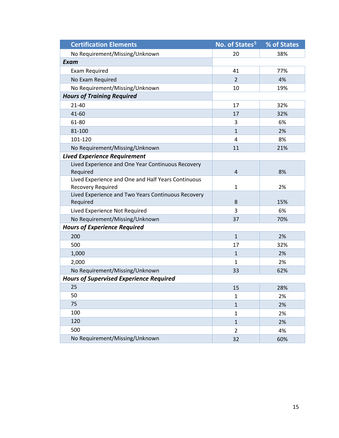| <b>Certification Elements</b>                                  | No. of States <sup>5</sup> | % of States |
|----------------------------------------------------------------|----------------------------|-------------|
| No Requirement/Missing/Unknown                                 | 20                         | 38%         |
| Exam                                                           |                            |             |
| <b>Exam Required</b>                                           | 41                         | 77%         |
| No Exam Required                                               | $\overline{2}$             | 4%          |
| No Requirement/Missing/Unknown                                 | 10                         | 19%         |
| <b>Hours of Training Required</b>                              |                            |             |
| $21 - 40$                                                      | 17                         | 32%         |
| 41-60                                                          | 17                         | 32%         |
| 61-80                                                          | 3                          | 6%          |
| 81-100                                                         | $\mathbf{1}$               | 2%          |
| 101-120                                                        | 4                          | 8%          |
| No Requirement/Missing/Unknown                                 | 11                         | 21%         |
| <b>Lived Experience Requirement</b>                            |                            |             |
| Lived Experience and One Year Continuous Recovery              |                            |             |
| Required                                                       | $\overline{4}$             | 8%          |
| Lived Experience and One and Half Years Continuous             |                            |             |
| <b>Recovery Required</b>                                       | $\mathbf{1}$               | 2%          |
| Lived Experience and Two Years Continuous Recovery<br>Required | 8                          | 15%         |
| Lived Experience Not Required                                  | $\overline{3}$             | 6%          |
| No Requirement/Missing/Unknown                                 | 37                         | 70%         |
| <b>Hours of Experience Required</b>                            |                            |             |
| 200                                                            | $\mathbf{1}$               | 2%          |
| 500                                                            | 17                         | 32%         |
| 1,000                                                          | $\mathbf{1}$               | 2%          |
| 2,000                                                          | $\mathbf{1}$               | 2%          |
| No Requirement/Missing/Unknown                                 | 33                         | 62%         |
| <b>Hours of Supervised Experience Required</b>                 |                            |             |
| 25                                                             | 15                         | 28%         |
| 50                                                             | $\mathbf{1}$               | 2%          |
| 75                                                             | $\mathbf{1}$               | 2%          |
| 100                                                            | $\mathbf{1}$               | 2%          |
| 120                                                            | $\mathbf{1}$               | 2%          |
| 500                                                            | $\overline{2}$             | 4%          |
| No Requirement/Missing/Unknown                                 | 32                         | 60%         |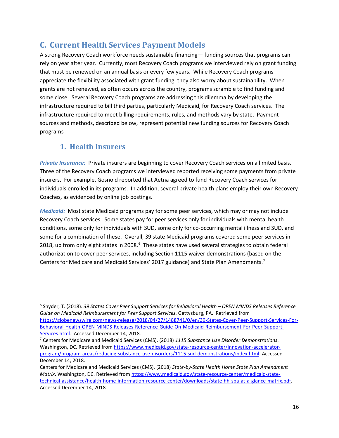# <span id="page-16-0"></span>**C. Current Health Services Payment Models**

A strong Recovery Coach workforce needs sustainable financing— funding sources that programs can rely on year after year. Currently, most Recovery Coach programs we interviewed rely on grant funding that must be renewed on an annual basis or every few years. While Recovery Coach programs appreciate the flexibility associated with grant funding, they also worry about sustainability. When grants are not renewed, as often occurs across the country, programs scramble to find funding and some close. Several Recovery Coach programs are addressing this dilemma by developing the infrastructure required to bill third parties, particularly Medicaid, for Recovery Coach services. The infrastructure required to meet billing requirements, rules, and methods vary by state. Payment sources and methods, described below, represent potential new funding sources for Recovery Coach programs

### **1. Health Insurers**

*Private Insurance:* Private insurers are beginning to cover Recovery Coach services on a limited basis. Three of the Recovery Coach programs we interviewed reported receiving some payments from private insurers. For example, Gosnold reported that Aetna agreed to fund Recovery Coach services for individuals enrolled in its programs. In addition, several private health plans employ their own Recovery Coaches, as evidenced by online job postings.

*Medicaid:* Most state Medicaid programs pay for some peer services, which may or may not include Recovery Coach services. Some states pay for peer services only for individuals with mental health conditions, some only for individuals with SUD, some only for co-occurring mental illness and SUD, and some for a combination of these. Overall, 39 state Medicaid programs covered some peer services in 2018, up from only eight states in 2008.<sup>[6](#page-16-1)</sup> These states have used several strategies to obtain federal authorization to cover peer services, including Section 1115 waiver demonstrations (based on the Centers for Medicare and Medicaid Services' 201[7](#page-16-2) guidance) and State Plan Amendments.<sup>7</sup>

<span id="page-16-1"></span> <sup>6</sup> Snyder, T. (2018). *39 States Cover Peer Support Services for Behavioral Health – OPEN MINDS Releases Reference Guide on Medicaid Reimbursement for Peer Support Services*. Gettysburg, PA. Retrieved from [https://globenewswire.com/news-release/2018/04/27/1488741/0/en/39-States-Cover-Peer-Support-Services-For-](https://globenewswire.com/news-release/2018/04/27/1488741/0/en/39-States-Cover-Peer-Support-Services-For-Behavioral-Health-OPEN-MINDS-Releases-Reference-Guide-On-Medicaid-Reimbursement-For-Peer-Support-Services.html)[Behavioral-Health-OPEN-MINDS-Releases-Reference-Guide-On-Medicaid-Reimbursement-For-Peer-Support-](https://globenewswire.com/news-release/2018/04/27/1488741/0/en/39-States-Cover-Peer-Support-Services-For-Behavioral-Health-OPEN-MINDS-Releases-Reference-Guide-On-Medicaid-Reimbursement-For-Peer-Support-Services.html)[Services.html.](https://globenewswire.com/news-release/2018/04/27/1488741/0/en/39-States-Cover-Peer-Support-Services-For-Behavioral-Health-OPEN-MINDS-Releases-Reference-Guide-On-Medicaid-Reimbursement-For-Peer-Support-Services.html) Accessed December 14, 2018.

<span id="page-16-2"></span><sup>7</sup> Centers for Medicare and Medicaid Services (CMS). (2018) *1115 Substance Use Disorder Demonstrations*. Washington, DC. Retrieved fro[m https://www.medicaid.gov/state-resource-center/innovation-accelerator](https://www.medicaid.gov/state-resource-center/innovation-accelerator-program/program-areas/reducing-substance-use-disorders/1115-sud-demonstrations/index.html)[program/program-areas/reducing-substance-use-disorders/1115-sud-demonstrations/index.html.](https://www.medicaid.gov/state-resource-center/innovation-accelerator-program/program-areas/reducing-substance-use-disorders/1115-sud-demonstrations/index.html) Accessed December 14, 2018.

Centers for Medicare and Medicaid Services (CMS). (2018) *State-by-State Health Home State Plan Amendment Matrix*. Washington, DC. Retrieved fro[m https://www.medicaid.gov/state-resource-center/medicaid-state](https://www.medicaid.gov/state-resource-center/medicaid-state-technical-assistance/health-home-information-resource-center/downloads/state-hh-spa-at-a-glance-matrix.pdf)[technical-assistance/health-home-information-resource-center/downloads/state-hh-spa-at-a-glance-matrix.pdf.](https://www.medicaid.gov/state-resource-center/medicaid-state-technical-assistance/health-home-information-resource-center/downloads/state-hh-spa-at-a-glance-matrix.pdf) Accessed December 14, 2018.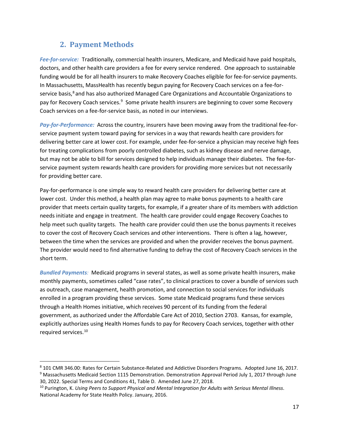### **2. Payment Methods**

*Fee-for-service:* Traditionally, commercial health insurers, Medicare, and Medicaid have paid hospitals, doctors, and other health care providers a fee for every service rendered. One approach to sustainable funding would be for all health insurers to make Recovery Coaches eligible for fee-for-service payments. In Massachusetts, MassHealth has recently begun paying for Recovery Coach services on a fee-for-service basis,<sup>[8](#page-17-0)</sup> and has also authorized Managed Care Organizations and Accountable Organizations to pay for Recovery Coach services.<sup>[9](#page-17-1)</sup> Some private health insurers are beginning to cover some Recovery Coach services on a fee-for-service basis, as noted in our interviews.

*Pay-for-Performance:* Across the country, insurers have been moving away from the traditional fee-forservice payment system toward paying for services in a way that rewards health care providers for delivering better care at lower cost. For example, under fee-for-service a physician may receive high fees for treating complications from poorly controlled diabetes, such as kidney disease and nerve damage, but may not be able to bill for services designed to help individuals manage their diabetes. The fee-forservice payment system rewards health care providers for providing more services but not necessarily for providing better care.

Pay-for-performance is one simple way to reward health care providers for delivering better care at lower cost. Under this method, a health plan may agree to make bonus payments to a health care provider that meets certain quality targets, for example, if a greater share of its members with addiction needs initiate and engage in treatment. The health care provider could engage Recovery Coaches to help meet such quality targets. The health care provider could then use the bonus payments it receives to cover the cost of Recovery Coach services and other interventions. There is often a lag, however, between the time when the services are provided and when the provider receives the bonus payment. The provider would need to find alternative funding to defray the cost of Recovery Coach services in the short term.

*Bundled Payments:* Medicaid programs in several states, as well as some private health insurers, make monthly payments, sometimes called "case rates", to clinical practices to cover a bundle of services such as outreach, case management, health promotion, and connection to social services for individuals enrolled in a program providing these services. Some state Medicaid programs fund these services through a Health Homes initiative, which receives 90 percent of its funding from the federal government, as authorized under the Affordable Care Act of 2010, Section 2703. Kansas, for example, explicitly authorizes using Health Homes funds to pay for Recovery Coach services, together with other required services.[10](#page-17-2) 

<span id="page-17-1"></span><span id="page-17-0"></span> <sup>8</sup> 101 CMR 346.00: Rates for Certain Substance-Related and Addictive Disorders Programs. Adopted June 16, 2017. <sup>9</sup> Massachusetts Medicaid Section 1115 Demonstration. Demonstration Approval Period July 1, 2017 through June 30, 2022. Special Terms and Conditions 41, Table D. Amended June 27, 2018.

<span id="page-17-2"></span><sup>10</sup> Purington, K. *Using Peers to Support Physical and Mental Integration for Adults with Serious Mental Illness*. National Academy for State Health Policy. January, 2016.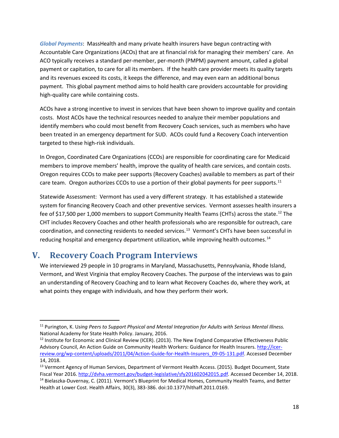*Global Payments*: MassHealth and many private health insurers have begun contracting with Accountable Care Organizations (ACOs) that are at financial risk for managing their members' care. An ACO typically receives a standard per-member, per-month (PMPM) payment amount, called a global payment or capitation, to care for all its members. If the health care provider meets its quality targets and its revenues exceed its costs, it keeps the difference, and may even earn an additional bonus payment. This global payment method aims to hold health care providers accountable for providing high-quality care while containing costs.

ACOs have a strong incentive to invest in services that have been shown to improve quality and contain costs. Most ACOs have the technical resources needed to analyze their member populations and identify members who could most benefit from Recovery Coach services, such as members who have been treated in an emergency department for SUD. ACOs could fund a Recovery Coach intervention targeted to these high-risk individuals.

In Oregon, Coordinated Care Organizations (CCOs) are responsible for coordinating care for Medicaid members to improve members' health, improve the quality of health care services, and contain costs. Oregon requires CCOs to make peer supports (Recovery Coaches) available to members as part of their care team. Oregon authorizes CCOs to use a portion of their global payments for peer supports.<sup>[11](#page-18-1)</sup>

Statewide Assessment: Vermont has used a very different strategy. It has established a statewide system for financing Recovery Coach and other preventive services. Vermont assesses health insurers a fee of \$17,500 per 1,000 members to support Community Health Teams (CHTs) across the state.<sup>[12](#page-18-2)</sup> The CHT includes Recovery Coaches and other health professionals who are responsible for outreach, care coordination, and connecting residents to needed services.<sup>[13](#page-18-3)</sup> Vermont's CHTs have been successful in reducing hospital and emergency department utilization, while improving health outcomes.<sup>[14](#page-18-4)</sup>

# <span id="page-18-0"></span>**V. Recovery Coach Program Interviews**

We interviewed 29 people in 10 programs in Maryland, Massachusetts, Pennsylvania, Rhode Island, Vermont, and West Virginia that employ Recovery Coaches. The purpose of the interviews was to gain an understanding of Recovery Coaching and to learn what Recovery Coaches do, where they work, at what points they engage with individuals, and how they perform their work.

<span id="page-18-1"></span> <sup>11</sup> Purington, K. U*sing Peers to Support Physical and Mental Integration for Adults with Serious Mental Illness.* National Academy for State Health Policy. January, 2016.

<span id="page-18-2"></span><sup>&</sup>lt;sup>12</sup> Institute for Economic and Clinical Review (ICER). (2013). The New England Comparative Effectiveness Public Advisory Council, An Action Guide on Community Health Workers: Guidance for Health Insurers[. http://icer](http://icer-review.org/wp-content/uploads/2011/04/Action-Guide-for-Health-Insurers_09-05-131.pdf)[review.org/wp-content/uploads/2011/04/Action-Guide-for-Health-Insurers\\_09-05-131.pdf.](http://icer-review.org/wp-content/uploads/2011/04/Action-Guide-for-Health-Insurers_09-05-131.pdf) Accessed December 14, 2018.

<span id="page-18-4"></span><span id="page-18-3"></span><sup>&</sup>lt;sup>13</sup> Vermont Agency of Human Services, Department of Vermont Health Access. (2015). Budget Document, State Fiscal Year 2016. [http://dvha.vermont.gov/budget-legislative/sfy201602042015.pdf.](http://dvha.vermont.gov/budget-legislative/sfy201602042015.pdf) Accessed December 14, 2018. <sup>14</sup> Bielaszka-Duvernay, C. (2011). Vermont's Blueprint for Medical Homes, Community Health Teams, and Better Health at Lower Cost. Health Affairs, 30(3), 383-386. doi:10.1377/hlthaff.2011.0169.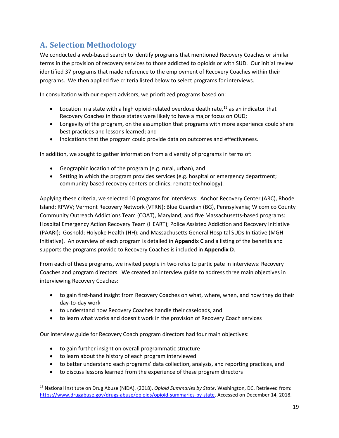# <span id="page-19-0"></span>**A. Selection Methodology**

We conducted a web-based search to identify programs that mentioned Recovery Coaches or similar terms in the provision of recovery services to those addicted to opioids or with SUD. Our initial review identified 37 programs that made reference to the employment of Recovery Coaches within their programs. We then applied five criteria listed below to select programs for interviews.

In consultation with our expert advisors, we prioritized programs based on:

- Location in a state with a high opioid-related overdose death rate,  $15$  as an indicator that Recovery Coaches in those states were likely to have a major focus on OUD;
- Longevity of the program, on the assumption that programs with more experience could share best practices and lessons learned; and
- Indications that the program could provide data on outcomes and effectiveness.

In addition, we sought to gather information from a diversity of programs in terms of:

- Geographic location of the program (e.g. rural, urban), and
- Setting in which the program provides services (e.g. hospital or emergency department; community-based recovery centers or clinics; remote technology).

Applying these criteria, we selected 10 programs for interviews: Anchor Recovery Center (ARC), Rhode Island; RPWV; Vermont Recovery Network (VTRN); Blue Guardian (BG), Pennsylvania; Wicomico County Community Outreach Addictions Team (COAT), Maryland; and five Massachusetts-based programs: Hospital Emergency Action Recovery Team (HEART); Police Assisted Addiction and Recovery Initiative (PAARI); Gosnold; Holyoke Health (HH); and Massachusetts General Hospital SUDs Initiative (MGH Initiative). An overview of each program is detailed in **Appendix C** and a listing of the benefits and supports the programs provide to Recovery Coaches is included in **Appendix D**.

From each of these programs, we invited people in two roles to participate in interviews: Recovery Coaches and program directors. We created an interview guide to address three main objectives in interviewing Recovery Coaches:

- to gain first-hand insight from Recovery Coaches on what, where, when, and how they do their day-to-day work
- to understand how Recovery Coaches handle their caseloads, and
- to learn what works and doesn't work in the provision of Recovery Coach services

Our interview guide for Recovery Coach program directors had four main objectives:

- to gain further insight on overall programmatic structure
- to learn about the history of each program interviewed
- to better understand each programs' data collection, analysis, and reporting practices, and
- to discuss lessons learned from the experience of these program directors

<span id="page-19-1"></span> <sup>15</sup> National Institute on Drug Abuse (NIDA). (2018). *Opioid Summaries by State*. Washington, DC. Retrieved from: [https://www.drugabuse.gov/drugs-abuse/opioids/opioid-summaries-by-state.](https://www.drugabuse.gov/drugs-abuse/opioids/opioid-summaries-by-state) Accessed on December 14, 2018.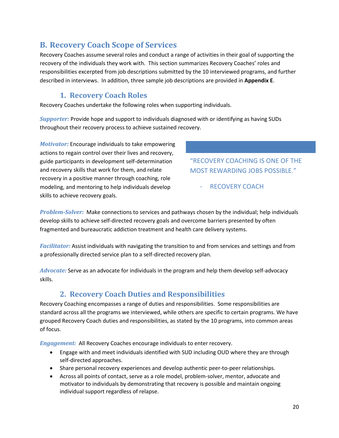# <span id="page-20-0"></span>**B. Recovery Coach Scope of Services**

Recovery Coaches assume several roles and conduct a range of activities in their goal of supporting the recovery of the individuals they work with. This section summarizes Recovery Coaches' roles and responsibilities excerpted from job descriptions submitted by the 10 interviewed programs, and further described in interviews. In addition, three sample job descriptions are provided in **Appendix E**.

### **1. Recovery Coach Roles**

Recovery Coaches undertake the following roles when supporting individuals.

*Supporter:* Provide hope and support to individuals diagnosed with or identifying as having SUDs throughout their recovery process to achieve sustained recovery.

*Motivator:* Encourage individuals to take empowering actions to regain control over their lives and recovery, guide participants in development self-determination and recovery skills that work for them, and relate recovery in a positive manner through coaching, role modeling, and mentoring to help individuals develop skills to achieve recovery goals.

"RECOVERY COACHING IS ONE OF THE MOST REWARDING JOBS POSSIBLE."

- RECOVERY COACH

*Problem-Solver:* Make connections to services and pathways chosen by the individual; help individuals develop skills to achieve self-directed recovery goals and overcome barriers presented by often fragmented and bureaucratic addiction treatment and health care delivery systems.

*Facilitator:* Assist individuals with navigating the transition to and from services and settings and from a professionally directed service plan to a self-directed recovery plan.

*Advocate:* Serve as an advocate for individuals in the program and help them develop self-advocacy skills.

# **2. Recovery Coach Duties and Responsibilities**

Recovery Coaching encompasses a range of duties and responsibilities. Some responsibilities are standard across all the programs we interviewed, while others are specific to certain programs. We have grouped Recovery Coach duties and responsibilities, as stated by the 10 programs, into common areas of focus.

*Engagement:* All Recovery Coaches encourage individuals to enter recovery.

- Engage with and meet individuals identified with SUD including OUD where they are through self-directed approaches.
- Share personal recovery experiences and develop authentic peer-to-peer relationships.
- Across all points of contact, serve as a role model, problem-solver, mentor, advocate and motivator to individuals by demonstrating that recovery is possible and maintain ongoing individual support regardless of relapse.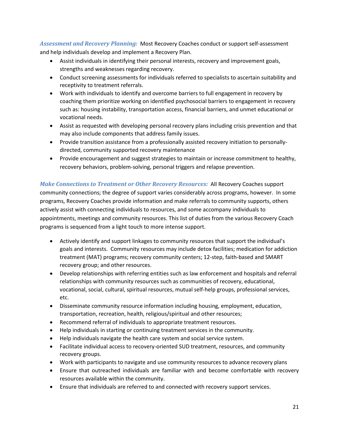*Assessment and Recovery Planning:* Most Recovery Coaches conduct or support self-assessment and help individuals develop and implement a Recovery Plan.

- Assist individuals in identifying their personal interests, recovery and improvement goals, strengths and weaknesses regarding recovery.
- Conduct screening assessments for individuals referred to specialists to ascertain suitability and receptivity to treatment referrals.
- Work with individuals to identify and overcome barriers to full engagement in recovery by coaching them prioritize working on identified psychosocial barriers to engagement in recovery such as: housing instability, transportation access, financial barriers, and unmet educational or vocational needs.
- Assist as requested with developing personal recovery plans including crisis prevention and that may also include components that address family issues.
- Provide transition assistance from a professionally assisted recovery initiation to personallydirected, community supported recovery maintenance
- Provide encouragement and suggest strategies to maintain or increase commitment to healthy, recovery behaviors, problem-solving, personal triggers and relapse prevention.

*Make Connections to Treatment or Other Recovery Resources:* All Recovery Coaches support community connections; the degree of support varies considerably across programs, however. In some programs, Recovery Coaches provide information and make referrals to community supports, others actively assist with connecting individuals to resources, and some accompany individuals to appointments, meetings and community resources. This list of duties from the various Recovery Coach programs is sequenced from a light touch to more intense support.

- Actively identify and support linkages to community resources that support the individual's goals and interests. Community resources may include detox facilities; medication for addiction treatment (MAT) programs; recovery community centers; 12-step, faith-based and SMART recovery group; and other resources.
- Develop relationships with referring entities such as law enforcement and hospitals and referral relationships with community resources such as communities of recovery, educational, vocational, social, cultural, spiritual resources, mutual self-help groups, professional services, etc.
- Disseminate community resource information including housing, employment, education, transportation, recreation, health, religious/spiritual and other resources;
- Recommend referral of individuals to appropriate treatment resources.
- Help individuals in starting or continuing treatment services in the community.
- Help individuals navigate the health care system and social service system.
- Facilitate individual access to recovery-oriented SUD treatment, resources, and community recovery groups.
- Work with participants to navigate and use community resources to advance recovery plans
- Ensure that outreached individuals are familiar with and become comfortable with recovery resources available within the community.
- Ensure that individuals are referred to and connected with recovery support services.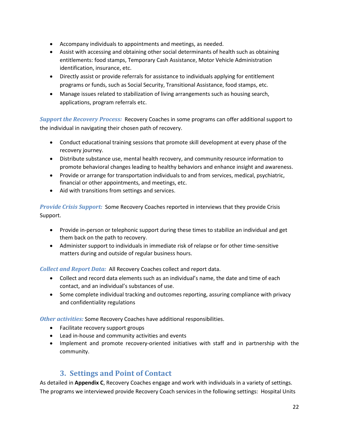- Accompany individuals to appointments and meetings, as needed.
- Assist with accessing and obtaining other social determinants of health such as obtaining entitlements: food stamps, Temporary Cash Assistance, Motor Vehicle Administration identification, insurance, etc.
- Directly assist or provide referrals for assistance to individuals applying for entitlement programs or funds, such as Social Security, Transitional Assistance, food stamps, etc.
- Manage issues related to stabilization of living arrangements such as housing search, applications, program referrals etc.

*Support the Recovery Process:* Recovery Coaches in some programs can offer additional support to the individual in navigating their chosen path of recovery.

- Conduct educational training sessions that promote skill development at every phase of the recovery journey.
- Distribute substance use, mental health recovery, and community resource information to promote behavioral changes leading to healthy behaviors and enhance insight and awareness.
- Provide or arrange for transportation individuals to and from services, medical, psychiatric, financial or other appointments, and meetings, etc.
- Aid with transitions from settings and services.

*Provide Crisis Support:* Some Recovery Coaches reported in interviews that they provide Crisis Support.

- Provide in-person or telephonic support during these times to stabilize an individual and get them back on the path to recovery.
- Administer support to individuals in immediate risk of relapse or for other time-sensitive matters during and outside of regular business hours.

*Collect and Report Data:* All Recovery Coaches collect and report data.

- Collect and record data elements such as an individual's name, the date and time of each contact, and an individual's substances of use.
- Some complete individual tracking and outcomes reporting, assuring compliance with privacy and confidentiality regulations

*Other activities:* Some Recovery Coaches have additional responsibilities.

- Facilitate recovery support groups
- Lead in-house and community activities and events
- Implement and promote recovery-oriented initiatives with staff and in partnership with the community.

### **3. Settings and Point of Contact**

As detailed in **Appendix C**, Recovery Coaches engage and work with individuals in a variety of settings. The programs we interviewed provide Recovery Coach services in the following settings: Hospital Units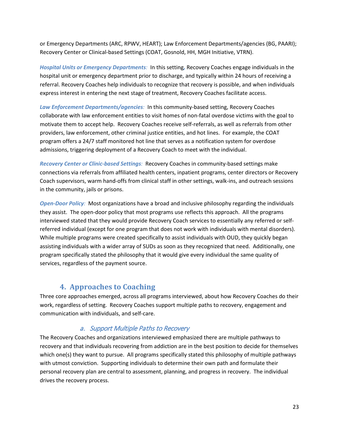or Emergency Departments (ARC, RPWV, HEART); Law Enforcement Departments/agencies (BG, PAARI); Recovery Center or Clinical-based Settings (COAT, Gosnold, HH, MGH Initiative, VTRN).

*Hospital Units or Emergency Departments:* In this setting*,* Recovery Coaches engage individuals in the hospital unit or emergency department prior to discharge, and typically within 24 hours of receiving a referral. Recovery Coaches help individuals to recognize that recovery is possible, and when individuals express interest in entering the next stage of treatment, Recovery Coaches facilitate access.

*Law Enforcement Departments/agencies:* In this community-based setting, Recovery Coaches collaborate with law enforcement entities to visit homes of non-fatal overdose victims with the goal to motivate them to accept help. Recovery Coaches receive self-referrals, as well as referrals from other providers, law enforcement, other criminal justice entities, and hot lines. For example, the COAT program offers a 24/7 staff monitored hot line that serves as a notification system for overdose admissions, triggering deployment of a Recovery Coach to meet with the individual.

*Recovery Center or Clinic-based Settings:* Recovery Coaches in community-based settings make connections via referrals from affiliated health centers, inpatient programs, center directors or Recovery Coach supervisors, warm hand-offs from clinical staff in other settings, walk-ins, and outreach sessions in the community, jails or prisons.

*Open-Door Policy:* Most organizations have a broad and inclusive philosophy regarding the individuals they assist. The open-door policy that most programs use reflects this approach. All the programs interviewed stated that they would provide Recovery Coach services to essentially any referred or selfreferred individual (except for one program that does not work with individuals with mental disorders). While multiple programs were created specifically to assist individuals with OUD, they quickly began assisting individuals with a wider array of SUDs as soon as they recognized that need. Additionally, one program specifically stated the philosophy that it would give every individual the same quality of services, regardless of the payment source.

### **4. Approaches to Coaching**

Three core approaches emerged, across all programs interviewed, about how Recovery Coaches do their work, regardless of setting. Recovery Coaches support multiple paths to recovery, engagement and communication with individuals, and self-care.

### a. Support Multiple Paths to Recovery

The Recovery Coaches and organizations interviewed emphasized there are multiple pathways to recovery and that individuals recovering from addiction are in the best position to decide for themselves which one(s) they want to pursue. All programs specifically stated this philosophy of multiple pathways with utmost conviction. Supporting individuals to determine their own path and formulate their personal recovery plan are central to assessment, planning, and progress in recovery. The individual drives the recovery process.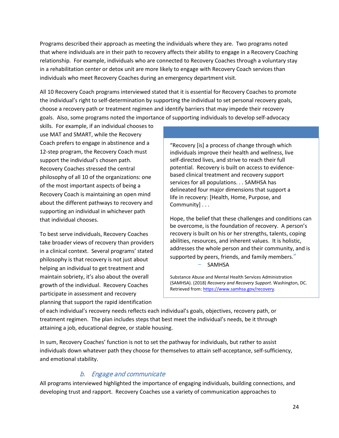Programs described their approach as meeting the individuals where they are. Two programs noted that where individuals are in their path to recovery affects their ability to engage in a Recovery Coaching relationship. For example, individuals who are connected to Recovery Coaches through a voluntary stay in a rehabilitation center or detox unit are more likely to engage with Recovery Coach services than individuals who meet Recovery Coaches during an emergency department visit.

All 10 Recovery Coach programs interviewed stated that it is essential for Recovery Coaches to promote the individual's right to self-determination by supporting the individual to set personal recovery goals, choose a recovery path or treatment regimen and identify barriers that may impede their recovery goals. Also, some programs noted the importance of supporting individuals to develop self-advocacy

skills. For example, if an individual chooses to use MAT and SMART, while the Recovery Coach prefers to engage in abstinence and a 12-step program, the Recovery Coach must support the individual's chosen path. Recovery Coaches stressed the central philosophy of all 10 of the organizations: one of the most important aspects of being a Recovery Coach is maintaining an open mind about the different pathways to recovery and supporting an individual in whichever path that individual chooses.

To best serve individuals, Recovery Coaches take broader views of recovery than providers in a clinical context. Several programs' stated philosophy is that recovery is not just about helping an individual to get treatment and maintain sobriety, it's also about the overall growth of the individual. Recovery Coaches participate in assessment and recovery planning that support the rapid identification

"Recovery [is] a process of change through which individuals improve their health and wellness, live self-directed lives, and strive to reach their full potential. Recovery is built on access to evidencebased clinical treatment and recovery support services for all populations. . . SAMHSA has delineated four major dimensions that support a life in recovery: [Health, Home, Purpose, and Community] . . .

Hope, the belief that these challenges and conditions can be overcome, is the foundation of recovery. A person's recovery is built on his or her strengths, talents, coping abilities, resources, and inherent values. It is holistic, addresses the whole person and their community, and is supported by peers, friends, and family members."

SAMHSA

Substance Abuse and Mental Health Services Administration (SAMHSA). (2018) *Recovery and Recovery Support*. Washington, DC. Retrieved from: [https://www.samhsa.gov/recovery.](https://www.samhsa.gov/recovery)

of each individual's recovery needs reflects each individual's goals, objectives, recovery path, or treatment regimen. The plan includes steps that best meet the individual's needs, be it through attaining a job, educational degree, or stable housing.

In sum, Recovery Coaches' function is not to set the pathway for individuals, but rather to assist individuals down whatever path they choose for themselves to attain self-acceptance, self-sufficiency, and emotional stability.

### b. Engage and communicate

All programs interviewed highlighted the importance of engaging individuals, building connections, and developing trust and rapport. Recovery Coaches use a variety of communication approaches to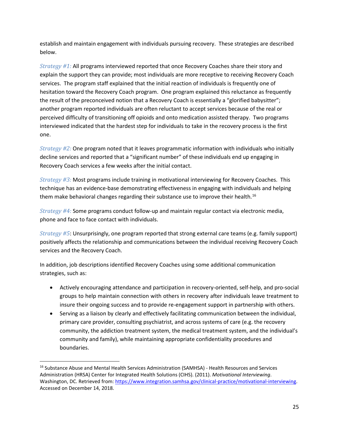establish and maintain engagement with individuals pursuing recovery. These strategies are described below.

*Strategy #1:* All programs interviewed reported that once Recovery Coaches share their story and explain the support they can provide; most individuals are more receptive to receiving Recovery Coach services. The program staff explained that the initial reaction of individuals is frequently one of hesitation toward the Recovery Coach program. One program explained this reluctance as frequently the result of the preconceived notion that a Recovery Coach is essentially a "glorified babysitter"; another program reported individuals are often reluctant to accept services because of the real or perceived difficulty of transitioning off opioids and onto medication assisted therapy. Two programs interviewed indicated that the hardest step for individuals to take in the recovery process is the first one.

*Strategy #2:* One program noted that it leaves programmatic information with individuals who initially decline services and reported that a "significant number" of these individuals end up engaging in Recovery Coach services a few weeks after the initial contact.

*Strategy #3:* Most programs include training in motivational interviewing for Recovery Coaches. This technique has an evidence-base demonstrating effectiveness in engaging with individuals and helping them make behavioral changes regarding their substance use to improve their health.<sup>16</sup>

*Strategy #4:* Some programs conduct follow-up and maintain regular contact via electronic media, phone and face to face contact with individuals.

*Strategy #5*: Unsurprisingly, one program reported that strong external care teams (e.g. family support) positively affects the relationship and communications between the individual receiving Recovery Coach services and the Recovery Coach.

In addition, job descriptions identified Recovery Coaches using some additional communication strategies, such as:

- Actively encouraging attendance and participation in recovery-oriented, self-help, and pro-social groups to help maintain connection with others in recovery after individuals leave treatment to insure their ongoing success and to provide re-engagement support in partnership with others.
- Serving as a liaison by clearly and effectively facilitating communication between the individual, primary care provider, consulting psychiatrist, and across systems of care (e.g. the recovery community, the addiction treatment system, the medical treatment system, and the individual's community and family), while maintaining appropriate confidentiality procedures and boundaries.

<span id="page-25-0"></span><sup>&</sup>lt;sup>16</sup> Substance Abuse and Mental Health Services Administration (SAMHSA) - Health Resources and Services Administration (HRSA) Center for Integrated Health Solutions (CIHS). (2011). *Motivational Interviewing*. Washington, DC. Retrieved from: [https://www.integration.samhsa.gov/clinical-practice/motivational-interviewing.](https://www.integration.samhsa.gov/clinical-practice/motivational-interviewing) Accessed on December 14, 2018.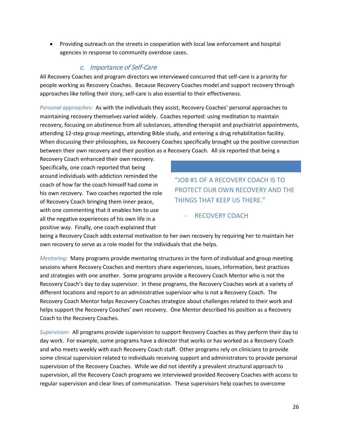• Providing outreach on the streets in cooperation with local law enforcement and hospital agencies in response to community overdose cases.

#### c. Importance of Self-Care

All Recovery Coaches and program directors we interviewed concurred that self-care is a priority for people working as Recovery Coaches. Because Recovery Coaches model and support recovery through approaches like telling their story, self-care is also essential to their effectiveness.

*Personal approaches:* As with the individuals they assist, Recovery Coaches' personal approaches to maintaining recovery themselves varied widely. Coaches reported: using meditation to maintain recovery, focusing on abstinence from all substances, attending therapist and psychiatrist appointments, attending 12-step group meetings, attending Bible study, and entering a drug rehabilitation facility. When discussing their philosophies, six Recovery Coaches specifically brought up the positive connection between their own recovery and their position as a Recovery Coach. All six reported that being a

Recovery Coach enhanced their own recovery. Specifically, one coach reported that being around individuals with addiction reminded the coach of how far the coach himself had come in his own recovery. Two coaches reported the role of Recovery Coach bringing them inner peace, with one commenting that it enables him to use all the negative experiences of his own life in a positive way. Finally, one coach explained that

"JOB #1 OF A RECOVERY COACH IS TO PROTECT OUR OWN RECOVERY AND THE THINGS THAT KEEP US THERE."

RECOVERY COACH

being a Recovery Coach adds external motivation to her own recovery by requiring her to maintain her own recovery to serve as a role model for the individuals that she helps.

*Mentoring:* Many programs provide mentoring structures in the form of individual and group meeting sessions where Recovery Coaches and mentors share experiences, issues, information, best practices and strategies with one another. Some programs provide a Recovery Coach Mentor who is not the Recovery Coach's day to day supervisor. In these programs, the Recovery Coaches work at a variety of different locations and report to an administrative supervisor who is not a Recovery Coach. The Recovery Coach Mentor helps Recovery Coaches strategize about challenges related to their work and helps support the Recovery Coaches' own recovery. One Mentor described his position as a Recovery Coach to the Recovery Coaches.

*Supervision:* All programs provide supervision to support Recovery Coaches as they perform their day to day work. For example, some programs have a director that works or has worked as a Recovery Coach and who meets weekly with each Recovery Coach staff. Other programs rely on clinicians to provide some clinical supervision related to individuals receiving support and administrators to provide personal supervision of the Recovery Coaches. While we did not identify a prevalent structural approach to supervision, all the Recovery Coach programs we interviewed provided Recovery Coaches with access to regular supervision and clear lines of communication. These supervisors help coaches to overcome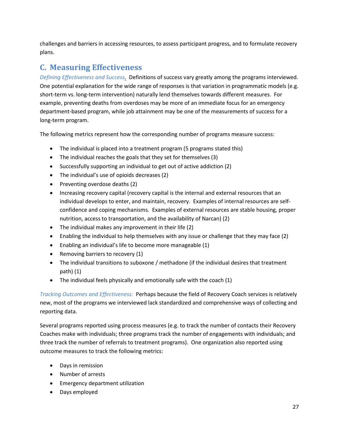challenges and barriers in accessing resources, to assess participant progress, and to formulate recovery plans.

# <span id="page-27-0"></span>**C. Measuring Effectiveness**

*Defining Effectiveness and Success.* Definitions of success vary greatly among the programs interviewed. One potential explanation for the wide range of responses is that variation in programmatic models (e.g. short-term vs. long-term intervention) naturally lend themselves towards different measures. For example, preventing deaths from overdoses may be more of an immediate focus for an emergency department-based program, while job attainment may be one of the measurements of success for a long-term program.

The following metrics represent how the corresponding number of programs measure success:

- The individual is placed into a treatment program (5 programs stated this)
- The individual reaches the goals that they set for themselves (3)
- Successfully supporting an individual to get out of active addiction (2)
- The individual's use of opioids decreases (2)
- Preventing overdose deaths (2)
- Increasing recovery capital (recovery capital is the internal and external resources that an individual develops to enter, and maintain, recovery. Examples of internal resources are selfconfidence and coping mechanisms. Examples of external resources are stable housing, proper nutrition, access to transportation, and the availability of Narcan) (2)
- The individual makes any improvement in their life (2)
- Enabling the individual to help themselves with any issue or challenge that they may face (2)
- Enabling an individual's life to become more manageable (1)
- Removing barriers to recovery (1)
- The individual transitions to suboxone / methadone (if the individual desires that treatment path) (1)
- The individual feels physically and emotionally safe with the coach (1)

*Tracking Outcomes and Effectiveness:* Perhaps because the field of Recovery Coach services is relatively new, most of the programs we interviewed lack standardized and comprehensive ways of collecting and reporting data.

Several programs reported using process measures (e.g. to track the number of contacts their Recovery Coaches make with individuals; three programs track the number of engagements with individuals; and three track the number of referrals to treatment programs). One organization also reported using outcome measures to track the following metrics:

- Days in remission
- Number of arrests
- Emergency department utilization
- Days employed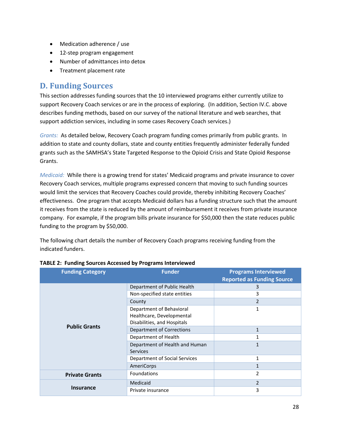- Medication adherence / use
- 12-step program engagement
- Number of admittances into detox
- Treatment placement rate

### <span id="page-28-0"></span>**D. Funding Sources**

This section addresses funding sources that the 10 interviewed programs either currently utilize to support Recovery Coach services or are in the process of exploring. (In addition, Section IV.C. above describes funding methods, based on our survey of the national literature and web searches, that support addiction services, including in some cases Recovery Coach services.)

*Grants:* As detailed below, Recovery Coach program funding comes primarily from public grants. In addition to state and county dollars, state and county entities frequently administer federally funded grants such as the SAMHSA's State Targeted Response to the Opioid Crisis and State Opioid Response Grants.

*Medicaid:* While there is a growing trend for states' Medicaid programs and private insurance to cover Recovery Coach services, multiple programs expressed concern that moving to such funding sources would limit the services that Recovery Coaches could provide, thereby inhibiting Recovery Coaches' effectiveness. One program that accepts Medicaid dollars has a funding structure such that the amount it receives from the state is reduced by the amount of reimbursement it receives from private insurance company. For example, if the program bills private insurance for \$50,000 then the state reduces public funding to the program by \$50,000.

The following chart details the number of Recovery Coach programs receiving funding from the indicated funders.

| <b>Funding Category</b> | <b>Funder</b>                    | <b>Programs Interviewed</b><br><b>Reported as Funding Source</b> |
|-------------------------|----------------------------------|------------------------------------------------------------------|
|                         | Department of Public Health      | 3                                                                |
|                         | Non-specified state entities     | 3                                                                |
|                         | County                           | $\overline{2}$                                                   |
|                         | Department of Behavioral         | 1                                                                |
|                         | Healthcare, Developmental        |                                                                  |
| <b>Public Grants</b>    | Disabilities, and Hospitals      |                                                                  |
|                         | <b>Department of Corrections</b> | 1                                                                |
|                         | Department of Health             | 1                                                                |
|                         | Department of Health and Human   | 1                                                                |
|                         | Services                         |                                                                  |
|                         | Department of Social Services    | 1                                                                |
|                         | AmeriCorps                       | 1                                                                |
| <b>Private Grants</b>   | <b>Foundations</b>               | 2                                                                |
|                         | Medicaid                         | $\overline{2}$                                                   |
| <b>Insurance</b>        | Private insurance                | 3                                                                |

#### **TABLE 2: Funding Sources Accessed by Programs Interviewed**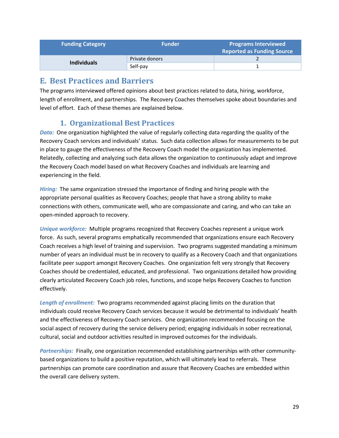| <b>Funding Category</b> | <b>Funder</b>  | <b>Programs Interviewed</b><br><b>Reported as Funding Source</b> |
|-------------------------|----------------|------------------------------------------------------------------|
|                         | Private donors |                                                                  |
| <b>Individuals</b>      | Self-pay       |                                                                  |

### <span id="page-29-0"></span>**E. Best Practices and Barriers**

The programs interviewed offered opinions about best practices related to data, hiring, workforce, length of enrollment, and partnerships. The Recovery Coaches themselves spoke about boundaries and level of effort. Each of these themes are explained below.

### **1. Organizational Best Practices**

*Data:* One organization highlighted the value of regularly collecting data regarding the quality of the Recovery Coach services and individuals' status. Such data collection allows for measurements to be put in place to gauge the effectiveness of the Recovery Coach model the organization has implemented. Relatedly, collecting and analyzing such data allows the organization to continuously adapt and improve the Recovery Coach model based on what Recovery Coaches and individuals are learning and experiencing in the field.

*Hiring:* The same organization stressed the importance of finding and hiring people with the appropriate personal qualities as Recovery Coaches; people that have a strong ability to make connections with others, communicate well, who are compassionate and caring, and who can take an open-minded approach to recovery.

*Unique workforce:* Multiple programs recognized that Recovery Coaches represent a unique work force. As such, several programs emphatically recommended that organizations ensure each Recovery Coach receives a high level of training and supervision. Two programs suggested mandating a minimum number of years an individual must be in recovery to qualify as a Recovery Coach and that organizations facilitate peer support amongst Recovery Coaches. One organization felt very strongly that Recovery Coaches should be credentialed, educated, and professional. Two organizations detailed how providing clearly articulated Recovery Coach job roles, functions, and scope helps Recovery Coaches to function effectively.

Length of enrollment: Two programs recommended against placing limits on the duration that individuals could receive Recovery Coach services because it would be detrimental to individuals' health and the effectiveness of Recovery Coach services. One organization recommended focusing on the social aspect of recovery during the service delivery period; engaging individuals in sober recreational, cultural, social and outdoor activities resulted in improved outcomes for the individuals.

*Partnerships:* Finally, one organization recommended establishing partnerships with other communitybased organizations to build a positive reputation, which will ultimately lead to referrals. These partnerships can promote care coordination and assure that Recovery Coaches are embedded within the overall care delivery system.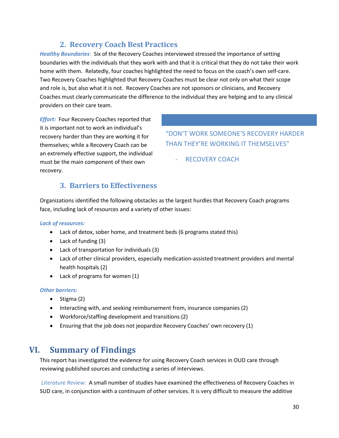### **2. Recovery Coach Best Practices**

*Healthy Boundaries:* Six of the Recovery Coaches interviewed stressed the importance of setting boundaries with the individuals that they work with and that it is critical that they do not take their work home with them. Relatedly, four coaches highlighted the need to focus on the coach's own self-care. Two Recovery Coaches highlighted that Recovery Coaches must be clear not only on what their scope and role is, but also what it is not. Recovery Coaches are not sponsors or clinicians, and Recovery Coaches must clearly communicate the difference to the individual they are helping and to any clinical providers on their care team.

*Effort:* Four Recovery Coaches reported that it is important not to work an individual's recovery harder than they are working it for themselves; while a Recovery Coach can be an extremely effective support, the individual must be the main component of their own recovery.

"DON'T WORK SOMEONE'S RECOVERY HARDER THAN THEY'RE WORKING IT THEMSELVES"

RECOVERY COACH

### **3. Barriers to Effectiveness**

Organizations identified the following obstacles as the largest hurdles that Recovery Coach programs face, including lack of resources and a variety of other issues:

#### *Lack of resources:*

- Lack of detox, sober home, and treatment beds (6 programs stated this)
- Lack of funding (3)
- Lack of transportation for individuals (3)
- Lack of other clinical providers, especially medication-assisted treatment providers and mental health hospitals (2)
- Lack of programs for women (1)

#### *Other barriers:*

- Stigma (2)
- Interacting with, and seeking reimbursement from, insurance companies (2)
- Workforce/staffing development and transitions (2)
- Ensuring that the job does not jeopardize Recovery Coaches' own recovery (1)

### <span id="page-30-0"></span>**VI. Summary of Findings**

This report has investigated the evidence for using Recovery Coach services in OUD care through reviewing published sources and conducting a series of interviews.

*Literature Review:* A small number of studies have examined the effectiveness of Recovery Coaches in SUD care, in conjunction with a continuum of other services. It is very difficult to measure the additive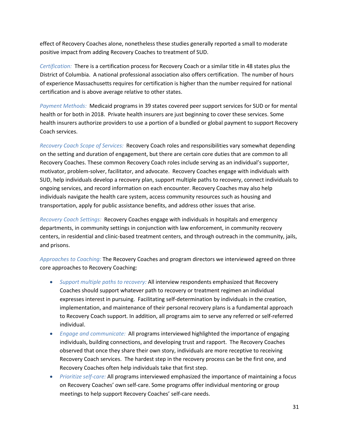effect of Recovery Coaches alone, nonetheless these studies generally reported a small to moderate positive impact from adding Recovery Coaches to treatment of SUD.

*Certification:* There is a certification process for Recovery Coach or a similar title in 48 states plus the District of Columbia. A national professional association also offers certification. The number of hours of experience Massachusetts requires for certification is higher than the number required for national certification and is above average relative to other states.

*Payment Methods:* Medicaid programs in 39 states covered peer support services for SUD or for mental health or for both in 2018. Private health insurers are just beginning to cover these services. Some health insurers authorize providers to use a portion of a bundled or global payment to support Recovery Coach services.

*Recovery Coach Scope of Services:* Recovery Coach roles and responsibilities vary somewhat depending on the setting and duration of engagement, but there are certain core duties that are common to all Recovery Coaches. These common Recovery Coach roles include serving as an individual's supporter, motivator, problem-solver, facilitator, and advocate. Recovery Coaches engage with individuals with SUD, help individuals develop a recovery plan, support multiple paths to recovery, connect individuals to ongoing services, and record information on each encounter. Recovery Coaches may also help individuals navigate the health care system, access community resources such as housing and transportation, apply for public assistance benefits, and address other issues that arise.

*Recovery Coach Settings:* Recovery Coaches engage with individuals in hospitals and emergency departments, in community settings in conjunction with law enforcement, in community recovery centers, in residential and clinic-based treatment centers, and through outreach in the community, jails, and prisons.

*Approaches to Coaching:* The Recovery Coaches and program directors we interviewed agreed on three core approaches to Recovery Coaching:

- *Support multiple paths to recovery:* All interview respondents emphasized that Recovery Coaches should support whatever path to recovery or treatment regimen an individual expresses interest in pursuing. Facilitating self-determination by individuals in the creation, implementation, and maintenance of their personal recovery plans is a fundamental approach to Recovery Coach support. In addition, all programs aim to serve any referred or self-referred individual.
- *Engage and communicate:* All programs interviewed highlighted the importance of engaging individuals, building connections, and developing trust and rapport. The Recovery Coaches observed that once they share their own story, individuals are more receptive to receiving Recovery Coach services. The hardest step in the recovery process can be the first one, and Recovery Coaches often help individuals take that first step.
- *Prioritize self-care:* All programs interviewed emphasized the importance of maintaining a focus on Recovery Coaches' own self-care. Some programs offer individual mentoring or group meetings to help support Recovery Coaches' self-care needs.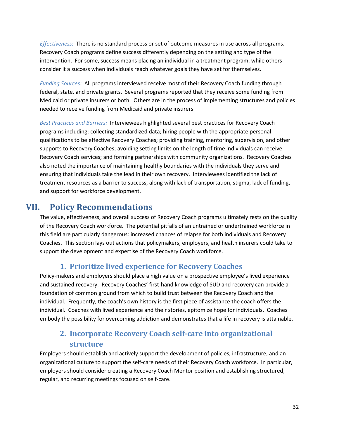*Effectiveness:* There is no standard process or set of outcome measures in use across all programs. Recovery Coach programs define success differently depending on the setting and type of the intervention. For some, success means placing an individual in a treatment program, while others consider it a success when individuals reach whatever goals they have set for themselves.

*Funding Sources:* All programs interviewed receive most of their Recovery Coach funding through federal, state, and private grants. Several programs reported that they receive some funding from Medicaid or private insurers or both. Others are in the process of implementing structures and policies needed to receive funding from Medicaid and private insurers.

*Best Practices and Barriers:* Interviewees highlighted several best practices for Recovery Coach programs including: collecting standardized data; hiring people with the appropriate personal qualifications to be effective Recovery Coaches; providing training, mentoring, supervision, and other supports to Recovery Coaches; avoiding setting limits on the length of time individuals can receive Recovery Coach services; and forming partnerships with community organizations. Recovery Coaches also noted the importance of maintaining healthy boundaries with the individuals they serve and ensuring that individuals take the lead in their own recovery. Interviewees identified the lack of treatment resources as a barrier to success, along with lack of transportation, stigma, lack of funding, and support for workforce development.

# **VII. Policy Recommendations**

<span id="page-32-0"></span>The value, effectiveness, and overall success of Recovery Coach programs ultimately rests on the quality of the Recovery Coach workforce. The potential pitfalls of an untrained or undertrained workforce in this field are particularly dangerous: increased chances of relapse for both individuals and Recovery Coaches. This section lays out actions that policymakers, employers, and health insurers could take to support the development and expertise of the Recovery Coach workforce.

### **1. Prioritize lived experience for Recovery Coaches**

Policy-makers and employers should place a high value on a prospective employee's lived experience and sustained recovery. Recovery Coaches' first-hand knowledge of SUD and recovery can provide a foundation of common ground from which to build trust between the Recovery Coach and the individual. Frequently, the coach's own history is the first piece of assistance the coach offers the individual. Coaches with lived experience and their stories, epitomize hope for individuals. Coaches embody the possibility for overcoming addiction and demonstrates that a life in recovery is attainable.

# **2. Incorporate Recovery Coach self-care into organizational structure**

Employers should establish and actively support the development of policies, infrastructure, and an organizational culture to support the self-care needs of their Recovery Coach workforce. In particular, employers should consider creating a Recovery Coach Mentor position and establishing structured, regular, and recurring meetings focused on self-care.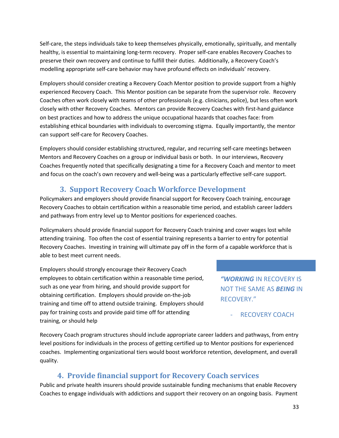Self-care, the steps individuals take to keep themselves physically, emotionally, spiritually, and mentally healthy, is essential to maintaining long-term recovery. Proper self-care enables Recovery Coaches to preserve their own recovery and continue to fulfill their duties. Additionally, a Recovery Coach's modelling appropriate self-care behavior may have profound effects on individuals' recovery.

Employers should consider creating a Recovery Coach Mentor position to provide support from a highly experienced Recovery Coach. This Mentor position can be separate from the supervisor role. Recovery Coaches often work closely with teams of other professionals (e.g. clinicians, police), but less often work closely with other Recovery Coaches. Mentors can provide Recovery Coaches with first-hand guidance on best practices and how to address the unique occupational hazards that coaches face: from establishing ethical boundaries with individuals to overcoming stigma. Equally importantly, the mentor can support self-care for Recovery Coaches.

Employers should consider establishing structured, regular, and recurring self-care meetings between Mentors and Recovery Coaches on a group or individual basis or both. In our interviews, Recovery Coaches frequently noted that specifically designating a time for a Recovery Coach and mentor to meet and focus on the coach's own recovery and well-being was a particularly effective self-care support.

# **3. Support Recovery Coach Workforce Development**

Policymakers and employers should provide financial support for Recovery Coach training, encourage Recovery Coaches to obtain certification within a reasonable time period, and establish career ladders and pathways from entry level up to Mentor positions for experienced coaches.

Policymakers should provide financial support for Recovery Coach training and cover wages lost while attending training. Too often the cost of essential training represents a barrier to entry for potential Recovery Coaches. Investing in training will ultimate pay off in the form of a capable workforce that is able to best meet current needs.

Employers should strongly encourage their Recovery Coach employees to obtain certification within a reasonable time period, such as one year from hiring, and should provide support for obtaining certification. Employers should provide on-the-job training and time off to attend outside training. Employers should pay for training costs and provide paid time off for attending training, or should help

*"WORKING* IN RECOVERY IS NOT THE SAME AS *BEING* IN RECOVERY."

RECOVERY COACH

Recovery Coach program structures should include appropriate career ladders and pathways, from entry level positions for individuals in the process of getting certified up to Mentor positions for experienced coaches. Implementing organizational tiers would boost workforce retention, development, and overall quality.

### **4. Provide financial support for Recovery Coach services**

Public and private health insurers should provide sustainable funding mechanisms that enable Recovery Coaches to engage individuals with addictions and support their recovery on an ongoing basis. Payment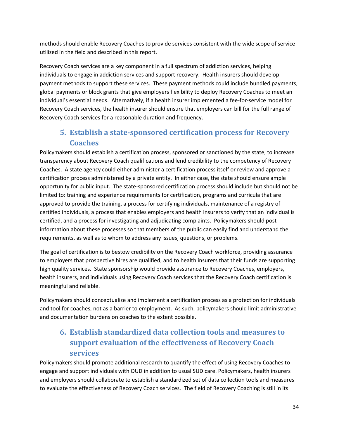methods should enable Recovery Coaches to provide services consistent with the wide scope of service utilized in the field and described in this report.

Recovery Coach services are a key component in a full spectrum of addiction services, helping individuals to engage in addiction services and support recovery. Health insurers should develop payment methods to support these services. These payment methods could include bundled payments, global payments or block grants that give employers flexibility to deploy Recovery Coaches to meet an individual's essential needs. Alternatively, if a health insurer implemented a fee-for-service model for Recovery Coach services, the health insurer should ensure that employers can bill for the full range of Recovery Coach services for a reasonable duration and frequency.

# **5. Establish a state-sponsored certification process for Recovery Coaches**

Policymakers should establish a certification process, sponsored or sanctioned by the state, to increase transparency about Recovery Coach qualifications and lend credibility to the competency of Recovery Coaches. A state agency could either administer a certification process itself or review and approve a certification process administered by a private entity. In either case, the state should ensure ample opportunity for public input. The state-sponsored certification process should include but should not be limited to: training and experience requirements for certification, programs and curricula that are approved to provide the training, a process for certifying individuals, maintenance of a registry of certified individuals, a process that enables employers and health insurers to verify that an individual is certified, and a process for investigating and adjudicating complaints. Policymakers should post information about these processes so that members of the public can easily find and understand the requirements, as well as to whom to address any issues, questions, or problems.

The goal of certification is to bestow credibility on the Recovery Coach workforce, providing assurance to employers that prospective hires are qualified, and to health insurers that their funds are supporting high quality services. State sponsorship would provide assurance to Recovery Coaches, employers, health insurers, and individuals using Recovery Coach services that the Recovery Coach certification is meaningful and reliable.

Policymakers should conceptualize and implement a certification process as a protection for individuals and tool for coaches, not as a barrier to employment. As such, policymakers should limit administrative and documentation burdens on coaches to the extent possible.

# **6. Establish standardized data collection tools and measures to support evaluation of the effectiveness of Recovery Coach services**

Policymakers should promote additional research to quantify the effect of using Recovery Coaches to engage and support individuals with OUD in addition to usual SUD care. Policymakers, health insurers and employers should collaborate to establish a standardized set of data collection tools and measures to evaluate the effectiveness of Recovery Coach services. The field of Recovery Coaching is still in its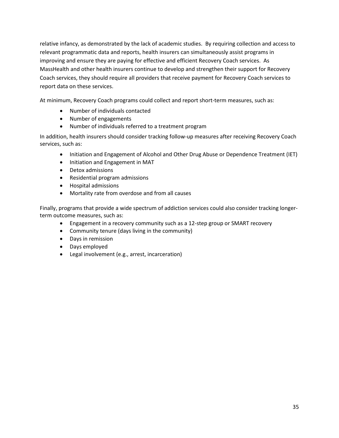relative infancy, as demonstrated by the lack of academic studies. By requiring collection and access to relevant programmatic data and reports, health insurers can simultaneously assist programs in improving and ensure they are paying for effective and efficient Recovery Coach services. As MassHealth and other health insurers continue to develop and strengthen their support for Recovery Coach services, they should require all providers that receive payment for Recovery Coach services to report data on these services.

At minimum, Recovery Coach programs could collect and report short-term measures, such as:

- Number of individuals contacted
- Number of engagements
- Number of individuals referred to a treatment program

In addition, health insurers should consider tracking follow-up measures after receiving Recovery Coach services, such as:

- Initiation and Engagement of Alcohol and Other Drug Abuse or Dependence Treatment (IET)
- Initiation and Engagement in MAT
- Detox admissions
- Residential program admissions
- Hospital admissions
- Mortality rate from overdose and from all causes

Finally, programs that provide a wide spectrum of addiction services could also consider tracking longerterm outcome measures, such as:

- Engagement in a recovery community such as a 12-step group or SMART recovery
- Community tenure (days living in the community)
- Days in remission
- Days employed
- Legal involvement (e.g., arrest, incarceration)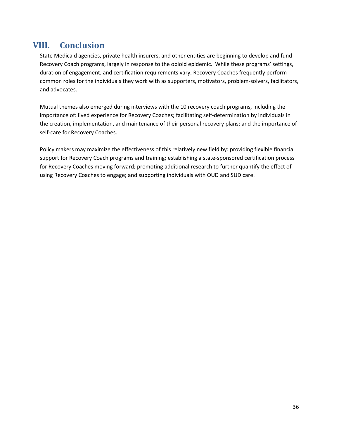# <span id="page-36-0"></span>**VIII. Conclusion**

State Medicaid agencies, private health insurers, and other entities are beginning to develop and fund Recovery Coach programs, largely in response to the opioid epidemic. While these programs' settings, duration of engagement, and certification requirements vary, Recovery Coaches frequently perform common roles for the individuals they work with as supporters, motivators, problem-solvers, facilitators, and advocates.

Mutual themes also emerged during interviews with the 10 recovery coach programs, including the importance of: lived experience for Recovery Coaches; facilitating self-determination by individuals in the creation, implementation, and maintenance of their personal recovery plans; and the importance of self-care for Recovery Coaches.

Policy makers may maximize the effectiveness of this relatively new field by: providing flexible financial support for Recovery Coach programs and training; establishing a state-sponsored certification process for Recovery Coaches moving forward; promoting additional research to further quantify the effect of using Recovery Coaches to engage; and supporting individuals with OUD and SUD care.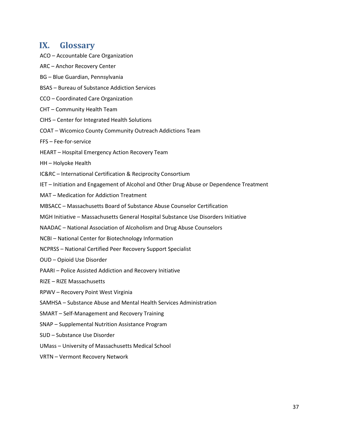### <span id="page-37-0"></span>**IX. Glossary**

- ACO Accountable Care Organization
- ARC Anchor Recovery Center
- BG Blue Guardian, Pennsylvania
- BSAS Bureau of Substance Addiction Services
- CCO Coordinated Care Organization
- CHT Community Health Team
- CIHS Center for Integrated Health Solutions
- COAT Wicomico County Community Outreach Addictions Team
- FFS Fee-for-service
- HEART Hospital Emergency Action Recovery Team
- HH Holyoke Health
- IC&RC International Certification & Reciprocity Consortium
- IET Initiation and Engagement of Alcohol and Other Drug Abuse or Dependence Treatment
- MAT Medication for Addiction Treatment
- MBSACC Massachusetts Board of Substance Abuse Counselor Certification
- MGH Initiative Massachusetts General Hospital Substance Use Disorders Initiative
- NAADAC National Association of Alcoholism and Drug Abuse Counselors
- NCBI National Center for Biotechnology Information
- NCPRSS National Certified Peer Recovery Support Specialist
- OUD Opioid Use Disorder
- PAARI Police Assisted Addiction and Recovery Initiative
- RIZE RIZE Massachusetts
- RPWV Recovery Point West Virginia
- SAMHSA Substance Abuse and Mental Health Services Administration
- SMART Self-Management and Recovery Training
- SNAP Supplemental Nutrition Assistance Program
- SUD Substance Use Disorder
- UMass University of Massachusetts Medical School
- VRTN Vermont Recovery Network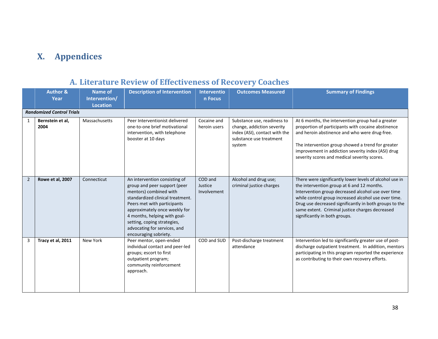# **X. Appendices**

#### <span id="page-38-1"></span><span id="page-38-0"></span>**Author & Year Name of Intervention/ Location Description of Intervention Interventio n Focus Outcomes Measured Summary of Findings** *Randomized Control Trials* 1 **Bernstein et al, 2004** Massachusetts | Peer Interventionist delivered one-to-one brief motivational intervention, with telephone booster at 10 days Cocaine and heroin users Substance use, readiness to change, addiction severity index (ASI), contact with the substance use treatment system At 6 months, the intervention group had a greater proportion of participants with cocaine abstinence and heroin abstinence and who were drug-free. The intervention group showed a trend for greater improvement in addiction severity index (ASI) drug severity scores and medical severity scores. 2 **Rowe et al, 2007** Connecticut An intervention consisting of group and peer support (peer mentors) combined with standardized clinical treatment. Peers met with participants approximately once weekly for 4 months, helping with goalsetting, coping strategies, advocating for services, and encouraging sobriety. COD and Justice Involvement Alcohol and drug use; criminal justice charges There were significantly lower levels of alcohol use in the intervention group at 6 and 12 months. Intervention group decreased alcohol use over time while control group increased alcohol use over time. Drug use decreased significantly in both groups to the same extent. Criminal justice charges decreased significantly in both groups. 3 **Tracy et al, 2011** New York Peer mentor, open-ended individual contact and peer-led groups; escort to first outpatient program; community reinforcement approach. COD and SUD | Post-discharge treatment attendance Intervention led to significantly greater use of postdischarge outpatient treatment. In addition, mentors participating in this program reported the experience as contributing to their own recovery efforts.

# **A. Literature Review of Effectiveness of Recovery Coaches**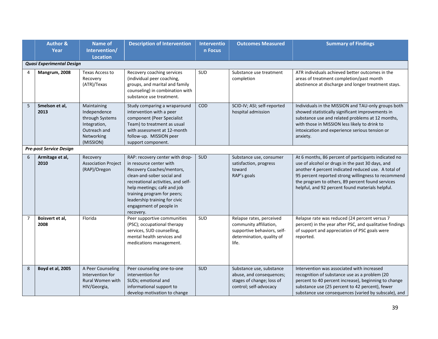|                | <b>Author &amp;</b><br>Year    | <b>Name of</b><br>Intervention/<br><b>Location</b>                                                        | <b>Description of Intervention</b>                                                                                                                                                                                                                                                                 | <b>Interventio</b><br>n Focus | <b>Outcomes Measured</b>                                                                                                | <b>Summary of Findings</b>                                                                                                                                                                                                                                                                                                     |
|----------------|--------------------------------|-----------------------------------------------------------------------------------------------------------|----------------------------------------------------------------------------------------------------------------------------------------------------------------------------------------------------------------------------------------------------------------------------------------------------|-------------------------------|-------------------------------------------------------------------------------------------------------------------------|--------------------------------------------------------------------------------------------------------------------------------------------------------------------------------------------------------------------------------------------------------------------------------------------------------------------------------|
|                | Quasi Experimental Design      |                                                                                                           |                                                                                                                                                                                                                                                                                                    |                               |                                                                                                                         |                                                                                                                                                                                                                                                                                                                                |
| 4              | Mangrum, 2008                  | Texas Access to<br>Recovery<br>(ATR)/Texas                                                                | Recovery coaching services<br>(individual peer coaching,<br>groups, and marital and family<br>counseling) in combination with<br>substance use treatment.                                                                                                                                          | SUD                           | Substance use treatment<br>completion                                                                                   | ATR individuals achieved better outcomes in the<br>areas of treatment completion/past month<br>abstinence at discharge and longer treatment stays.                                                                                                                                                                             |
| 5              | Smelson et al,<br>2013         | Maintaining<br>Independence<br>through Systems<br>Integration,<br>Outreach and<br>Networking<br>(MISSION) | Study comparing a wraparound<br>intervention with a peer<br>component (Peer Specialist<br>Team) to treatment as usual<br>with assessment at 12-month<br>follow-up. MISSION peer<br>support component.                                                                                              | COD                           | SCID-IV; ASI; self-reported<br>hospital admission                                                                       | Individuals in the MISSION and TAU-only groups both<br>showed statistically significant improvements in<br>substance use and related problems at 12 months,<br>with those in MISSION less likely to drink to<br>intoxication and experience serious tension or<br>anxiety.                                                     |
|                | <b>Pre-post Service Design</b> |                                                                                                           |                                                                                                                                                                                                                                                                                                    |                               |                                                                                                                         |                                                                                                                                                                                                                                                                                                                                |
| 6              | Armitage et al,<br>2010        | Recovery<br><b>Association Project</b><br>(RAP)/Oregon                                                    | RAP: recovery center with drop-<br>in resource center with<br>Recovery Coaches/mentors,<br>clean-and-sober social and<br>recreational activities, and self-<br>help meetings; café and job<br>training program for peers;<br>leadership training for civic<br>engagement of people in<br>recovery. | SUD                           | Substance use, consumer<br>satisfaction, progress<br>toward<br>RAP's goals                                              | At 6 months, 86 percent of participants indicated no<br>use of alcohol or drugs in the past 30 days, and<br>another 4 percent indicated reduced use. A total of<br>95 percent reported strong willingness to recommend<br>the program to others, 89 percent found services<br>helpful, and 92 percent found materials helpful. |
| $\overline{7}$ | Boisvert et al,<br>2008        | Florida                                                                                                   | Peer supportive communities<br>(PSC); occupational therapy<br>services, SUD counselling,<br>mental health services and<br>medications management.                                                                                                                                                  | SUD                           | Relapse rates, perceived<br>community affiliation,<br>supportive behaviors, self-<br>determination, quality of<br>life. | Relapse rate was reduced (24 percent versus 7<br>percent) in the year after PSC, and qualitative findings<br>of support and appreciation of PSC goals were<br>reported.                                                                                                                                                        |
| 8              | Boyd et al, 2005               | A Peer Counseling<br>Intervention for<br><b>Rural Women with</b><br>HIV/Georgia,                          | Peer counseling one-to-one<br>intervention for<br>SUDs; emotional and<br>informational support to<br>develop motivation to change                                                                                                                                                                  | SUD                           | Substance use, substance<br>abuse, and consequences;<br>stages of change; loss of<br>control; self-advocacy             | Intervention was associated with increased<br>recognition of substance use as a problem (20<br>percent to 40 percent increase), beginning to change<br>substance use (25 percent to 42 percent), fewer<br>substance use consequences (varied by subscale), and                                                                 |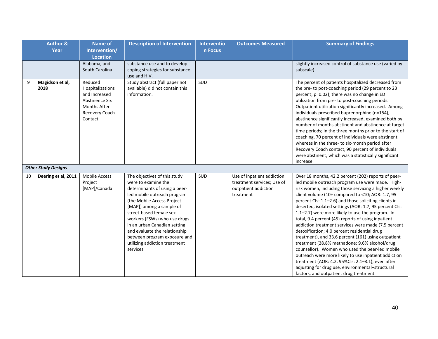|    | <b>Author &amp;</b>        | <b>Name of</b>                                                                                                            | <b>Description of Intervention</b>                                                                                                                                                                                                                                                                                                                                                      | Interventio | <b>Outcomes Measured</b>                                                                      | <b>Summary of Findings</b>                                                                                                                                                                                                                                                                                                                                                                                                                                                                                                                                                                                                                                                                                                                                                                                                                                                                                                      |
|----|----------------------------|---------------------------------------------------------------------------------------------------------------------------|-----------------------------------------------------------------------------------------------------------------------------------------------------------------------------------------------------------------------------------------------------------------------------------------------------------------------------------------------------------------------------------------|-------------|-----------------------------------------------------------------------------------------------|---------------------------------------------------------------------------------------------------------------------------------------------------------------------------------------------------------------------------------------------------------------------------------------------------------------------------------------------------------------------------------------------------------------------------------------------------------------------------------------------------------------------------------------------------------------------------------------------------------------------------------------------------------------------------------------------------------------------------------------------------------------------------------------------------------------------------------------------------------------------------------------------------------------------------------|
|    | Year                       | Intervention/                                                                                                             |                                                                                                                                                                                                                                                                                                                                                                                         | n Focus     |                                                                                               |                                                                                                                                                                                                                                                                                                                                                                                                                                                                                                                                                                                                                                                                                                                                                                                                                                                                                                                                 |
|    |                            | <b>Location</b>                                                                                                           |                                                                                                                                                                                                                                                                                                                                                                                         |             |                                                                                               |                                                                                                                                                                                                                                                                                                                                                                                                                                                                                                                                                                                                                                                                                                                                                                                                                                                                                                                                 |
|    |                            | Alabama, and                                                                                                              | substance use and to develop                                                                                                                                                                                                                                                                                                                                                            |             |                                                                                               | slightly increased control of substance use (varied by                                                                                                                                                                                                                                                                                                                                                                                                                                                                                                                                                                                                                                                                                                                                                                                                                                                                          |
|    |                            | South Carolina                                                                                                            | coping strategies for substance                                                                                                                                                                                                                                                                                                                                                         |             |                                                                                               | subscale).                                                                                                                                                                                                                                                                                                                                                                                                                                                                                                                                                                                                                                                                                                                                                                                                                                                                                                                      |
|    |                            |                                                                                                                           | use and HIV.                                                                                                                                                                                                                                                                                                                                                                            |             |                                                                                               |                                                                                                                                                                                                                                                                                                                                                                                                                                                                                                                                                                                                                                                                                                                                                                                                                                                                                                                                 |
| 9  | Magidson et al,<br>2018    | Reduced<br>Hospitalizations<br>and Increased<br><b>Abstinence Six</b><br><b>Months After</b><br>Recovery Coach<br>Contact | Study abstract (full paper not<br>available) did not contain this<br>information.                                                                                                                                                                                                                                                                                                       | SUD         |                                                                                               | The percent of patients hospitalized decreased from<br>the pre- to post-coaching period (29 percent to 23<br>percent; p=0.02); there was no change in ED<br>utilization from pre- to post-coaching periods.<br>Outpatient utilization significantly increased. Among<br>individuals prescribed buprenorphine (n=154),<br>abstinence significantly increased, examined both by<br>number of months abstinent and abstinence at target<br>time periods; in the three months prior to the start of<br>coaching, 70 percent of individuals were abstinent<br>whereas in the three- to six-month period after<br>Recovery Coach contact, 90 percent of individuals<br>were abstinent, which was a statistically significant<br>increase.                                                                                                                                                                                             |
|    | <b>Other Study Designs</b> |                                                                                                                           |                                                                                                                                                                                                                                                                                                                                                                                         |             |                                                                                               |                                                                                                                                                                                                                                                                                                                                                                                                                                                                                                                                                                                                                                                                                                                                                                                                                                                                                                                                 |
| 10 | Deering et al, 2011        | <b>Mobile Access</b><br>Project<br>[MAP]/Canada                                                                           | The objectives of this study<br>were to examine the<br>determinants of using a peer-<br>led mobile outreach program<br>(the Mobile Access Project<br>[MAP]) among a sample of<br>street-based female sex<br>workers (FSWs) who use drugs<br>in an urban Canadian setting<br>and evaluate the relationship<br>between program exposure and<br>utilizing addiction treatment<br>services. | SUD         | Use of inpatient addiction<br>treatment services; Use of<br>outpatient addiction<br>treatment | Over 18 months, 42.2 percent (202) reports of peer-<br>led mobile outreach program use were made. High-<br>risk women, including those servicing a higher weekly<br>client volume (10+ compared to <10; AOR: 1.7, 95<br>percent CIs: 1.1-2.6) and those soliciting clients in<br>deserted, isolated settings (AOR: 1.7, 95 percent CIs:<br>1.1-2.7) were more likely to use the program. In<br>total, 9.4 percent (45) reports of using inpatient<br>addiction treatment services were made (7.5 percent<br>detoxification; 4.0 percent residential drug<br>treatment), and 33.6 percent (161) using outpatient<br>treatment (28.8% methadone; 9.6% alcohol/drug<br>counsellor). Women who used the peer-led mobile<br>outreach were more likely to use inpatient addiction<br>treatment (AOR: 4.2, 95%CIs: 2.1-8.1), even after<br>adjusting for drug use, environmental-structural<br>factors, and outpatient drug treatment. |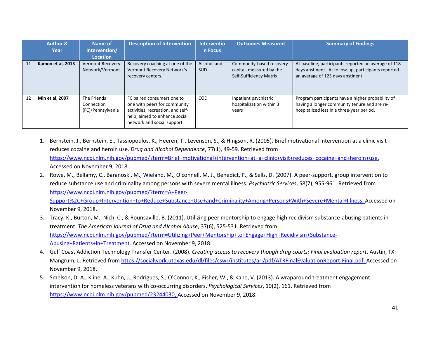|    | <b>Author &amp;</b><br>Year | Name of<br>Intervention/<br>Location           | <b>Description of Intervention</b>                                                                                                                              | Interventio<br>n Focus    | <b>Outcomes Measured</b>                                                        | <b>Summary of Findings</b>                                                                                                                       |
|----|-----------------------------|------------------------------------------------|-----------------------------------------------------------------------------------------------------------------------------------------------------------------|---------------------------|---------------------------------------------------------------------------------|--------------------------------------------------------------------------------------------------------------------------------------------------|
| 11 | Kamon et al, 2013           | <b>Vermont Recovery</b><br>Network/Vermont     | Recovery coaching at one of the<br>Vermont Recovery Network's<br>recovery centers.                                                                              | Alcohol and<br><b>SUD</b> | Community-based recovery<br>capital, measured by the<br>Self-Sufficiency Matrix | At baseline, participants reported an average of 118<br>days abstinent. At follow-up, participants reported<br>an average of 123 days abstinent. |
| 12 | Min et al, 2007             | The Friends<br>Connection<br>(FC)/Pennsylvania | FC paired consumers one to<br>one with peers for community<br>activities, recreation, and self-<br>help; aimed to enhance social<br>network and social support. | <b>COD</b>                | Inpatient psychiatric<br>hospitalization within 3<br>years                      | Program participants have a higher probability of<br>having a longer community tenure and are re-<br>hospitalized less in a three-year period.   |

- 1. Bernstein, J., Bernstein, E., Tassiopoulos, K., Heeren, T., Levenson, S., & Hingson, R. (2005). Brief motivational intervention at a clinic visit reduces cocaine and heroin use. *Drug and Alcohol Dependence*, 77(1), 49-59. Retrieved from [https://www.ncbi.nlm.nih.gov/pubmed/?term=Brief+motivational+intervention+at+a+clinic+visit+reduces+cocaine+and+heroin+use.](https://www.ncbi.nlm.nih.gov/pubmed/?term=Brief+motivational+intervention+at+a+clinic+visit+reduces+cocaine+and+heroin+use) Accessed on November 9, 2018.
- 2. Rowe, M., Bellamy, C., Baranoski, M., Wieland, M., O'connell, M. J., Benedict, P., & Sells, D. (2007). A peer-support, group intervention to reduce substance use and criminality among persons with severe mental illness. *Psychiatric Services*, 58(7), 955-961. Retrieved from [https://www.ncbi.nlm.nih.gov/pubmed/?term=A+Peer-](https://www.ncbi.nlm.nih.gov/pubmed/?term=A+Peer-Support%2C+Group+Intervention+to+Reduce+Substance+Use+and+Criminality+Among+Persons+With+Severe+Mental+Illness)[Support%2C+Group+Intervention+to+Reduce+Substance+Use+and+Criminality+Among+Persons+With+Severe+Mental+Illness.](https://www.ncbi.nlm.nih.gov/pubmed/?term=A+Peer-Support%2C+Group+Intervention+to+Reduce+Substance+Use+and+Criminality+Among+Persons+With+Severe+Mental+Illness) Accessed on

November 9, 2018.

- 3. Tracy, K., Burton, M., Nich, C., & Rounsaville, B. (2011). Utilizing peer mentorship to engage high recidivism substance-abusing patients in treatment. *The American Journal of Drug and Alcohol Abuse*, 37(6), 525-531. Retrieved from [https://www.ncbi.nlm.nih.gov/pubmed/?term=Utilizing+Peer+Mentorship+to+Engage+High+Recidivism+Substance-](https://www.ncbi.nlm.nih.gov/pubmed/?term=Utilizing+Peer+Mentorship+to+Engage+High+Recidivism+Substance-Abusing+Patients+in+Treatment)[Abusing+Patients+in+Treatment.](https://www.ncbi.nlm.nih.gov/pubmed/?term=Utilizing+Peer+Mentorship+to+Engage+High+Recidivism+Substance-Abusing+Patients+in+Treatment) Accessed on November 9, 2018.
- 4. Gulf Coast Addiction Technology Transfer Center. (2008). *Creating access to recovery though drug courts: Final evaluation report*. Austin, TX: Mangrum, L. Retrieved from [https://socialwork.utexas.edu/dl/files/cswr/institutes/ari/pdf/ATRFinalEvaluationReport-Final.pdf.](https://socialwork.utexas.edu/dl/files/cswr/institutes/ari/pdf/ATRFinalEvaluationReport-Final.pdf) Accessed on November 9, 2018.
- 5. Smelson, D. A., Kline, A., Kuhn, J., Rodrigues, S., O'Connor, K., Fisher, W., & Kane, V. (2013). A wraparound treatment engagement intervention for homeless veterans with co-occurring disorders. *Psychological Services*, 10(2), 161. Retrieved from [https://www.ncbi.nlm.nih.gov/pubmed/23244030.](https://www.ncbi.nlm.nih.gov/pubmed/23244030) Accessed on November 9, 2018.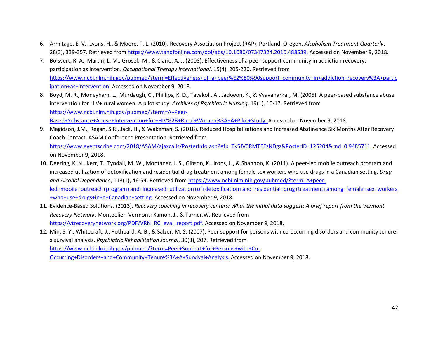- 6. Armitage, E. V., Lyons, H., & Moore, T. L. (2010). Recovery Association Project (RAP), Portland, Oregon. *Alcoholism Treatment Quarterly*, 28(3), 339-357. Retrieved from [https://www.tandfonline.com/doi/abs/10.1080/07347324.2010.488539.](https://www.tandfonline.com/doi/abs/10.1080/07347324.2010.488539) Accessed on November 9, 2018.
- 7. Boisvert, R. A., Martin, L. M., Grosek, M., & Clarie, A. J. (2008). Effectiveness of a peer-support community in addiction recovery: participation as intervention. *Occupational Therapy International*, 15(4), 205-220. Retrieved from [https://www.ncbi.nlm.nih.gov/pubmed/?term=Effectiveness+of+a+peer%E2%80%90support+community+in+addiction+recovery%3A+partic](https://www.ncbi.nlm.nih.gov/pubmed/?term=Effectiveness+of+a+peer%E2%80%90support+community+in+addiction+recovery%3A+participation+as+intervention) [ipation+as+intervention.](https://www.ncbi.nlm.nih.gov/pubmed/?term=Effectiveness+of+a+peer%E2%80%90support+community+in+addiction+recovery%3A+participation+as+intervention) Accessed on November 9, 2018.
- 8. Boyd, M. R., Moneyham, L., Murdaugh, C., Phillips, K. D., Tavakoli, A., Jackwon, K., & Vyavaharkar, M. (2005). A peer-based substance abuse intervention for HIV+ rural women: A pilot study. *Archives of Psychiatric Nursing*, 19(1), 10-17. Retrieved from [https://www.ncbi.nlm.nih.gov/pubmed/?term=A+Peer-](https://www.ncbi.nlm.nih.gov/pubmed/?term=A+Peer-Based+Substance+Abuse+Intervention+for+HIV%2B+Rural+Women%3A+A+Pilot+Study)[Based+Substance+Abuse+Intervention+for+HIV%2B+Rural+Women%3A+A+Pilot+Study.](https://www.ncbi.nlm.nih.gov/pubmed/?term=A+Peer-Based+Substance+Abuse+Intervention+for+HIV%2B+Rural+Women%3A+A+Pilot+Study) Accessed on November 9, 2018.
- 9. Magidson, J.M., Regan, S.R., Jack, H., & Wakeman, S. (2018). Reduced Hospitalizations and Increased Abstinence Six Months After Recovery Coach Contact. ASAM Conference Presentation. Retrieved from [https://www.eventscribe.com/2018/ASAM/ajaxcalls/PosterInfo.asp?efp=Tk5JV0RMTEEzNDgz&PosterID=125204&rnd=0.9485711.](https://www.eventscribe.com/2018/ASAM/ajaxcalls/PosterInfo.asp?efp=Tk5JV0RMTEEzNDgz&PosterID=125204&rnd=0.9485711) Accessed on November 9, 2018.
- 10. Deering, K. N., Kerr, T., Tyndall, M. W., Montaner, J. S., Gibson, K., Irons, L., & Shannon, K. (2011). A peer-led mobile outreach program and increased utilization of detoxification and residential drug treatment among female sex workers who use drugs in a Canadian setting. *Drug and Alcohol Dependence*, 113(1), 46-54. Retrieved from [https://www.ncbi.nlm.nih.gov/pubmed/?term=A+peer](https://www.ncbi.nlm.nih.gov/pubmed/?term=A+peer-led+mobile+outreach+program+and+increased+utilization+of+detoxification+and+residential+drug+treatment+among+female+sex+workers+who+use+drugs+in+a+Canadian+setting)[led+mobile+outreach+program+and+increased+utilization+of+detoxification+and+residential+drug+treatment+among+female+sex+workers](https://www.ncbi.nlm.nih.gov/pubmed/?term=A+peer-led+mobile+outreach+program+and+increased+utilization+of+detoxification+and+residential+drug+treatment+among+female+sex+workers+who+use+drugs+in+a+Canadian+setting) [+who+use+drugs+in+a+Canadian+setting.](https://www.ncbi.nlm.nih.gov/pubmed/?term=A+peer-led+mobile+outreach+program+and+increased+utilization+of+detoxification+and+residential+drug+treatment+among+female+sex+workers+who+use+drugs+in+a+Canadian+setting) Accessed on November 9, 2018.
- 11. Evidence-Based Solutions. (2013). *Recovery coaching in recovery centers: What the initial data suggest: A brief report from the Vermont Recovery Network*. Montpelier, Vermont: Kamon, J., & Turner,W. Retrieved from [https://vtrecoverynetwork.org/PDF/VRN\\_RC\\_eval\\_report.pdf.](https://vtrecoverynetwork.org/PDF/VRN_RC_eval_report.pdf) Accessed on November 9, 2018.
- 12. Min, S. Y., Whitecraft, J., Rothbard, A. B., & Salzer, M. S. (2007). Peer support for persons with co-occurring disorders and community tenure: a survival analysis. *Psychiatric Rehabilitation Journal*, 30(3), 207. Retrieved from [https://www.ncbi.nlm.nih.gov/pubmed/?term=Peer+Support+for+Persons+with+Co-](https://www.ncbi.nlm.nih.gov/pubmed/?term=Peer+Support+for+Persons+with+Co-Occurring+Disorders+and+Community+Tenure%3A+A+Survival+Analysis)[Occurring+Disorders+and+Community+Tenure%3A+A+Survival+Analysis.](https://www.ncbi.nlm.nih.gov/pubmed/?term=Peer+Support+for+Persons+with+Co-Occurring+Disorders+and+Community+Tenure%3A+A+Survival+Analysis) Accessed on November 9, 2018.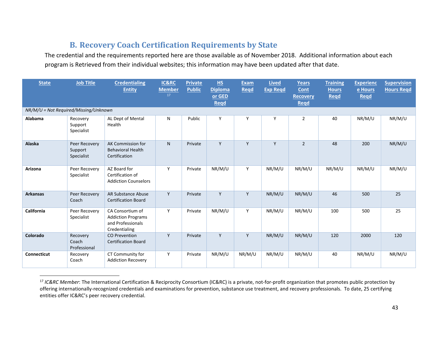# <span id="page-43-1"></span>**B. Recovery Coach Certification Requirements by State**

The credential and the requirements reported here are those available as of November 2018. Additional information about each program is Retrieved from their individual websites; this information may have been updated after that date.

<span id="page-43-0"></span>

| <b>State</b>                          | <b>Job Title</b>                       | <b>Credentialing</b><br><b>Entity</b>                                               | IC&RC<br><b>Member</b><br>17 | <b>Private</b><br><b>Public</b> | HS<br><b>Diploma</b><br>or GED<br>Regd | <b>Exam</b><br><b>Regd</b> | <b>Lived</b><br><b>Exp Regd</b> | <b>Years</b><br>Cont<br><b>Recovery</b><br><b>Regd</b> | <b>Training</b><br><b>Hours</b><br><b>Regd</b> | <b>Experienc</b><br>e Hours<br><b>Regd</b> | <b>Supervision</b><br><b>Hours Regd</b> |  |
|---------------------------------------|----------------------------------------|-------------------------------------------------------------------------------------|------------------------------|---------------------------------|----------------------------------------|----------------------------|---------------------------------|--------------------------------------------------------|------------------------------------------------|--------------------------------------------|-----------------------------------------|--|
| NR/M/U = Not Required/Missing/Unknown |                                        |                                                                                     |                              |                                 |                                        |                            |                                 |                                                        |                                                |                                            |                                         |  |
| Alabama                               | Recovery<br>Support<br>Specialist      | AL Dept of Mental<br>Health                                                         | N                            | Public                          | Y                                      | Y                          | Y                               | $\overline{2}$                                         | 40                                             | NR/M/U                                     | NR/M/U                                  |  |
| Alaska                                | Peer Recovery<br>Support<br>Specialist | AK Commission for<br><b>Behavioral Health</b><br>Certification                      | N.                           | Private                         | Y                                      | Y                          | Y                               | $\overline{2}$                                         | 48                                             | 200                                        | NR/M/U                                  |  |
| Arizona                               | Peer Recovery<br>Specialist            | AZ Board for<br>Certification of<br><b>Addiction Counselors</b>                     | Y                            | Private                         | NR/M/U                                 | Y                          | NR/M/U                          | NR/M/U                                                 | NR/M/U                                         | NR/M/U                                     | NR/M/U                                  |  |
| <b>Arkansas</b>                       | Peer Recovery<br>Coach                 | AR Substance Abuse<br><b>Certification Board</b>                                    | Y                            | Private                         | Y                                      | Y                          | NR/M/U                          | NR/M/U                                                 | 46                                             | 500                                        | 25                                      |  |
| California                            | Peer Recovery<br>Specialist            | CA Consortium of<br><b>Addiction Programs</b><br>and Professionals<br>Credentialing | Y                            | Private                         | NR/M/U                                 | Y                          | NR/M/U                          | NR/M/U                                                 | 100                                            | 500                                        | 25                                      |  |
| Colorado                              | Recovery<br>Coach<br>Professional      | <b>CO Prevention</b><br><b>Certification Board</b>                                  | Y                            | Private                         | Y                                      | Y                          | NR/M/U                          | NR/M/U                                                 | 120                                            | 2000                                       | 120                                     |  |
| <b>Connecticut</b>                    | Recovery<br>Coach                      | CT Community for<br><b>Addiction Recovery</b>                                       | Y                            | Private                         | NR/M/U                                 | NR/M/U                     | NR/M/U                          | NR/M/U                                                 | 40                                             | NR/M/U                                     | NR/M/U                                  |  |

<sup>&</sup>lt;sup>17</sup> IC&RC Member: The International Certification & Reciprocity Consortium (IC&RC) is a private, not-for-profit organization that promotes public protection by offering internationally-recognized credentials and examinations for prevention, substance use treatment, and recovery professionals. To date, 25 certifying entities offer IC&RC's peer recovery credential.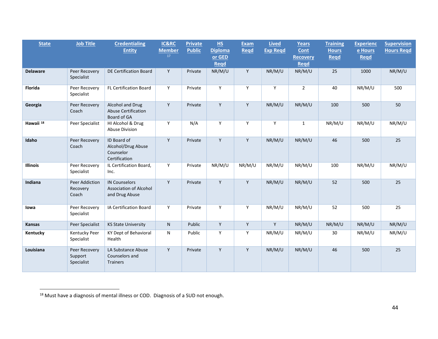<span id="page-44-0"></span>

| <b>State</b>         | <b>Job Title</b>                       | <b>Credentialing</b><br><b>Entity</b>                                   | IC&RC<br><b>Member</b><br>17 | <b>Private</b><br><b>Public</b> | HS<br><b>Diploma</b><br>or GED<br>Regd | <b>Exam</b><br>Read | <b>Lived</b><br><b>Exp Regd</b> | Years<br>Cont<br><b>Recovery</b><br><b>Regd</b> | <b>Training</b><br><b>Hours</b><br>Regd | <b>Experienc</b><br>e Hours<br><b>Regd</b> | <b>Supervision</b><br><b>Hours Regd</b> |
|----------------------|----------------------------------------|-------------------------------------------------------------------------|------------------------------|---------------------------------|----------------------------------------|---------------------|---------------------------------|-------------------------------------------------|-----------------------------------------|--------------------------------------------|-----------------------------------------|
| <b>Delaware</b>      | Peer Recovery<br>Specialist            | DE Certification Board                                                  | Y                            | Private                         | NR/M/U                                 | Y                   | NR/M/U                          | NR/M/U                                          | 25                                      | 1000                                       | NR/M/U                                  |
| Florida              | Peer Recovery<br>Specialist            | FL Certification Board                                                  | Y                            | Private                         | Y                                      | Y                   | Υ                               | $\overline{2}$                                  | 40                                      | NR/M/U                                     | 500                                     |
| Georgia              | Peer Recovery<br>Coach                 | Alcohol and Drug<br><b>Abuse Certification</b><br>Board of GA           | Y                            | Private                         | Y                                      | Y                   | NR/M/U                          | NR/M/U                                          | 100                                     | 500                                        | 50                                      |
| Hawaii <sup>18</sup> | Peer Specialist                        | HI Alcohol & Drug<br><b>Abuse Division</b>                              | Y                            | N/A                             | Y                                      | Y                   | Y                               | $\mathbf{1}$                                    | NR/M/U                                  | NR/M/U                                     | NR/M/U                                  |
| Idaho                | Peer Recovery<br>Coach                 | ID Board of<br>Alcohol/Drug Abuse<br>Counselor<br>Certification         | Y                            | Private                         | Y                                      | Y                   | NR/M/U                          | NR/M/U                                          | 46                                      | 500                                        | 25                                      |
| <b>Illinois</b>      | Peer Recovery<br>Specialist            | IL Certification Board,<br>Inc.                                         | Y                            | Private                         | NR/M/U                                 | NR/M/U              | NR/M/U                          | NR/M/U                                          | 100                                     | NR/M/U                                     | NR/M/U                                  |
| Indiana              | Peer Addiction<br>Recovery<br>Coach    | <b>IN Counselors</b><br><b>Association of Alcohol</b><br>and Drug Abuse | Y                            | Private                         | Y                                      | Y                   | NR/M/U                          | NR/M/U                                          | 52                                      | 500                                        | 25                                      |
| lowa                 | Peer Recovery<br>Specialist            | IA Certification Board                                                  | Y                            | Private                         | Y                                      | Y                   | NR/M/U                          | NR/M/U                                          | 52                                      | 500                                        | 25                                      |
| <b>Kansas</b>        | Peer Specialist                        | <b>KS State University</b>                                              | N.                           | Public                          | Y                                      | Y                   | Y                               | NR/M/U                                          | NR/M/U                                  | NR/M/U                                     | NR/M/U                                  |
| Kentucky             | Kentucky Peer<br>Specialist            | KY Dept of Behavioral<br>Health                                         | N                            | Public                          | Y                                      | Y                   | NR/M/U                          | NR/M/U                                          | 30                                      | NR/M/U                                     | NR/M/U                                  |
| Louisiana            | Peer Recovery<br>Support<br>Specialist | LA Substance Abuse<br>Counselors and<br><b>Trainers</b>                 | Y                            | Private                         | Y                                      | Y                   | NR/M/U                          | NR/M/U                                          | 46                                      | 500                                        | 25                                      |

<sup>&</sup>lt;sup>18</sup> Must have a diagnosis of mental illness or COD. Diagnosis of a SUD not enough.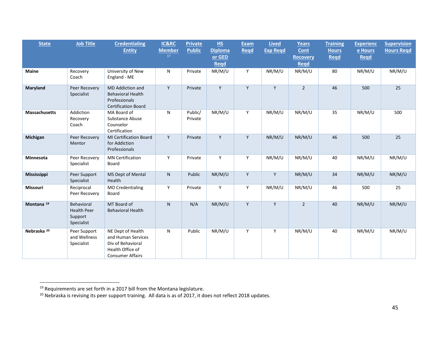<span id="page-45-1"></span><span id="page-45-0"></span>

| <b>State</b>           | <b>Job Title</b>                                          | <b>Credentialing</b><br><b>Entity</b>                                                                       | IC&RC<br><b>Member</b><br>17 | <b>Private</b><br><b>Public</b> | H <sub>S</sub><br><b>Diploma</b><br>or GED | <b>Exam</b><br>Read | <b>Lived</b><br><b>Exp Regd</b> | <b>Years</b><br>Cont<br><b>Recovery</b> | <b>Training</b><br><b>Hours</b><br>Regd | <b>Experienc</b><br>e Hours<br><b>Regd</b> | <b>Supervision</b><br><b>Hours Regd</b> |
|------------------------|-----------------------------------------------------------|-------------------------------------------------------------------------------------------------------------|------------------------------|---------------------------------|--------------------------------------------|---------------------|---------------------------------|-----------------------------------------|-----------------------------------------|--------------------------------------------|-----------------------------------------|
|                        |                                                           |                                                                                                             |                              |                                 | <b>Regd</b>                                |                     |                                 | <b>Regd</b>                             |                                         |                                            |                                         |
| <b>Maine</b>           | Recovery<br>Coach                                         | University of New<br>England - ME                                                                           | N                            | Private                         | NR/M/U                                     | Y                   | NR/M/U                          | NR/M/U                                  | 80                                      | NR/M/U                                     | NR/M/U                                  |
| Maryland               | Peer Recovery<br>Specialist                               | <b>MD</b> Addiction and<br><b>Behavioral Health</b><br>Professionals<br><b>Certification Board</b>          | Y                            | Private                         | Y                                          | Y                   | Y                               | $\overline{2}$                          | 46                                      | 500                                        | 25                                      |
| <b>Massachusetts</b>   | Addiction<br>Recovery<br>Coach                            | MA Board of<br>Substance Abuse<br>Counselor<br>Certification                                                | N                            | Public/<br>Private              | NR/M/U                                     | Y                   | NR/M/U                          | NR/M/U                                  | 35                                      | NR/M/U                                     | 500                                     |
| Michigan               | Peer Recovery<br>Mentor                                   | <b>MI Certification Board</b><br>for Addiction<br>Professionals                                             | Y                            | Private                         | Y                                          | Y                   | NR/M/U                          | NR/M/U                                  | 46                                      | 500                                        | 25                                      |
| Minnesota              | Peer Recovery<br>Specialist                               | <b>MN Certification</b><br>Board                                                                            | Y                            | Private                         | Y                                          | Y                   | NR/M/U                          | NR/M/U                                  | 40                                      | NR/M/U                                     | NR/M/U                                  |
| <b>Mississippi</b>     | Peer Support<br>Specialist                                | MS Dept of Mental<br>Health                                                                                 | $\mathsf{N}$                 | Public                          | NR/M/U                                     | Y                   | Y                               | NR/M/U                                  | 34                                      | NR/M/U                                     | NR/M/U                                  |
| Missouri               | Reciprocal<br>Peer Recovery                               | <b>MO Credentialing</b><br>Board                                                                            | Y                            | Private                         | Y                                          | Y                   | NR/M/U                          | NR/M/U                                  | 46                                      | 500                                        | 25                                      |
| Montana <sup>19</sup>  | Behavioral<br><b>Health Peer</b><br>Support<br>Specialist | MT Board of<br><b>Behavioral Health</b>                                                                     | $\mathsf{N}$                 | N/A                             | NR/M/U                                     | Y                   | Y                               | $\overline{2}$                          | 40                                      | NR/M/U                                     | NR/M/U                                  |
| Nebraska <sup>20</sup> | Peer Support<br>and Wellness<br>Specialist                | NE Dept of Health<br>and Human Services<br>Div of Behavioral<br>Health Office of<br><b>Consumer Affairs</b> | N                            | Public                          | NR/M/U                                     | Y                   | Y                               | NR/M/U                                  | 40                                      | NR/M/U                                     | NR/M/U                                  |

 $\frac{19}{19}$  Requirements are set forth in a 2017 bill from the Montana legislature.

<sup>&</sup>lt;sup>20</sup> Nebraska is revising its peer support training. All data is as of 2017, it does not reflect 2018 updates.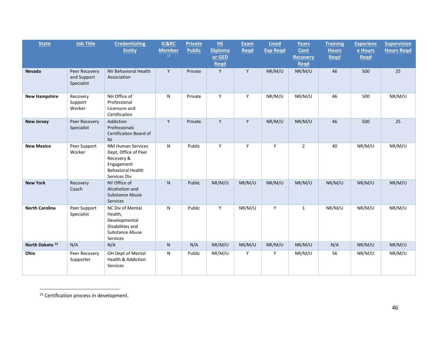<span id="page-46-0"></span>

| <b>State</b>               | <b>Job Title</b>                           | <b>Credentialing</b><br><b>Entity</b>                                                                                    | <b>IC&amp;RC</b><br><b>Member</b><br>17 | <b>Private</b><br><b>Public</b> | H.S<br><b>Diploma</b><br>or GED<br>Regd | <b>Exam</b><br>Read | <b>Lived</b><br><b>Exp Regd</b> | Years<br>Cont<br><b>Recovery</b><br><b>Regd</b> | <b>Training</b><br><b>Hours</b><br>Regd | <b>Experienc</b><br>e Hours<br><b>Regd</b> | <b>Supervision</b><br><b>Hours Regd</b> |
|----------------------------|--------------------------------------------|--------------------------------------------------------------------------------------------------------------------------|-----------------------------------------|---------------------------------|-----------------------------------------|---------------------|---------------------------------|-------------------------------------------------|-----------------------------------------|--------------------------------------------|-----------------------------------------|
| <b>Nevada</b>              | Peer Recovery<br>and Support<br>Specialist | NV Behavioral Health<br>Association                                                                                      | Y                                       | Private                         | Y                                       | Y                   | NR/M/U                          | NR/M/U                                          | 46                                      | 500                                        | 25                                      |
| <b>New Hampshire</b>       | Recovery<br>Support<br>Worker              | NH Office of<br>Professional<br>Licensure and<br>Certification                                                           | N                                       | Private                         | Y                                       | Y                   | NR/M/U                          | NR/M/U                                          | 46                                      | 500                                        | NR/M/U                                  |
| <b>New Jersey</b>          | Peer Recovery<br>Specialist                | Addiction<br>Professionals<br>Certification Board of<br>NJ                                                               | Y                                       | Private                         | Y                                       | Y                   | NR/M/U                          | NR/M/U                                          | 46                                      | 500                                        | 25                                      |
| <b>New Mexico</b>          | Peer Support<br>Worker                     | <b>NM Human Services</b><br>Dept, Office of Peer<br>Recovery &<br>Engagement<br><b>Behavioral Health</b><br>Services Div | N                                       | Public                          | Y                                       | Y                   | Y                               | $\overline{2}$                                  | 40                                      | NR/M/U                                     | NR/M/U                                  |
| <b>New York</b>            | Recovery<br>Coach                          | NY Office of<br>Alcoholism and<br>Substance Abuse<br>Services                                                            | N                                       | Public                          | NR/M/U                                  | NR/M/U              | NR/M/U                          | NR/M/U                                          | NR/M/U                                  | NR/M/U                                     | NR/M/U                                  |
| <b>North Carolina</b>      | Peer Support<br>Specialist                 | NC Div of Mental<br>Health,<br>Developmental<br>Disabilities and<br>Substance Abuse<br>Services                          | N                                       | Public                          | Y                                       | NR/M/U              | Y                               | $\mathbf{1}$                                    | NR/M/U                                  | NR/M/U                                     | NR/M/U                                  |
| North Dakota <sup>21</sup> | N/A                                        | N/A                                                                                                                      | N                                       | N/A                             | NR/M/U                                  | NR/M/U              | NR/M/U                          | NR/M/U                                          | N/A                                     | NR/M/U                                     | NR/M/U                                  |
| Ohio                       | Peer Recovery<br>Supporter                 | OH Dept of Mental<br>Health & Addiction<br>Services                                                                      | N                                       | Public                          | NR/M/U                                  | Y                   | Υ                               | NR/M/U                                          | 56                                      | NR/M/U                                     | NR/M/U                                  |

<sup>&</sup>lt;sup>21</sup> Certification process in development.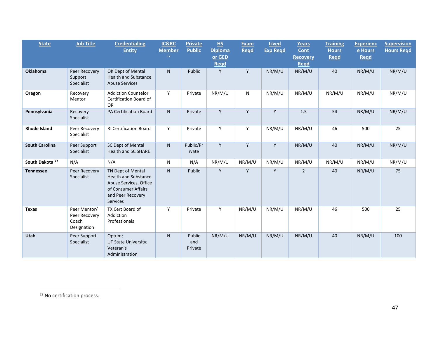<span id="page-47-0"></span>

| <b>State</b>               | <b>Job Title</b>                                      | <b>Credentialing</b><br><b>Entity</b>                                                                                              | IC&RC<br><b>Member</b> | <b>Private</b><br><b>Public</b> | H <sub>S</sub><br><b>Diploma</b> | <b>Exam</b><br>Read | <b>Lived</b><br><b>Exp Regd</b> | Years<br>Cont                  | <b>Training</b><br><b>Hours</b> | <b>Experienc</b><br>e Hours | <b>Supervision</b><br><b>Hours Regd</b> |
|----------------------------|-------------------------------------------------------|------------------------------------------------------------------------------------------------------------------------------------|------------------------|---------------------------------|----------------------------------|---------------------|---------------------------------|--------------------------------|---------------------------------|-----------------------------|-----------------------------------------|
|                            |                                                       |                                                                                                                                    | 17                     |                                 | or GED<br><b>Regd</b>            |                     |                                 | <b>Recovery</b><br><b>Regd</b> | <b>Regd</b>                     | <b>Regd</b>                 |                                         |
| <b>Oklahoma</b>            | Peer Recovery<br>Support<br>Specialist                | OK Dept of Mental<br><b>Health and Substance</b><br><b>Abuse Services</b>                                                          | N.                     | Public                          | Y                                | Y                   | NR/M/U                          | NR/M/U                         | 40                              | NR/M/U                      | NR/M/U                                  |
| Oregon                     | Recovery<br>Mentor                                    | <b>Addiction Counselor</b><br>Certification Board of<br><b>OR</b>                                                                  | Y                      | Private                         | NR/M/U                           | N                   | NR/M/U                          | NR/M/U                         | NR/M/U                          | NR/M/U                      | NR/M/U                                  |
| Pennsylvania               | Recovery<br>Specialist                                | PA Certification Board                                                                                                             | N.                     | Private                         | Y                                | Y                   | Y                               | 1.5                            | 54                              | NR/M/U                      | NR/M/U                                  |
| <b>Rhode Island</b>        | Peer Recovery<br>Specialist                           | <b>RI Certification Board</b>                                                                                                      | Y                      | Private                         | Y                                | Y                   | NR/M/U                          | NR/M/U                         | 46                              | 500                         | 25                                      |
| <b>South Carolina</b>      | Peer Support<br>Specialist                            | SC Dept of Mental<br><b>Health and SC SHARE</b>                                                                                    | N                      | Public/Pr<br>ivate              | Y                                | Y                   | Y                               | NR/M/U                         | 40                              | NR/M/U                      | NR/M/U                                  |
| South Dakota <sup>22</sup> | N/A                                                   | N/A                                                                                                                                | N                      | N/A                             | NR/M/U                           | NR/M/U              | NR/M/U                          | NR/M/U                         | NR/M/U                          | NR/M/U                      | NR/M/U                                  |
| <b>Tennessee</b>           | Peer Recovery<br>Specialist                           | TN Dept of Mental<br><b>Health and Substance</b><br>Abuse Services, Office<br>of Consumer Affairs<br>and Peer Recovery<br>Services | N.                     | Public                          | Y                                | Y                   | Y                               | $\overline{2}$                 | 40                              | NR/M/U                      | 75                                      |
| <b>Texas</b>               | Peer Mentor/<br>Peer Recovery<br>Coach<br>Designation | TX Cert Board of<br>Addiction<br>Professionals                                                                                     | Y                      | Private                         | Y                                | NR/M/U              | NR/M/U                          | NR/M/U                         | 46                              | 500                         | 25                                      |
| Utah                       | Peer Support<br>Specialist                            | Optum;<br>UT State University;<br>Veteran's<br>Administration                                                                      | N.                     | Public<br>and<br>Private        | NR/M/U                           | NR/M/U              | NR/M/U                          | NR/M/U                         | 40                              | NR/M/U                      | 100                                     |

<sup>&</sup>lt;sup>22</sup> No certification process.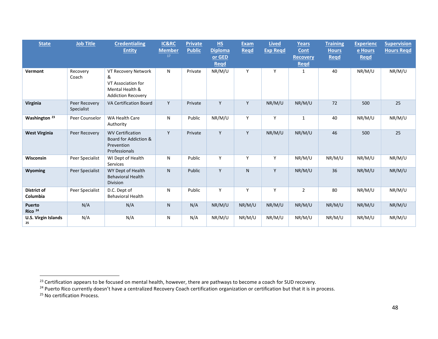<span id="page-48-2"></span><span id="page-48-1"></span><span id="page-48-0"></span>

| <b>State</b>                        | <b>Job Title</b>            | <b>Credentialing</b><br><b>Entity</b>                                                          | IC&RC<br><b>Member</b><br>17 | <b>Private</b><br><b>Public</b> | HS<br><b>Diploma</b><br>or GED<br><b>Regd</b> | <b>Exam</b><br>Read | <b>Lived</b><br><b>Exp Regd</b> | <b>Years</b><br>Cont<br><b>Recovery</b><br><b>Regd</b> | <b>Training</b><br><b>Hours</b><br><b>Regd</b> | <b>Experienc</b><br>e Hours<br><b>Regd</b> | <b>Supervision</b><br><b>Hours Regd</b> |
|-------------------------------------|-----------------------------|------------------------------------------------------------------------------------------------|------------------------------|---------------------------------|-----------------------------------------------|---------------------|---------------------------------|--------------------------------------------------------|------------------------------------------------|--------------------------------------------|-----------------------------------------|
| Vermont                             | Recovery<br>Coach           | VT Recovery Network<br>&<br>VT Association for<br>Mental Health &<br><b>Addiction Recovery</b> | N                            | Private                         | NR/M/U                                        | Y                   | Y                               | $\mathbf{1}$                                           | 40                                             | NR/M/U                                     | NR/M/U                                  |
| Virginia                            | Peer Recovery<br>Specialist | <b>VA Certification Board</b>                                                                  | Y                            | Private                         | Y                                             | Y                   | NR/M/U                          | NR/M/U                                                 | 72                                             | 500                                        | 25                                      |
| Washington <sup>23</sup>            | Peer Counselor              | <b>WA Health Care</b><br>Authority                                                             | N                            | Public                          | NR/M/U                                        | Y                   | Y                               | $\mathbf{1}$                                           | 40                                             | NR/M/U                                     | NR/M/U                                  |
| <b>West Virginia</b>                | Peer Recovery               | <b>WV Certification</b><br>Board for Addiction &<br>Prevention<br>Professionals                | Y                            | Private                         | Y                                             | Y                   | NR/M/U                          | NR/M/U                                                 | 46                                             | 500                                        | 25                                      |
| Wisconsin                           | Peer Specialist             | WI Dept of Health<br>Services                                                                  | N                            | Public                          | Y                                             | Y                   | Y                               | NR/M/U                                                 | NR/M/U                                         | NR/M/U                                     | NR/M/U                                  |
| Wyoming                             | Peer Specialist             | WY Dept of Health<br><b>Behavioral Health</b><br>Division                                      | N.                           | Public                          | Y                                             | N                   | Y                               | NR/M/U                                                 | 36                                             | NR/M/U                                     | NR/M/U                                  |
| <b>District of</b><br>Columbia      | Peer Specialist             | D.C. Dept of<br><b>Behavioral Health</b>                                                       | N                            | Public                          | Y                                             | Y                   | Y                               | $\overline{2}$                                         | 80                                             | NR/M/U                                     | NR/M/U                                  |
| <b>Puerto</b><br>Rico <sup>24</sup> | N/A                         | N/A                                                                                            | N                            | N/A                             | NR/M/U                                        | NR/M/U              | NR/M/U                          | NR/M/U                                                 | NR/M/U                                         | NR/M/U                                     | NR/M/U                                  |
| <b>U.S. Virgin Islands</b><br>25    | N/A                         | N/A                                                                                            | N                            | N/A                             | NR/M/U                                        | NR/M/U              | NR/M/U                          | NR/M/U                                                 | NR/M/U                                         | NR/M/U                                     | NR/M/U                                  |

<sup>23</sup> Certification appears to be focused on mental health, however, there are pathways to become a coach for SUD recovery.

<sup>&</sup>lt;sup>24</sup> Puerto Rico currently doesn't have a centralized Recovery Coach certification organization or certification but that it is in process.

<sup>&</sup>lt;sup>25</sup> No certification Process.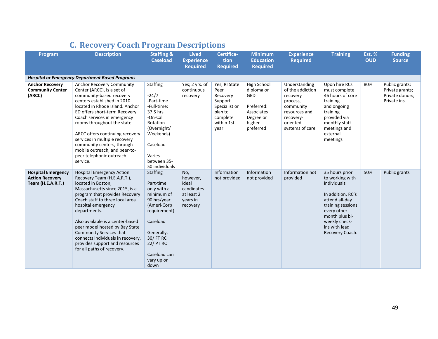<span id="page-49-0"></span>

| Program                                                                  | <b>Description</b>                                                                                                                                                                                                                                                                                                                                                                                                                       | <b>Staffing &amp;</b><br><b>Caseload</b>                                                                                                                                                                 | <b>Lived</b><br><b>Experience</b><br><b>Required</b>                         | Certifica-<br>tion<br><b>Required</b>                                                                      | <b>Minimum</b><br><b>Education</b><br><b>Required</b>                                                   | <b>Experience</b><br><b>Required</b>                                                                                                | <b>Training</b>                                                                                                                                                                                    | <b>Est. %</b><br><b>OUD</b> | <b>Funding</b><br><b>Source</b>                                      |
|--------------------------------------------------------------------------|------------------------------------------------------------------------------------------------------------------------------------------------------------------------------------------------------------------------------------------------------------------------------------------------------------------------------------------------------------------------------------------------------------------------------------------|----------------------------------------------------------------------------------------------------------------------------------------------------------------------------------------------------------|------------------------------------------------------------------------------|------------------------------------------------------------------------------------------------------------|---------------------------------------------------------------------------------------------------------|-------------------------------------------------------------------------------------------------------------------------------------|----------------------------------------------------------------------------------------------------------------------------------------------------------------------------------------------------|-----------------------------|----------------------------------------------------------------------|
|                                                                          | <b>Hospital or Emergency Department Based Programs</b>                                                                                                                                                                                                                                                                                                                                                                                   |                                                                                                                                                                                                          |                                                                              |                                                                                                            |                                                                                                         |                                                                                                                                     |                                                                                                                                                                                                    |                             |                                                                      |
| <b>Anchor Recovery</b><br><b>Community Center</b><br>(ARCC)              | Anchor Recovery Community<br>Center (ARCC), is a set of<br>community-based recovery<br>centers established in 2010<br>located in Rhode Island. Anchor<br>ED offers short-term Recovery<br>Coach services in emergency<br>rooms throughout the state.<br>ARCC offers continuing recovery<br>services in multiple recovery<br>community centers, through<br>mobile outreach, and peer-to-<br>peer telephonic outreach<br>service.          | <b>Staffing</b><br>$-24/7$<br>-Part-time<br>-Full-time:<br>37.5 hrs<br>-On-Call<br>Rotation<br>(Overnight/<br>Weekends)<br>Caseload<br>Varies<br>between 35-<br>50 individuals                           | Yes; 2 yrs. of<br>continuous<br>recovery                                     | Yes; RI State<br>Peer<br>Recovery<br>Support<br>Specialist or<br>plan to<br>complete<br>within 1st<br>year | High School<br>diploma or<br><b>GED</b><br>Preferred:<br>Associates<br>Degree or<br>higher<br>preferred | Understanding<br>of the addiction<br>recovery<br>process,<br>community<br>resources and<br>recovery-<br>oriented<br>systems of care | Upon hire RCs<br>must complete<br>46 hours of core<br>training<br>and ongoing<br>training<br>provided via<br>monthly staff<br>meetings and<br>external<br>meetings                                 | 80%                         | Public grants;<br>Private grants;<br>Private donors;<br>Private ins. |
| <b>Hospital Emergency</b><br><b>Action Recovery</b><br>Team (H.E.A.R.T.) | <b>Hospital Emergency Action</b><br>Recovery Team (H.E.A.R.T.),<br>located in Boston,<br>Massachusetts since 2015, is a<br>program that provides Recovery<br>Coach staff to three local area<br>hospital emergency<br>departments.<br>Also available is a center-based<br>peer model hosted by Bay State<br>Community Services that<br>connects individuals in recovery,<br>provides support and resources<br>for all paths of recovery. | <b>Staffing</b><br>Part-time<br>only with a<br>minimum of<br>90 hrs/year<br>(Ameri-Corp<br>requirement)<br>Caseload<br>Generally,<br>30/ FT RC<br><b>22/ PT RC</b><br>Caseload can<br>vary up or<br>down | No,<br>however,<br>ideal<br>candidates<br>at least 2<br>vears in<br>recovery | Information<br>not provided                                                                                | Information<br>not provided                                                                             | Information not<br>provided                                                                                                         | 35 hours prior<br>to working with<br>individuals<br>In addition, RC's<br>attend all-day<br>training sessions<br>every other<br>month plus bi-<br>weekly check-<br>ins with lead<br>Recovery Coach. | 50%                         | Public grants                                                        |

# **C. Recovery Coach Program Descriptions**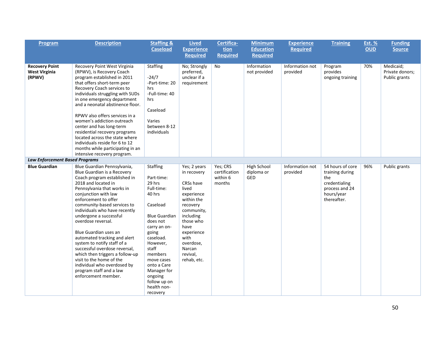| Program                                                                                          | <b>Description</b>                                                                                                                                                                                                                                                                                                                                                                                                                                                                                                                                                                       | <b>Staffing &amp;</b><br><b>Caseload</b>                                                                                                                                                                                                                                         | <b>Lived</b><br><b>Experience</b><br><b>Required</b>                                                                                                                                                              | Certifica-<br>tion<br><b>Required</b>           | <b>Minimum</b><br><b>Education</b><br><b>Required</b> | <b>Experience</b><br><b>Required</b> | <b>Training</b>                                                                                            | <b>Est. %</b><br><b>OUD</b> | <b>Funding</b><br><b>Source</b>               |
|--------------------------------------------------------------------------------------------------|------------------------------------------------------------------------------------------------------------------------------------------------------------------------------------------------------------------------------------------------------------------------------------------------------------------------------------------------------------------------------------------------------------------------------------------------------------------------------------------------------------------------------------------------------------------------------------------|----------------------------------------------------------------------------------------------------------------------------------------------------------------------------------------------------------------------------------------------------------------------------------|-------------------------------------------------------------------------------------------------------------------------------------------------------------------------------------------------------------------|-------------------------------------------------|-------------------------------------------------------|--------------------------------------|------------------------------------------------------------------------------------------------------------|-----------------------------|-----------------------------------------------|
|                                                                                                  |                                                                                                                                                                                                                                                                                                                                                                                                                                                                                                                                                                                          |                                                                                                                                                                                                                                                                                  |                                                                                                                                                                                                                   |                                                 |                                                       |                                      |                                                                                                            |                             |                                               |
| <b>Recovery Point</b><br><b>West Virginia</b><br>(RPWV)<br><b>Law Enforcement Based Programs</b> | Recovery Point West Virginia<br>(RPWV), is Recovery Coach<br>program established in 2011<br>that offers short-term peer<br>Recovery Coach services to<br>individuals struggling with SUDs<br>in one emergency department<br>and a neonatal abstinence floor.<br>RPWV also offers services in a<br>women's addiction outreach<br>center and has long-term<br>residential recovery programs<br>located across the state where<br>individuals reside for 6 to 12<br>months while participating in an<br>intensive recovery program.                                                         | Staffing<br>$-24/7$<br>-Part-time: 20<br>hrs<br>-Full-time: 40<br>hrs<br>Caseload<br>Varies<br>between 8-12<br>individuals                                                                                                                                                       | No; Strongly<br>preferred,<br>unclear if a<br>requirement                                                                                                                                                         | No                                              | Information<br>not provided                           | Information not<br>provided          | Program<br>provides<br>ongoing training                                                                    | 70%                         | Medicaid;<br>Private donors;<br>Public grants |
| <b>Blue Guardian</b>                                                                             |                                                                                                                                                                                                                                                                                                                                                                                                                                                                                                                                                                                          |                                                                                                                                                                                                                                                                                  |                                                                                                                                                                                                                   |                                                 |                                                       |                                      |                                                                                                            |                             |                                               |
|                                                                                                  | Blue Guardian Pennsylvania,<br>Blue Guardian is a Recovery<br>Coach program established in<br>2018 and located in<br>Pennsylvania that works in<br>conjunction with law<br>enforcement to offer<br>community-based services to<br>individuals who have recently<br>undergone a successful<br>overdose reversal.<br>Blue Guardian uses an<br>automated tracking and alert<br>system to notify staff of a<br>successful overdose reversal,<br>which then triggers a follow-up<br>visit to the home of the<br>individual who overdosed by<br>program staff and a law<br>enforcement member. | Staffing<br>Part-time:<br>29 hrs<br>Full-time:<br>40 hrs<br>Caseload<br><b>Blue Guardian</b><br>does not<br>carry an on-<br>going<br>caseload.<br>However,<br>staff<br>members<br>move cases<br>onto a Care<br>Manager for<br>ongoing<br>follow up on<br>health non-<br>recovery | Yes; 2 years<br>in recovery<br>CRSs have<br>lived<br>experience<br>within the<br>recovery<br>community,<br>including<br>those who<br>have<br>experience<br>with<br>overdose,<br>Narcan<br>revival,<br>rehab, etc. | Yes; CRS<br>certification<br>within 6<br>months | High School<br>diploma or<br>GED                      | Information not<br>provided          | 54 hours of core<br>training during<br>the<br>credentialing<br>process and 24<br>hours/year<br>thereafter. | 96%                         | Public grants                                 |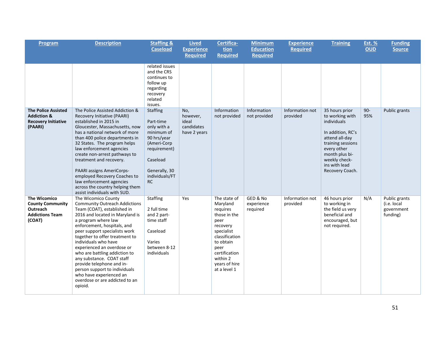| Program                                                                                               | <b>Description</b>                                                                                                                                                                                                                                                                                                                                                                                                                                                                                               | <b>Staffing &amp;</b><br><b>Caseload</b>                                                                                                                     | <b>Lived</b><br><b>Experience</b><br><b>Required</b>   | Certifica-<br>tion<br><b>Required</b>                                                                                                                                                       | <b>Minimum</b><br><b>Education</b><br><b>Required</b> | <b>Experience</b><br><b>Required</b> | <b>Training</b>                                                                                                                                                                                    | Est. %<br><b>OUD</b> | <b>Funding</b><br><b>Source</b>                        |
|-------------------------------------------------------------------------------------------------------|------------------------------------------------------------------------------------------------------------------------------------------------------------------------------------------------------------------------------------------------------------------------------------------------------------------------------------------------------------------------------------------------------------------------------------------------------------------------------------------------------------------|--------------------------------------------------------------------------------------------------------------------------------------------------------------|--------------------------------------------------------|---------------------------------------------------------------------------------------------------------------------------------------------------------------------------------------------|-------------------------------------------------------|--------------------------------------|----------------------------------------------------------------------------------------------------------------------------------------------------------------------------------------------------|----------------------|--------------------------------------------------------|
|                                                                                                       |                                                                                                                                                                                                                                                                                                                                                                                                                                                                                                                  | related issues<br>and the CRS<br>continues to<br>follow up<br>regarding<br>recovery<br>related<br>issues.                                                    |                                                        |                                                                                                                                                                                             |                                                       |                                      |                                                                                                                                                                                                    |                      |                                                        |
| <b>The Police Assisted</b><br><b>Addiction &amp;</b><br><b>Recovery Initiative</b><br>(PAARI)         | The Police Assisted Addiction &<br>Recovery Initiative (PAARI)<br>established in 2015 in<br>Gloucester, Massachusetts, now<br>has a national network of more<br>than 400 police departments in<br>32 States. The program helps<br>law enforcement agencies<br>create non-arrest pathways to<br>treatment and recovery.<br>PAARI assigns AmeriCorps-<br>employed Recovery Coaches to<br>law enforcement agencies<br>across the country helping them<br>assist individuals with SUD.                               | <b>Staffing</b><br>Part-time<br>only with a<br>minimum of<br>90 hrs/year<br>(Ameri-Corp<br>requirement)<br>Caseload<br>Generally, 30<br>individuals/FT<br>RC | No,<br>however,<br>ideal<br>candidates<br>have 2 years | Information<br>not provided                                                                                                                                                                 | Information<br>not provided                           | Information not<br>provided          | 35 hours prior<br>to working with<br>individuals<br>In addition, RC's<br>attend all-day<br>training sessions<br>every other<br>month plus bi-<br>weekly check-<br>ins with lead<br>Recovery Coach. | $90-$<br>95%         | Public grants                                          |
| <b>The Wicomico</b><br><b>County Community</b><br><b>Outreach</b><br><b>Addictions Team</b><br>(COAT) | The Wicomico County<br><b>Community Outreach Addictions</b><br>Team (COAT), established in<br>2016 and located in Maryland is<br>a program where law<br>enforcement, hospitals, and<br>peer support specialists work<br>together to offer treatment to<br>individuals who have<br>experienced an overdose or<br>who are battling addiction to<br>any substance. COAT staff<br>provide telephone and in-<br>person support to individuals<br>who have experienced an<br>overdose or are addicted to an<br>opioid. | <b>Staffing</b><br>2 full time<br>and 2 part-<br>time staff<br>Caseload<br>Varies<br>between 8-12<br>individuals                                             | Yes                                                    | The state of<br>Maryland<br>requires<br>those in the<br>peer<br>recovery<br>specialist<br>classification<br>to obtain<br>peer<br>certification<br>within 2<br>years of hire<br>at a level 1 | GED & No<br>experience<br>required                    | Information not<br>provided          | 46 hours prior<br>to working in<br>the field us very<br>beneficial and<br>encouraged, but<br>not required.                                                                                         | N/A                  | Public grants<br>(i.e. local<br>government<br>funding) |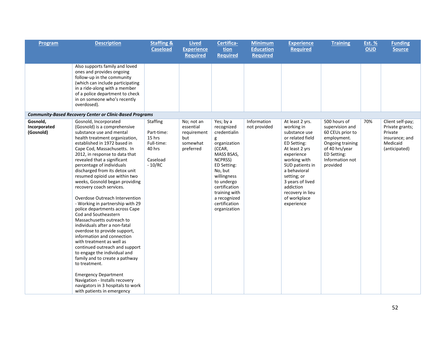| Program                               | <b>Description</b>                                                                                                                                                                                                                                                                                                                                                                                                                                                                                                                                                                                                                                                                                                                                                                                                                                                                                                                                                  | <b>Staffing &amp;</b><br><b>Caseload</b>                                                | <b>Lived</b><br><b>Experience</b>                                      | Certifica-<br>tion                                                                                                                                                                                                                        | <b>Minimum</b><br><b>Education</b> | <b>Experience</b><br><b>Required</b>                                                                                                                                                                                                                                   | <b>Training</b>                                                                                                                                        | <b>Est. %</b><br><b>OUD</b> | <b>Funding</b><br><b>Source</b>                                                               |
|---------------------------------------|---------------------------------------------------------------------------------------------------------------------------------------------------------------------------------------------------------------------------------------------------------------------------------------------------------------------------------------------------------------------------------------------------------------------------------------------------------------------------------------------------------------------------------------------------------------------------------------------------------------------------------------------------------------------------------------------------------------------------------------------------------------------------------------------------------------------------------------------------------------------------------------------------------------------------------------------------------------------|-----------------------------------------------------------------------------------------|------------------------------------------------------------------------|-------------------------------------------------------------------------------------------------------------------------------------------------------------------------------------------------------------------------------------------|------------------------------------|------------------------------------------------------------------------------------------------------------------------------------------------------------------------------------------------------------------------------------------------------------------------|--------------------------------------------------------------------------------------------------------------------------------------------------------|-----------------------------|-----------------------------------------------------------------------------------------------|
|                                       |                                                                                                                                                                                                                                                                                                                                                                                                                                                                                                                                                                                                                                                                                                                                                                                                                                                                                                                                                                     |                                                                                         | <b>Required</b>                                                        | <b>Required</b>                                                                                                                                                                                                                           | <b>Required</b>                    |                                                                                                                                                                                                                                                                        |                                                                                                                                                        |                             |                                                                                               |
|                                       | Also supports family and loved<br>ones and provides ongoing<br>follow-up in the community<br>(which can include participating<br>in a ride-along with a member<br>of a police department to check<br>in on someone who's recently<br>overdosed).                                                                                                                                                                                                                                                                                                                                                                                                                                                                                                                                                                                                                                                                                                                    |                                                                                         |                                                                        |                                                                                                                                                                                                                                           |                                    |                                                                                                                                                                                                                                                                        |                                                                                                                                                        |                             |                                                                                               |
|                                       | <b>Community-Based Recovery Center or Clinic-Based Programs</b>                                                                                                                                                                                                                                                                                                                                                                                                                                                                                                                                                                                                                                                                                                                                                                                                                                                                                                     |                                                                                         |                                                                        |                                                                                                                                                                                                                                           |                                    |                                                                                                                                                                                                                                                                        |                                                                                                                                                        |                             |                                                                                               |
| Gosnold,<br>Incorporated<br>(Gosnold) | Gosnold, Incorporated<br>(Gosnold) is a comprehensive<br>substance use and mental<br>health treatment organization,<br>established in 1972 based in<br>Cape Cod, Massachusetts. In<br>2012, in response to data that<br>revealed that a significant<br>percentage of individuals<br>discharged from its detox unit<br>resumed opioid use within two<br>weeks, Gosnold began providing<br>recovery coach services.<br>Overdose Outreach Intervention<br>- Working in partnership with 29<br>police departments across Cape<br>Cod and Southeastern<br>Massachusetts outreach to<br>individuals after a non-fatal<br>overdose to provide support,<br>information and connection<br>with treatment as well as<br>continued outreach and support<br>to engage the individual and<br>family and to create a pathway<br>to treatment.<br><b>Emergency Department</b><br>Navigation - Installs recovery<br>navigators in 3 hospitals to work<br>with patients in emergency | <b>Staffing</b><br>Part-time:<br>15 hrs<br>Full-time:<br>40 hrs<br>Caseload<br>$-10/RC$ | No; not an<br>essential<br>requirement<br>but<br>somewhat<br>preferred | Yes; by a<br>recognized<br>credentialin<br>g<br>organization<br>(CCAR,<br>MASS BSAS,<br>NCPRSS)<br>ED Setting:<br>No, but<br>willingness<br>to undergo<br>certification<br>training with<br>a recognized<br>certification<br>organization | Information<br>not provided        | At least 2 yrs.<br>working in<br>substance use<br>or related field<br>ED Setting:<br>At least 2 yrs<br>experience<br>working with<br>SUD patients in<br>a behavioral<br>setting; or<br>3 years of lived<br>addiction<br>recovery in lieu<br>of workplace<br>experience | 500 hours of<br>supervision and<br>60 CEUs prior to<br>employment.<br>Ongoing training<br>of 40 hrs/year<br>ED Setting:<br>Information not<br>provided | 70%                         | Client self-pay;<br>Private grants;<br>Private<br>insurance; and<br>Medicaid<br>(anticipated) |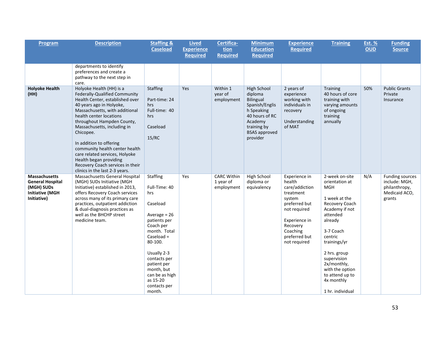| Program                                                                                         | <b>Description</b>                                                                                                                                                                                                                                                                                                                                                                                                                                             | <b>Staffing &amp;</b><br><b>Caseload</b>                                                                                                                                                                                                                          | <b>Lived</b><br><b>Experience</b> | Certifica-<br>tion                            | <b>Minimum</b><br><b>Education</b>                                                                                                                  | <b>Experience</b><br><b>Required</b>                                                                                                                                        | <b>Training</b>                                                                                                                                                                                                                                                                          | <b>Est. %</b><br><b>OUD</b> | <b>Funding</b><br><b>Source</b>                                                     |
|-------------------------------------------------------------------------------------------------|----------------------------------------------------------------------------------------------------------------------------------------------------------------------------------------------------------------------------------------------------------------------------------------------------------------------------------------------------------------------------------------------------------------------------------------------------------------|-------------------------------------------------------------------------------------------------------------------------------------------------------------------------------------------------------------------------------------------------------------------|-----------------------------------|-----------------------------------------------|-----------------------------------------------------------------------------------------------------------------------------------------------------|-----------------------------------------------------------------------------------------------------------------------------------------------------------------------------|------------------------------------------------------------------------------------------------------------------------------------------------------------------------------------------------------------------------------------------------------------------------------------------|-----------------------------|-------------------------------------------------------------------------------------|
|                                                                                                 |                                                                                                                                                                                                                                                                                                                                                                                                                                                                |                                                                                                                                                                                                                                                                   | <b>Required</b>                   | <b>Required</b>                               | <b>Required</b>                                                                                                                                     |                                                                                                                                                                             |                                                                                                                                                                                                                                                                                          |                             |                                                                                     |
|                                                                                                 | departments to identify<br>preferences and create a<br>pathway to the next step in<br>care.                                                                                                                                                                                                                                                                                                                                                                    |                                                                                                                                                                                                                                                                   |                                   |                                               |                                                                                                                                                     |                                                                                                                                                                             |                                                                                                                                                                                                                                                                                          |                             |                                                                                     |
| <b>Holyoke Health</b><br>(HH)                                                                   | Holyoke Health (HH) is a<br>Federally-Qualified Community<br>Health Center, established over<br>40 years ago in Holyoke,<br>Massachusetts, with additional<br>health center locations<br>throughout Hampden County,<br>Massachusetts, including in<br>Chicopee.<br>In addition to offering<br>community health center health<br>care related services, Holyoke<br>Health began providing<br>Recovery Coach services in their<br>clinics in the last 2-3 years. | <b>Staffing</b><br>Part-time: 24<br>hrs<br>Full-time: 40<br>hrs<br>Caseload<br>15/RC                                                                                                                                                                              | Yes                               | Within 1<br>year of<br>employment             | High School<br>diploma<br>Bilingual<br>Spanish/Englis<br>h Speaking<br>40 hours of RC<br>Academy<br>training by<br><b>BSAS</b> approved<br>provider | 2 years of<br>experience<br>working with<br>individuals in<br>recovery<br>Understanding<br>of MAT                                                                           | <b>Training</b><br>40 hours of core<br>training with<br>varying amounts<br>of ongoing<br>training<br>annually                                                                                                                                                                            | 50%                         | <b>Public Grants</b><br>Private<br>Insurance                                        |
| Massachusetts<br><b>General Hospital</b><br>(MGH) SUDs<br><b>Initiative (MGH</b><br>Initiative) | Massachusetts General Hospital<br>(MGH) SUDs Initiative (MGH<br>Initiative) established in 2013,<br>offers Recovery Coach services<br>across many of its primary care<br>practices, outpatient addiction<br>& dual-diagnosis practices as<br>well as the BHCHP street<br>medicine team.                                                                                                                                                                        | <b>Staffing</b><br>Full-Time: 40<br>hrs<br>Caseload<br>Average = $26$<br>patients per<br>Coach per<br>month. Total<br>Caseload $=$<br>80-100.<br>Usually 2-3<br>contacts per<br>patient per<br>month, but<br>can be as high<br>as 15-20<br>contacts per<br>month. | Yes                               | <b>CARC Within</b><br>1 year of<br>employment | <b>High School</b><br>diploma or<br>equivalency                                                                                                     | Experience in<br>health<br>care/addiction<br>treatment<br>system<br>preferred but<br>not required<br>Experience in<br>Recovery<br>Coaching<br>preferred but<br>not required | 2-week on-site<br>orientation at<br><b>MGH</b><br>1 week at the<br>Recovery Coach<br>Academy if not<br>attended<br>already<br>3-7 Coach<br>centric<br>trainings/yr<br>2 hrs. group<br>supervision<br>2x/monthly,<br>with the option<br>to attend up to<br>4x monthly<br>1 hr. individual | N/A                         | <b>Funding sources</b><br>include: MGH,<br>philanthropy,<br>Medicaid ACO,<br>grants |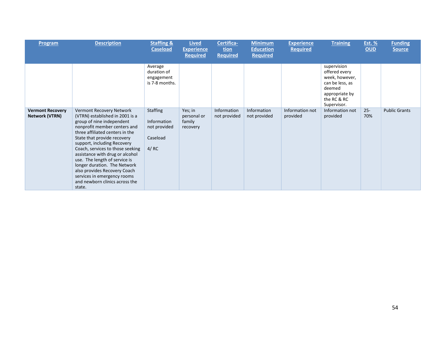| Program                                   | <b>Description</b>                                                                                                                                                                                                                                                                                                                                                                                                                                                           | <b>Staffing &amp;</b><br><b>Caseload</b>                           | <b>Lived</b><br><b>Experience</b><br><b>Required</b> | Certifica-<br>tion<br><b>Required</b> | <b>Minimum</b><br><b>Education</b><br><b>Required</b> | <b>Experience</b><br><b>Required</b> | <b>Training</b>                                                                                                             | <u>Est. %</u><br><b>OUD</b> | <b>Funding</b><br><b>Source</b> |
|-------------------------------------------|------------------------------------------------------------------------------------------------------------------------------------------------------------------------------------------------------------------------------------------------------------------------------------------------------------------------------------------------------------------------------------------------------------------------------------------------------------------------------|--------------------------------------------------------------------|------------------------------------------------------|---------------------------------------|-------------------------------------------------------|--------------------------------------|-----------------------------------------------------------------------------------------------------------------------------|-----------------------------|---------------------------------|
|                                           |                                                                                                                                                                                                                                                                                                                                                                                                                                                                              | Average<br>duration of<br>engagement<br>is 7-8 months.             |                                                      |                                       |                                                       |                                      | supervision<br>offered every<br>week, however,<br>can be less, as<br>deemed<br>appropriate by<br>the RC & RC<br>Supervisor. |                             |                                 |
| <b>Vermont Recovery</b><br>Network (VTRN) | Vermont Recovery Network<br>(VTRN) established in 2001 is a<br>group of nine independent<br>nonprofit member centers and<br>three affiliated centers in the<br>State that provide recovery<br>support, including Recovery<br>Coach, services to those seeking<br>assistance with drug or alcohol<br>use. The length of service is<br>longer duration. The Network<br>also provides Recovery Coach<br>services in emergency rooms<br>and newborn clinics across the<br>state. | <b>Staffing</b><br>Information<br>not provided<br>Caseload<br>4/RC | Yes; in<br>personal or<br>family<br>recovery         | Information<br>not provided           | Information<br>not provided                           | Information not<br>provided          | Information not<br>provided                                                                                                 | $25 -$<br>70%               | <b>Public Grants</b>            |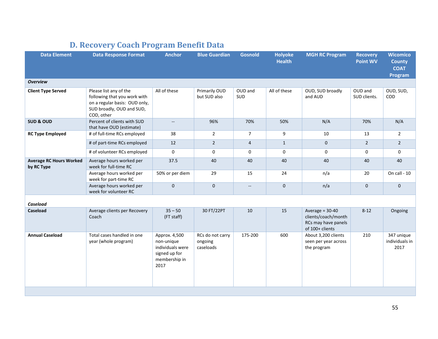<span id="page-55-0"></span>

| <b>Data Response Format</b>                                                                                                        | <b>Anchor</b>                                                                             | <b>Blue Guardian</b>          | <b>Gosnold</b>           | <b>Holyoke</b><br><b>Health</b> | <b>MGH RC Program</b>                                                              | <b>Recovery</b><br><b>Point WV</b> | <b>Wicomico</b><br><b>County</b><br><b>COAT</b><br>Program |
|------------------------------------------------------------------------------------------------------------------------------------|-------------------------------------------------------------------------------------------|-------------------------------|--------------------------|---------------------------------|------------------------------------------------------------------------------------|------------------------------------|------------------------------------------------------------|
|                                                                                                                                    |                                                                                           |                               |                          |                                 |                                                                                    |                                    |                                                            |
| Please list any of the<br>following that you work with<br>on a regular basis: OUD only,<br>SUD broadly, OUD and SUD,<br>COD, other | All of these                                                                              | Primarily OUD<br>but SUD also | OUD and<br>SUD           | All of these                    | OUD, SUD broadly<br>and AUD                                                        | OUD and<br>SUD clients.            | OUD, SUD,<br>COD                                           |
| Percent of clients with SUD<br>that have OUD (estimate)                                                                            | $\overline{\phantom{a}}$                                                                  | 96%                           | 70%                      | 50%                             | N/A                                                                                | 70%                                | N/A                                                        |
| # of full-time RCs employed                                                                                                        | 38                                                                                        | $\overline{2}$                | $\overline{7}$           | 9                               | 10                                                                                 | 13                                 | $\overline{2}$                                             |
| # of part-time RCs employed                                                                                                        | 12                                                                                        | $\overline{2}$                | 4                        | $\mathbf{1}$                    | $\mathbf 0$                                                                        | $\overline{2}$                     | $\overline{2}$                                             |
| # of volunteer RCs employed                                                                                                        | 0                                                                                         | 0                             | 0                        | 0                               | 0                                                                                  | 0                                  | 0                                                          |
| Average hours worked per<br>week for full-time RC                                                                                  | 37.5                                                                                      | 40                            | 40                       | 40                              | 40                                                                                 | 40                                 | 40                                                         |
| Average hours worked per<br>week for part-time RC                                                                                  | 50% or per diem                                                                           | 29                            | 15                       | 24                              | n/a                                                                                | 20                                 | On call - 10                                               |
| week for volunteer RC                                                                                                              | $\mathsf{O}\xspace$                                                                       | $\mathbf 0$                   | $\overline{\phantom{a}}$ | $\pmb{0}$                       |                                                                                    | $\mathsf{O}\xspace$                | $\mathbf 0$                                                |
|                                                                                                                                    |                                                                                           |                               |                          |                                 |                                                                                    |                                    |                                                            |
| Average clients per Recovery<br>Coach                                                                                              | $35 - 50$<br>(FT staff)                                                                   | 30 FT/22PT                    | 10                       | 15                              | Average = $30-40$<br>clients/coach/month<br>RCs may have panels<br>of 100+ clients | $8 - 12$                           | Ongoing                                                    |
| Total cases handled in one<br>year (whole program)                                                                                 | Approx. 4,500<br>non-unique<br>individuals were<br>signed up for<br>membership in<br>2017 | ongoing<br>caseloads          | 175-200                  | 600                             | About 3,200 clients<br>seen per year across<br>the program                         | 210                                | 347 unique<br>individuals in<br>2017                       |
|                                                                                                                                    | Average hours worked per                                                                  |                               | RCs do not carry         |                                 |                                                                                    | n/a                                |                                                            |

# **D. Recovery Coach Program Benefit Data**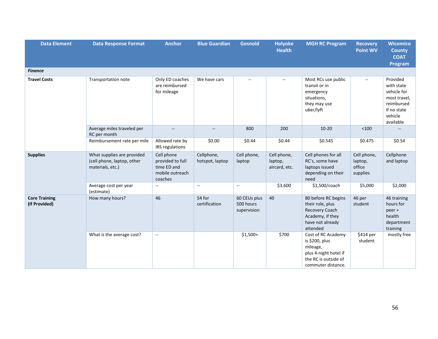| <b>Data Element</b>                   | <b>Data Response Format</b>                                                  | <b>Anchor</b>                                                               | <b>Blue Guardian</b>                          | <b>Gosnold</b>                           | <b>Holyoke</b><br><b>Health</b>         | <b>MGH RC Program</b>                                                                                                   | <b>Recovery</b><br><b>Point WV</b>           | <b>Wicomico</b><br><b>County</b><br><b>COAT</b><br>Program                                                 |
|---------------------------------------|------------------------------------------------------------------------------|-----------------------------------------------------------------------------|-----------------------------------------------|------------------------------------------|-----------------------------------------|-------------------------------------------------------------------------------------------------------------------------|----------------------------------------------|------------------------------------------------------------------------------------------------------------|
| <b>Finance</b>                        |                                                                              |                                                                             |                                               |                                          |                                         |                                                                                                                         |                                              |                                                                                                            |
| <b>Travel Costs</b>                   | Transportation note                                                          | Only ED coaches<br>are reimbursed<br>for mileage                            | We have cars                                  | $\overline{\phantom{a}}$                 | $\overline{\phantom{a}}$                | Most RCs use public<br>transit or in<br>emergency<br>situations,<br>they may use<br>uber/lyft                           | $\overline{\phantom{a}}$                     | Provided<br>with state<br>vehicle for<br>most travel,<br>reimbursed<br>if no state<br>vehicle<br>available |
|                                       | Average miles traveled per<br>RC per month                                   | $\overline{\phantom{a}}$                                                    | $\mathord{\hspace{1pt}\text{--}\hspace{1pt}}$ | 800                                      | 200                                     | $10-20$                                                                                                                 | $<100$                                       |                                                                                                            |
|                                       | Reimbursement rate per mile                                                  | Allowed rate by<br>IRS regulations                                          | \$0.00                                        | \$0.44                                   | \$0.44                                  | \$0.545                                                                                                                 | \$0.475                                      | \$0.54                                                                                                     |
| <b>Supplies</b>                       | What supplies are provided<br>(cell phone, laptop, other<br>materials, etc.) | Cell phone<br>provided to full<br>time ED and<br>mobile outreach<br>coaches | Cellphone,<br>hotspot, laptop                 | Cell phone,<br>laptop                    | Cell phone,<br>laptop,<br>aircard, etc. | Cell phones for all<br>RC's, some have<br>laptops issued<br>depending on their<br>need                                  | Cell phone,<br>laptop,<br>office<br>supplies | Cellphone<br>and laptop                                                                                    |
|                                       | Average cost per year<br>(estimate)                                          | $\sim$                                                                      | $\sim$                                        | $\sim$                                   | \$3,600                                 | \$1,500/coach                                                                                                           | \$5,000                                      | \$2,000                                                                                                    |
| <b>Core Training</b><br>(If Provided) | How many hours?                                                              | 46                                                                          | 54 for<br>certification                       | 60 CEUs plus<br>500 hours<br>supervision | 40                                      | 80 before RC begins<br>their role, plus<br>Recovery Coach<br>Academy, if they<br>have not already<br>attended           | 46 per<br>student                            | 46 training<br>hours for<br>peer +<br>health<br>department<br>training                                     |
|                                       | What is the average cost?                                                    | $\sim$                                                                      |                                               | $$1,500+$                                | \$700                                   | Cost of RC Academy<br>is \$200, plus<br>mileage,<br>plus 4-night hotel if<br>the RC is outside of<br>commuter distance. | \$414 per<br>student                         | mostly free                                                                                                |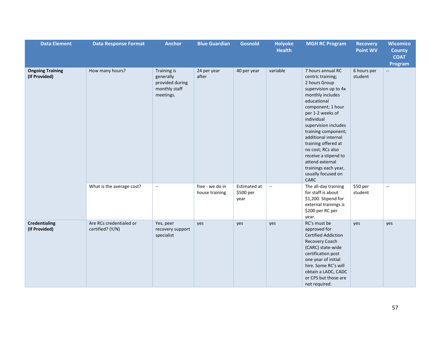| <b>Data Element</b>                      | <b>Data Response Format</b>                 | <b>Anchor</b>                                                             | <b>Blue Guardian</b>              | <b>Gosnold</b>                    | <b>Holyoke</b><br><b>Health</b> | <b>MGH RC Program</b>                                                                                                                                                                                                                                                                                                                                                                        | <b>Recovery</b><br><b>Point WV</b> | <b>Wicomico</b><br><b>County</b><br><b>COAT</b><br>Program |
|------------------------------------------|---------------------------------------------|---------------------------------------------------------------------------|-----------------------------------|-----------------------------------|---------------------------------|----------------------------------------------------------------------------------------------------------------------------------------------------------------------------------------------------------------------------------------------------------------------------------------------------------------------------------------------------------------------------------------------|------------------------------------|------------------------------------------------------------|
| <b>Ongoing Training</b><br>(If Provided) | How many hours?                             | Training is<br>generally<br>provided during<br>monthly staff<br>meetings. | 24 per year<br>after              | 40 per year                       | variable                        | 7 hours annual RC<br>centric training;<br>2 hours Group<br>supervision up to 4x<br>monthly includes<br>educational<br>component; 1 hour<br>per 1-2 weeks of<br>individual<br>supervision includes<br>training component;<br>additional internal<br>training offered at<br>no cost; RCs also<br>receive a stipend to<br>attend external<br>trainings each year,<br>usually focused on<br>CARC | 6 hours per<br>student             | $\overline{\phantom{a}}$                                   |
|                                          | What is the average cost?                   | $\mathcal{L}_{\mathcal{A}}$                                               | free - we do in<br>house training | Estimated at<br>\$500 per<br>year | $\mathbb{L}^2$                  | The all-day training<br>for staff is about<br>\$1,200. Stipend for<br>external trainings is<br>\$200 per RC per<br>year.                                                                                                                                                                                                                                                                     | $$50$ per<br>student               | Ξ.                                                         |
| <b>Credentialing</b><br>(If Provided)    | Are RCs credentialed or<br>certified? (Y/N) | Yes, peer<br>recovery support<br>specialist                               | yes                               | yes                               | yes                             | RC's must be<br>approved for<br><b>Certified Addiction</b><br>Recovery Coach<br>(CARC) state-wide<br>certification post<br>one year of initial<br>hire. Some RC's will<br>obtain a LADC, CADC<br>or CPS but those are<br>not required.                                                                                                                                                       | yes                                | yes                                                        |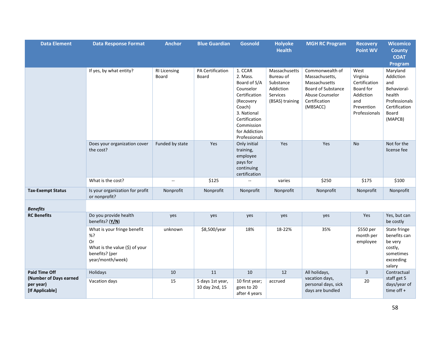| <b>Data Element</b>                                    | <b>Data Response Format</b>                                                                                        | <b>Anchor</b>                | <b>Blue Guardian</b>               | <b>Gosnold</b>                                                                                                                                                           | <b>Holyoke</b><br><b>Health</b>                                                     | <b>MGH RC Program</b>                                                                                                           | <b>Recovery</b><br><b>Point WV</b>                                                                | <b>Wicomico</b><br><b>County</b><br><b>COAT</b><br>Program                                                  |
|--------------------------------------------------------|--------------------------------------------------------------------------------------------------------------------|------------------------------|------------------------------------|--------------------------------------------------------------------------------------------------------------------------------------------------------------------------|-------------------------------------------------------------------------------------|---------------------------------------------------------------------------------------------------------------------------------|---------------------------------------------------------------------------------------------------|-------------------------------------------------------------------------------------------------------------|
|                                                        | If yes, by what entity?                                                                                            | <b>RI Licensing</b><br>Board | PA Certification<br>Board          | 1. CCAR<br>2. Mass.<br>Board of S/A<br>Counselor<br>Certification<br>(Recovery<br>Coach)<br>3. National<br>Certification<br>Commission<br>for Addiction<br>Professionals | Massachusetts<br>Bureau of<br>Substance<br>Addiction<br>Services<br>(BSAS) training | Commonwealth of<br>Massachusetts,<br>Massachusetts<br><b>Board of Substance</b><br>Abuse Counselor<br>Certification<br>(MBSACC) | West<br>Virginia<br>Certification<br>Board for<br>Addiction<br>and<br>Prevention<br>Professionals | Maryland<br>Addiction<br>and<br>Behavioral-<br>health<br>Professionals<br>Certification<br>Board<br>(MAPCB) |
|                                                        | Does your organization cover<br>the cost?                                                                          | Funded by state              | Yes                                | Only initial<br>training,<br>employee<br>pays for<br>continuing<br>certification                                                                                         | Yes                                                                                 | Yes                                                                                                                             | <b>No</b>                                                                                         | Not for the<br>license fee                                                                                  |
|                                                        | What is the cost?                                                                                                  | $\sim$ $\sim$                | \$125                              |                                                                                                                                                                          | varies                                                                              | \$250                                                                                                                           | \$175                                                                                             | \$100                                                                                                       |
| <b>Tax-Exempt Status</b>                               | Is your organization for profit<br>or nonprofit?                                                                   | Nonprofit                    | Nonprofit                          | Nonprofit                                                                                                                                                                | Nonprofit                                                                           | Nonprofit                                                                                                                       | Nonprofit                                                                                         | Nonprofit                                                                                                   |
| <b>Benefits</b>                                        |                                                                                                                    |                              |                                    |                                                                                                                                                                          |                                                                                     |                                                                                                                                 |                                                                                                   |                                                                                                             |
| <b>RC Benefits</b>                                     | Do you provide health<br>benefits? (Y/N)                                                                           | yes                          | yes                                | yes                                                                                                                                                                      | yes                                                                                 | yes                                                                                                                             | Yes                                                                                               | Yes, but can<br>be costly                                                                                   |
|                                                        | What is your fringe benefit<br>%?<br>Or<br>What is the value $(\xi)$ of your<br>benefits? (per<br>year/month/week) | unknown                      | \$8,500/year                       | 18%                                                                                                                                                                      | 18-22%                                                                              | 35%                                                                                                                             | \$550 per<br>month per<br>employee                                                                | State fringe<br>benefits can<br>be very<br>costly,<br>sometimes<br>exceeding<br>salary                      |
| <b>Paid Time Off</b>                                   | Holidays                                                                                                           | 10                           | 11                                 | 10                                                                                                                                                                       | 12                                                                                  | All holidays,                                                                                                                   | $\mathbf{3}$                                                                                      | Contractual                                                                                                 |
| (Number of Days earned<br>per year)<br>[If Applicable] | Vacation days                                                                                                      | 15                           | 5 days 1st year,<br>10 day 2nd, 15 | 10 first year;<br>goes to 20<br>after 4 years                                                                                                                            | accrued                                                                             | vacation days,<br>personal days, sick<br>days are bundled                                                                       | 20                                                                                                | staff get 5<br>days/year of<br>time off $+$                                                                 |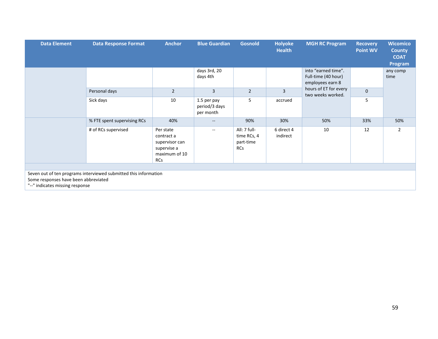| <b>Data Element</b>                                                                                                                         | <b>Data Response Format</b> | <b>Anchor</b>                                                                           | <b>Blue Guardian</b>                      | <b>Gosnold</b>                                         | <b>Holyoke</b><br><b>Health</b> | <b>MGH RC Program</b>                                                                                        | <b>Recovery</b><br><b>Point WV</b> | <b>Wicomico</b><br><b>County</b><br><b>COAT</b><br>Program |
|---------------------------------------------------------------------------------------------------------------------------------------------|-----------------------------|-----------------------------------------------------------------------------------------|-------------------------------------------|--------------------------------------------------------|---------------------------------|--------------------------------------------------------------------------------------------------------------|------------------------------------|------------------------------------------------------------|
|                                                                                                                                             |                             |                                                                                         | days 3rd, 20<br>days 4th                  |                                                        |                                 | into "earned time".<br>Full-time (40 hour)<br>employees earn 8<br>hours of ET for every<br>two weeks worked. |                                    | any comp<br>time                                           |
|                                                                                                                                             | Personal days               | $\overline{2}$                                                                          | 3                                         | $\overline{2}$                                         | $\overline{3}$                  |                                                                                                              | $\mathbf 0$                        |                                                            |
|                                                                                                                                             | Sick days                   | 10                                                                                      | 1.5 per pay<br>period/3 days<br>per month | 5                                                      | accrued                         |                                                                                                              | 5                                  |                                                            |
|                                                                                                                                             | % FTE spent supervising RCs | 40%                                                                                     | $- -$                                     | 90%                                                    | 30%                             | 50%                                                                                                          | 33%                                | 50%                                                        |
|                                                                                                                                             | # of RCs supervised         | Per state<br>contract a<br>supervisor can<br>supervise a<br>maximum of 10<br><b>RCs</b> | $\sim$ $\sim$                             | All: 7 full-<br>time RCs, 4<br>part-time<br><b>RCs</b> | 6 direct 4<br>indirect          | 10                                                                                                           | 12                                 | $\overline{2}$                                             |
|                                                                                                                                             |                             |                                                                                         |                                           |                                                        |                                 |                                                                                                              |                                    |                                                            |
| Seven out of ten programs interviewed submitted this information<br>Some responses have been abbreviated<br>"--" indicates missing response |                             |                                                                                         |                                           |                                                        |                                 |                                                                                                              |                                    |                                                            |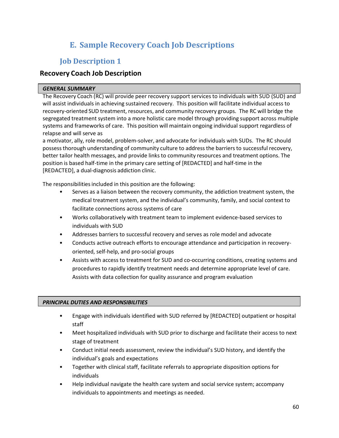# **E. Sample Recovery Coach Job Descriptions**

# <span id="page-60-0"></span>**Job Description 1**

### **Recovery Coach Job Description**

#### *GENERAL SUMMARY*

The Recovery Coach (RC) will provide peer recovery support services to individuals with SUD (SUD) and will assist individuals in achieving sustained recovery. This position will facilitate individual access to recovery-oriented SUD treatment, resources, and community recovery groups. The RC will bridge the segregated treatment system into a more holistic care model through providing support across multiple systems and frameworks of care. This position will maintain ongoing individual support regardless of relapse and will serve as

a motivator, ally, role model, problem-solver, and advocate for individuals with SUDs. The RC should possessthorough understanding of community culture to address the barriers to successful recovery, better tailor health messages, and provide links to community resources and treatment options. The position is based half-time in the primary care setting of [REDACTED] and half-time in the [REDACTED], a dual-diagnosis addiction clinic.

The responsibilities included in this position are the following:

- Serves as a liaison between the recovery community, the addiction treatment system, the medical treatment system, and the individual's community, family, and social context to facilitate connections across systems of care
- Works collaboratively with treatment team to implement evidence-based services to individuals with SUD
- Addresses barriers to successful recovery and serves as role model and advocate
- Conducts active outreach efforts to encourage attendance and participation in recoveryoriented, self-help, and pro-social groups
- Assists with access to treatment for SUD and co-occurring conditions, creating systems and procedures to rapidly identify treatment needs and determine appropriate level of care. Assists with data collection for quality assurance and program evaluation

#### *PRINCIPAL DUTIES AND RESPONSIBILITIES*

- Engage with individuals identified with SUD referred by [REDACTED] outpatient or hospital staff
- Meet hospitalized individuals with SUD prior to discharge and facilitate their access to next stage of treatment
- Conduct initial needs assessment, review the individual's SUD history, and identify the individual's goals and expectations
- Together with clinical staff, facilitate referrals to appropriate disposition options for individuals
- Help individual navigate the health care system and social service system; accompany individuals to appointments and meetings as needed.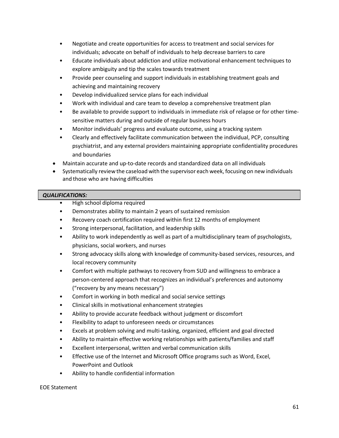- Negotiate and create opportunities for access to treatment and social services for individuals; advocate on behalf of individuals to help decrease barriers to care
- Educate individuals about addiction and utilize motivational enhancement techniques to explore ambiguity and tip the scales towards treatment
- Provide peer counseling and support individuals in establishing treatment goals and achieving and maintaining recovery
- Develop individualized service plans for each individual
- Work with individual and care team to develop a comprehensive treatment plan
- Be available to provide support to individuals in immediate risk of relapse or for other timesensitive matters during and outside of regular business hours
- Monitor individuals' progress and evaluate outcome, using a tracking system
- Clearly and effectively facilitate communication between the individual, PCP, consulting psychiatrist, and any external providers maintaining appropriate confidentiality procedures and boundaries
- Maintain accurate and up-to-date records and standardized data on all individuals
- Systematically reviewthe caseload with the supervisor each week, focusing on new individuals and those who are having difficulties

#### *QUALIFICATIONS:*

- High school diploma required
- Demonstrates ability to maintain 2 years of sustained remission
- Recovery coach certification required within first 12 months of employment
- Strong interpersonal, facilitation, and leadership skills
- Ability to work independently as well as part of a multidisciplinary team of psychologists, physicians, social workers, and nurses
- Strong advocacy skills along with knowledge of community-based services, resources, and local recovery community
- Comfort with multiple pathways to recovery from SUD and willingness to embrace a person-centered approach that recognizes an individual's preferences and autonomy ("recovery by any means necessary")
- Comfort in working in both medical and social service settings
- Clinical skills in motivational enhancement strategies
- Ability to provide accurate feedback without judgment or discomfort
- Flexibility to adapt to unforeseen needs or circumstances
- Excels at problem solving and multi-tasking, organized, efficient and goal directed
- Ability to maintain effective working relationships with patients/families and staff
- Excellent interpersonal, written and verbal communication skills
- Effective use of the Internet and Microsoft Office programs such as Word, Excel, PowerPoint and Outlook
- Ability to handle confidential information

EOE Statement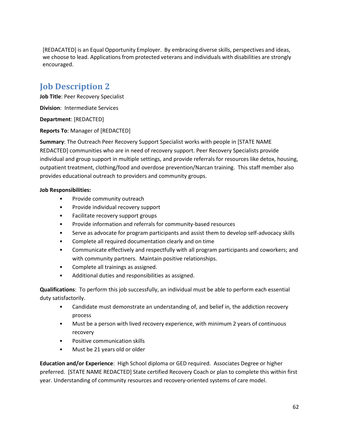[REDACATED] is an Equal Opportunity Employer. By embracing diverse skills, perspectives and ideas, we choose to lead. Applications from protected veterans and individuals with disabilities are strongly encouraged.

# **Job Description 2**

**Job Title**: Peer Recovery Specialist

**Division**: Intermediate Services

**Department**: [REDACTED]

**Reports To**: Manager of [REDACTED]

**Summary**: The Outreach Peer Recovery Support Specialist works with people in [STATE NAME REDACTED] communities who are in need of recovery support. Peer Recovery Specialists provide individual and group support in multiple settings, and provide referrals for resources like detox, housing, outpatient treatment, clothing/food and overdose prevention/Narcan training. This staff member also provides educational outreach to providers and community groups.

#### **Job Responsibilities:**

- Provide community outreach
- Provide individual recovery support
- Facilitate recovery support groups
- Provide information and referrals for community-based resources
- Serve as advocate for program participants and assist them to develop self-advocacy skills
- Complete all required documentation clearly and on time
- Communicate effectively and respectfully with all program participants and coworkers; and with community partners. Maintain positive relationships.
- Complete all trainings as assigned.
- Additional duties and responsibilities as assigned.

**Qualifications**: To perform this job successfully, an individual must be able to perform each essential duty satisfactorily.

- Candidate must demonstrate an understanding of, and belief in, the addiction recovery process
- Must be a person with lived recovery experience, with minimum 2 years of continuous recovery
- Positive communication skills
- Must be 21 years old or older

**Education and/or Experience**: High School diploma or GED required. Associates Degree or higher preferred. [STATE NAME REDACTED] State certified Recovery Coach or plan to complete this within first year. Understanding of community resources and recovery-oriented systems of care model.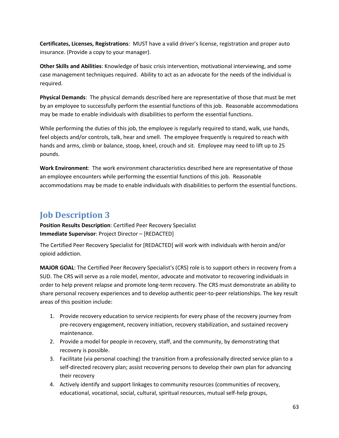**Certificates, Licenses, Registrations**: MUST have a valid driver's license, registration and proper auto insurance. (Provide a copy to your manager).

**Other Skills and Abilities**: Knowledge of basic crisis intervention, motivational interviewing, and some case management techniques required. Ability to act as an advocate for the needs of the individual is required.

**Physical Demands**: The physical demands described here are representative of those that must be met by an employee to successfully perform the essential functions of this job. Reasonable accommodations may be made to enable individuals with disabilities to perform the essential functions.

While performing the duties of this job, the employee is regularly required to stand, walk, use hands, feel objects and/or controls, talk, hear and smell. The employee frequently is required to reach with hands and arms, climb or balance, stoop, kneel, crouch and sit. Employee may need to lift up to 25 pounds.

**Work Environment**: The work environment characteristics described here are representative of those an employee encounters while performing the essential functions of this job. Reasonable accommodations may be made to enable individuals with disabilities to perform the essential functions.

# **Job Description 3**

**Position Results Description**: Certified Peer Recovery Specialist **Immediate Supervisor**: Project Director – [REDACTED]

The Certified Peer Recovery Specialist for [REDACTED] will work with individuals with heroin and/or opioid addiction.

**MAJOR GOAL**: The Certified Peer Recovery Specialist's (CRS) role is to support others in recovery from a SUD. The CRS will serve as a role model, mentor, advocate and motivator to recovering individuals in order to help prevent relapse and promote long-term recovery. The CRS must demonstrate an ability to share personal recovery experiences and to develop authentic peer-to-peer relationships. The key result areas of this position include:

- 1. Provide recovery education to service recipients for every phase of the recovery journey from pre-recovery engagement, recovery initiation, recovery stabilization, and sustained recovery maintenance.
- 2. Provide a model for people in recovery, staff, and the community, by demonstrating that recovery is possible.
- 3. Facilitate (via personal coaching) the transition from a professionally directed service plan to a self-directed recovery plan; assist recovering persons to develop their own plan for advancing their recovery
- 4. Actively identify and support linkages to community resources (communities of recovery, educational, vocational, social, cultural, spiritual resources, mutual self-help groups,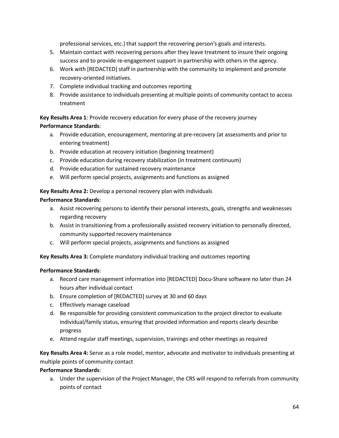professional services, etc.) that support the recovering person's goals and interests.

- 5. Maintain contact with recovering persons after they leave treatment to insure their ongoing success and to provide re-engagement support in partnership with others in the agency.
- 6. Work with [REDACTED] staff in partnership with the community to implement and promote recovery-oriented initiatives.
- 7. Complete individual tracking and outcomes reporting
- 8. Provide assistance to individuals presenting at multiple points of community contact to access treatment

**Key Results Area 1**: Provide recovery education for every phase of the recovery journey **Performance Standards**:

- a. Provide education, encouragement, mentoring at pre-recovery (at assessments and prior to entering treatment)
- b. Provide education at recovery initiation (beginning treatment)
- c. Provide education during recovery stabilization (in treatment continuum)
- d. Provide education for sustained recovery maintenance
- e. Will perform special projects, assignments and functions as assigned

### **Key Results Area 2:** Develop a personal recovery plan with individuals

#### **Performance Standards**:

- a. Assist recovering persons to identify their personal interests, goals, strengths and weaknesses regarding recovery
- b. Assist in transitioning from a professionally assisted recovery initiation to personally directed, community supported recovery maintenance
- c. Will perform special projects, assignments and functions as assigned

**Key Results Area 3:** Complete mandatory individual tracking and outcomes reporting

#### **Performance Standards**:

- a. Record care management information into [REDACTED] Docu-Share software no later than 24 hours after individual contact
- b. Ensure completion of [REDACTED] survey at 30 and 60 days
- c. Effectively manage caseload
- d. Be responsible for providing consistent communication to the project director to evaluate individual/family status, ensuring that provided information and reports clearly describe progress
- e. Attend regular staff meetings, supervision, trainings and other meetings as required

**Key Results Area 4:** Serve as a role model, mentor, advocate and motivator to individuals presenting at multiple points of community contact

#### **Performance Standards**:

a. Under the supervision of the Project Manager, the CRS will respond to referrals from community points of contact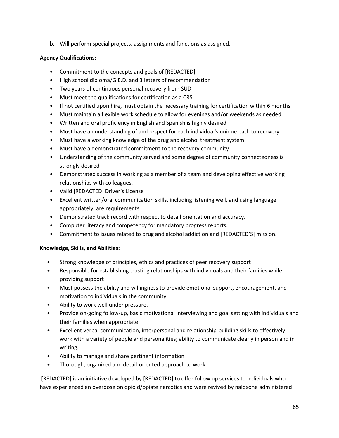b. Will perform special projects, assignments and functions as assigned.

#### **Agency Qualifications**:

- Commitment to the concepts and goals of [REDACTED]
- High school diploma/G.E.D. and 3 letters of recommendation
- Two years of continuous personal recovery from SUD
- Must meet the qualifications for certification as a CRS
- If not certified upon hire, must obtain the necessary training for certification within 6 months
- Must maintain a flexible work schedule to allow for evenings and/or weekends as needed
- Written and oral proficiency in English and Spanish is highly desired
- Must have an understanding of and respect for each individual's unique path to recovery
- Must have a working knowledge of the drug and alcohol treatment system
- Must have a demonstrated commitment to the recovery community
- Understanding of the community served and some degree of community connectedness is strongly desired
- Demonstrated success in working as a member of a team and developing effective working relationships with colleagues.
- Valid [REDACTED] Driver's License
- Excellent written/oral communication skills, including listening well, and using language appropriately, are requirements
- Demonstrated track record with respect to detail orientation and accuracy.
- Computer literacy and competency for mandatory progress reports.
- Commitment to issues related to drug and alcohol addiction and [REDACTED'S] mission.

#### **Knowledge, Skills, and Abilities:**

- Strong knowledge of principles, ethics and practices of peer recovery support
- Responsible for establishing trusting relationships with individuals and their families while providing support
- Must possess the ability and willingness to provide emotional support, encouragement, and motivation to individuals in the community
- Ability to work well under pressure.
- Provide on-going follow-up, basic motivational interviewing and goal setting with individuals and their families when appropriate
- Excellent verbal communication, interpersonal and relationship-building skills to effectively work with a variety of people and personalities; ability to communicate clearly in person and in writing.
- Ability to manage and share pertinent information
- Thorough, organized and detail-oriented approach to work

[REDACTED] is an initiative developed by [REDACTED] to offer follow up services to individuals who have experienced an overdose on opioid/opiate narcotics and were revived by naloxone administered